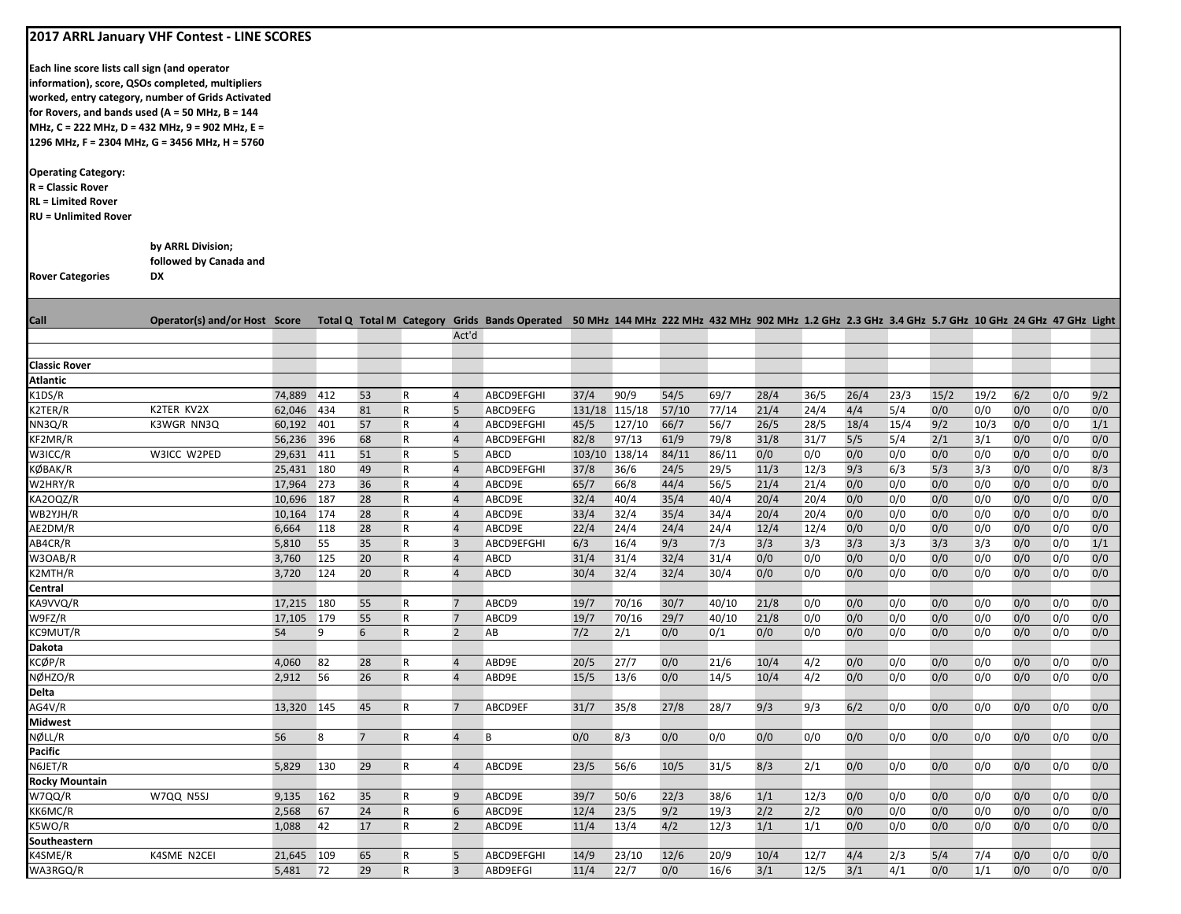|                                                                                                                    | 2017 ARRL January VHF Contest - LINE SCORES       |                          |     |                |                          |                     |                                                                                                                                                 |               |              |              |              |             |              |            |            |            |            |            |            |            |
|--------------------------------------------------------------------------------------------------------------------|---------------------------------------------------|--------------------------|-----|----------------|--------------------------|---------------------|-------------------------------------------------------------------------------------------------------------------------------------------------|---------------|--------------|--------------|--------------|-------------|--------------|------------|------------|------------|------------|------------|------------|------------|
|                                                                                                                    |                                                   |                          |     |                |                          |                     |                                                                                                                                                 |               |              |              |              |             |              |            |            |            |            |            |            |            |
| Each line score lists call sign (and operator                                                                      |                                                   |                          |     |                |                          |                     |                                                                                                                                                 |               |              |              |              |             |              |            |            |            |            |            |            |            |
|                                                                                                                    | information), score, QSOs completed, multipliers  |                          |     |                |                          |                     |                                                                                                                                                 |               |              |              |              |             |              |            |            |            |            |            |            |            |
|                                                                                                                    | worked, entry category, number of Grids Activated |                          |     |                |                          |                     |                                                                                                                                                 |               |              |              |              |             |              |            |            |            |            |            |            |            |
|                                                                                                                    | for Rovers, and bands used (A = 50 MHz, B = 144   |                          |     |                |                          |                     |                                                                                                                                                 |               |              |              |              |             |              |            |            |            |            |            |            |            |
|                                                                                                                    | MHz, C = 222 MHz, D = 432 MHz, 9 = 902 MHz, E =   |                          |     |                |                          |                     |                                                                                                                                                 |               |              |              |              |             |              |            |            |            |            |            |            |            |
|                                                                                                                    | 1296 MHz, F = 2304 MHz, G = 3456 MHz, H = 5760    |                          |     |                |                          |                     |                                                                                                                                                 |               |              |              |              |             |              |            |            |            |            |            |            |            |
| <b>Operating Category:</b><br><b>R</b> = Classic Rover<br><b>RL</b> = Limited Rover<br><b>RU = Unlimited Rover</b> |                                                   |                          |     |                |                          |                     |                                                                                                                                                 |               |              |              |              |             |              |            |            |            |            |            |            |            |
|                                                                                                                    |                                                   |                          |     |                |                          |                     |                                                                                                                                                 |               |              |              |              |             |              |            |            |            |            |            |            |            |
|                                                                                                                    | by ARRL Division;                                 |                          |     |                |                          |                     |                                                                                                                                                 |               |              |              |              |             |              |            |            |            |            |            |            |            |
|                                                                                                                    | followed by Canada and                            |                          |     |                |                          |                     |                                                                                                                                                 |               |              |              |              |             |              |            |            |            |            |            |            |            |
| <b>Rover Categories</b>                                                                                            | DX                                                |                          |     |                |                          |                     |                                                                                                                                                 |               |              |              |              |             |              |            |            |            |            |            |            |            |
|                                                                                                                    |                                                   |                          |     |                |                          |                     |                                                                                                                                                 |               |              |              |              |             |              |            |            |            |            |            |            |            |
| <b>Call</b>                                                                                                        | Operator(s) and/or Host Score                     |                          |     |                |                          |                     | Total Q Total M Category Grids Bands Operated 50 MHz 144 MHz 222 MHz 432 MHz 902 MHz 1.2 GHz 2.3 GHz 3.4 GHz 5.7 GHz 10 GHz 24 GHz 47 GHz Light |               |              |              |              |             |              |            |            |            |            |            |            |            |
|                                                                                                                    |                                                   |                          |     |                |                          | Act'd               |                                                                                                                                                 |               |              |              |              |             |              |            |            |            |            |            |            |            |
|                                                                                                                    |                                                   |                          |     |                |                          |                     |                                                                                                                                                 |               |              |              |              |             |              |            |            |            |            |            |            |            |
| <b>Classic Rover</b>                                                                                               |                                                   |                          |     |                |                          |                     |                                                                                                                                                 |               |              |              |              |             |              |            |            |            |            |            |            |            |
| <b>Atlantic</b>                                                                                                    |                                                   |                          |     |                |                          |                     |                                                                                                                                                 |               |              |              |              |             |              |            |            |            |            |            |            |            |
| K1DS/R                                                                                                             |                                                   | 74,889                   | 412 | 53             | $\mathsf R$              | $\overline{4}$      | ABCD9EFGHI                                                                                                                                      | 37/4          | 90/9         | 54/5         | 69/7         | 28/4        | 36/5         | 26/4       | 23/3       | 15/2       | 19/2       | 6/2        | 0/0        | 9/2        |
| K2TER/R                                                                                                            | K2TER KV2X                                        | 62,046 434               |     | 81             | $\mathsf R$              | 5                   | ABCD9EFG                                                                                                                                        | 131/18 115/18 |              | 57/10        | 77/14        | 21/4        | 24/4         | 4/4        | 5/4        | 0/0        | 0/0        | 0/0        | 0/0        | 0/0        |
| NN3Q/R                                                                                                             | K3WGR NN3Q                                        | 60,192 401               |     | 57             | $\mathsf R$              | $\overline{4}$      | ABCD9EFGHI                                                                                                                                      | 45/5          | 127/10       | 66/7         | 56/7         | 26/5        | 28/5         | 18/4       | 15/4       | 9/2        | 10/3       | 0/0        | 0/0        | 1/1        |
| KF2MR/R                                                                                                            |                                                   | 56,236 396               |     | 68             | ${\sf R}$                | $\overline{4}$      | ABCD9EFGHI                                                                                                                                      | 82/8          | 97/13        | 61/9         | 79/8         | 31/8        | 31/7         | 5/5        | 5/4        | 2/1        | 3/1        | 0/0        | 0/0        | 0/0        |
| W3ICC/R<br>KØBAK/R                                                                                                 | W3ICC W2PED                                       | 29,631 411               |     | 51<br>49       | ${\sf R}$                | 5<br>$\overline{4}$ | ABCD                                                                                                                                            | 103/10 138/14 |              | 84/11        | 86/11        | 0/0<br>11/3 | 0/0          | 0/0<br>9/3 | 0/0<br>6/3 | 0/0<br>5/3 | 0/0<br>3/3 | 0/0<br>0/0 | 0/0<br>0/0 | 0/0<br>8/3 |
| W2HRY/R                                                                                                            |                                                   | 25,431 180<br>17,964 273 |     | 36             | $\mathsf R$<br>${\sf R}$ | $\overline{4}$      | ABCD9EFGHI<br>ABCD9E                                                                                                                            | 37/8<br>65/7  | 36/6<br>66/8 | 24/5<br>44/4 | 29/5<br>56/5 | 21/4        | 12/3<br>21/4 | 0/0        | 0/0        | 0/0        | 0/0        | 0/0        | 0/0        | 0/0        |
| KA2OQZ/R                                                                                                           |                                                   | 10,696 187               |     | 28             | $\mathsf R$              | $\overline{4}$      | ABCD9E                                                                                                                                          | 32/4          | 40/4         | 35/4         | 40/4         | 20/4        | 20/4         | 0/0        | 0/0        | 0/0        | 0/0        | 0/0        | 0/0        | 0/0        |
| WB2YJH/R                                                                                                           |                                                   | 10,164 174               |     | 28             | R                        | $\overline{4}$      | ABCD9E                                                                                                                                          | 33/4          | 32/4         | 35/4         | 34/4         | 20/4        | 20/4         | 0/0        | 0/0        | 0/0        | 0/0        | 0/0        | 0/0        | 0/0        |
| AE2DM/R                                                                                                            |                                                   | 6,664                    | 118 | 28             | ${\sf R}$                | $\overline{4}$      | ABCD9E                                                                                                                                          | 22/4          | 24/4         | 24/4         | 24/4         | 12/4        | 12/4         | 0/0        | 0/0        | 0/0        | 0/0        | 0/0        | 0/0        | 0/0        |
| AB4CR/R                                                                                                            |                                                   | 5,810                    | 55  | 35             | $\mathsf{R}$             | $\overline{3}$      | ABCD9EFGHI                                                                                                                                      | 6/3           | 16/4         | 9/3          | 7/3          | 3/3         | 3/3          | 3/3        | 3/3        | 3/3        | 3/3        | 0/0        | 0/0        | 1/1        |
| W3OAB/R                                                                                                            |                                                   | 3,760                    | 125 | 20             | R                        | $\overline{4}$      | ABCD                                                                                                                                            | 31/4          | 31/4         | 32/4         | 31/4         | 0/0         | 0/0          | 0/0        | 0/0        | 0/0        | 0/0        | 0/0        | 0/0        | 0/0        |
| K2MTH/R                                                                                                            |                                                   | 3,720                    | 124 | 20             | ${\sf R}$                | $\overline{4}$      | ABCD                                                                                                                                            | 30/4          | 32/4         | 32/4         | 30/4         | 0/0         | 0/0          | 0/0        | 0/0        | 0/0        | 0/0        | 0/0        | 0/0        | 0/0        |
| Central                                                                                                            |                                                   |                          |     |                |                          |                     |                                                                                                                                                 |               |              |              |              |             |              |            |            |            |            |            |            |            |
| KA9VVQ/R                                                                                                           |                                                   | 17,215 180               |     | 55             | R                        | 7                   | ABCD9                                                                                                                                           | 19/7          | 70/16        | 30/7         | 40/10        | 21/8        | 0/0          | 0/0        | 0/0        | 0/0        | 0/0        | 0/0        | 0/0        | 0/0        |
| W9FZ/R                                                                                                             |                                                   | 17,105 179               |     | 55             | ${\sf R}$                | $\overline{7}$      | ABCD9                                                                                                                                           | 19/7          | 70/16        | 29/7         | 40/10        | 21/8        | 0/0          | 0/0        | 0/0        | 0/0        | 0/0        | 0/0        | 0/0        | 0/0        |
| KC9MUT/R                                                                                                           |                                                   | 54                       | 9   | 6              | ${\sf R}$                | $\overline{2}$      | AB                                                                                                                                              | 7/2           | 2/1          | 0/0          | 0/1          | 0/0         | 0/0          | 0/0        | 0/0        | 0/0        | 0/0        | 0/0        | 0/0        | 0/0        |
| Dakota                                                                                                             |                                                   |                          |     |                |                          |                     |                                                                                                                                                 |               |              |              |              |             |              |            |            |            |            |            |            |            |
| KCØP/R                                                                                                             |                                                   | 4,060                    | 82  | 28             | R                        | $\overline{4}$      | ABD9E                                                                                                                                           | 20/5          | 27/7         | 0/0          | 21/6         | 10/4        | 4/2          | 0/0        | 0/0        | 0/0        | 0/0        | 0/0        | 0/0        | 0/0        |
| NØHZO/R                                                                                                            |                                                   | 2,912                    | 56  | 26             | ${\sf R}$                | $\overline{4}$      | ABD9E                                                                                                                                           | 15/5          | 13/6         | 0/0          | 14/5         | 10/4        | 4/2          | 0/0        | 0/0        | 0/0        | 0/0        | 0/0        | 0/0        | 0/0        |
| <b>Delta</b>                                                                                                       |                                                   |                          |     |                |                          |                     |                                                                                                                                                 |               |              |              |              |             |              |            |            |            |            |            |            |            |
| AG4V/R                                                                                                             |                                                   | 13,320 145               |     | 45             | R                        | $\overline{7}$      | ABCD9EF                                                                                                                                         | 31/7          | 35/8         | 27/8         | 28/7         | 9/3         | 9/3          | 6/2        | 0/0        | 0/0        | 0/0        | 0/0        | 0/0        | 0/0        |
| <b>Midwest</b>                                                                                                     |                                                   |                          |     |                |                          |                     |                                                                                                                                                 |               |              |              |              |             |              |            |            |            |            |            |            |            |
| NØLL/R                                                                                                             |                                                   | 56                       | 8   | $\overline{7}$ | R                        | $\overline{4}$      | B                                                                                                                                               | 0/0           | 8/3          | 0/0          | 0/0          | 0/0         | 0/0          | 0/0        | 0/0        | 0/0        | 0/0        | 0/0        | 0/0        | 0/0        |
| Pacific<br>N6JET/R                                                                                                 |                                                   |                          |     |                | R                        | $\overline{4}$      |                                                                                                                                                 |               |              |              |              |             |              |            |            |            |            |            |            |            |
| <b>Rocky Mountain</b>                                                                                              |                                                   | 5,829                    | 130 | 29             |                          |                     | ABCD9E                                                                                                                                          | 23/5          | 56/6         | 10/5         | 31/5         | 8/3         | 2/1          | 0/0        | 0/0        | 0/0        | 0/0        | 0/0        | 0/0        | 0/0        |
| W7QQ/R                                                                                                             | W7QQ N5SJ                                         | 9,135                    | 162 | 35             | R                        | 9                   | ABCD9E                                                                                                                                          | 39/7          | 50/6         | 22/3         | 38/6         | 1/1         | 12/3         | 0/0        | 0/0        | 0/0        | 0/0        | 0/0        | 0/0        | 0/0        |
| KK6MC/R                                                                                                            |                                                   | 2,568                    | 67  | 24             | $\mathsf{R}$             | 6                   | ABCD9E                                                                                                                                          | 12/4          | 23/5         | 9/2          | 19/3         | 2/2         | 2/2          | 0/0        | 0/0        | 0/0        | 0/0        | 0/0        | 0/0        | 0/0        |
| K5WO/R                                                                                                             |                                                   | 1,088                    | 42  | 17             | $\mathsf{R}$             | $\overline{2}$      | ABCD9E                                                                                                                                          | 11/4          | 13/4         | 4/2          | 12/3         | 1/1         | 1/1          | 0/0        | 0/0        | 0/0        | 0/0        | 0/0        | 0/0        | 0/0        |
| Southeastern                                                                                                       |                                                   |                          |     |                |                          |                     |                                                                                                                                                 |               |              |              |              |             |              |            |            |            |            |            |            |            |
| K4SME/R                                                                                                            | K4SME N2CEI                                       | 21,645 109               |     | 65             | R                        | 5                   | ABCD9EFGHI                                                                                                                                      | 14/9          | 23/10        | 12/6         | 20/9         | 10/4        | 12/7         | 4/4        | 2/3        | 5/4        | 7/4        | 0/0        | 0/0        | 0/0        |
| WA3RGQ/R                                                                                                           |                                                   | 5,481 72                 |     | 29             | $\mathsf{R}$             | $\overline{3}$      | ABD9EFGI                                                                                                                                        | 11/4          | 22/7         | 0/0          | 16/6         | 3/1         | 12/5         | 3/1        | 4/1        | 0/0        | 1/1        | 0/0        | 0/0        | 0/0        |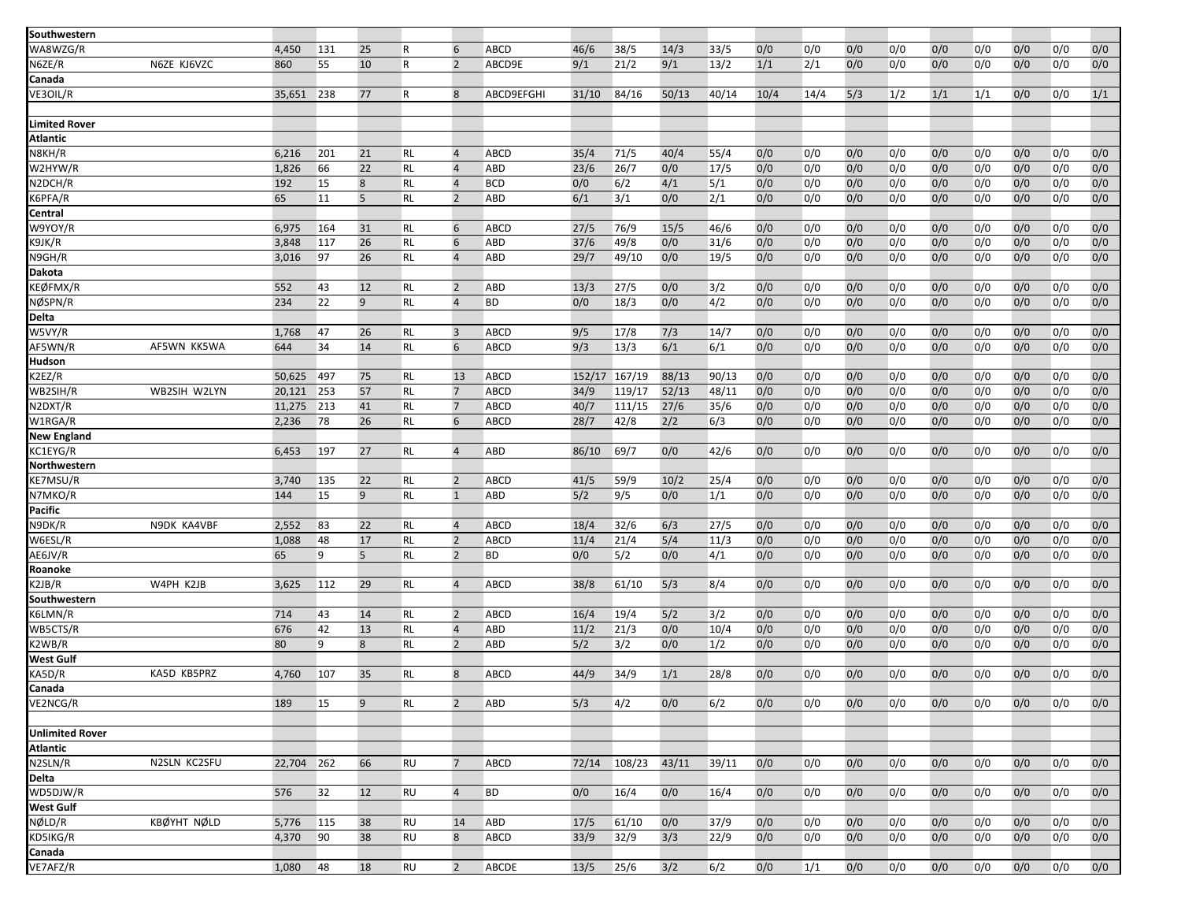| Southwestern           |              |        |     |    |              |                 |              |        |        |       |       |      |      |     |     |     |     |     |     |     |
|------------------------|--------------|--------|-----|----|--------------|-----------------|--------------|--------|--------|-------|-------|------|------|-----|-----|-----|-----|-----|-----|-----|
| WA8WZG/R               |              | 4,450  | 131 | 25 | $\mathsf{R}$ | 6               | <b>ABCD</b>  | 46/6   | 38/5   | 14/3  | 33/5  | 0/0  | 0/0  | 0/0 | 0/0 | 0/0 | 0/0 | 0/0 | 0/0 | 0/0 |
| N6ZE/R                 | N6ZE KJ6VZC  | 860    | 55  | 10 | R            | $\overline{2}$  | ABCD9E       | 9/1    | 21/2   | 9/1   | 13/2  | 1/1  | 2/1  | 0/0 | 0/0 | 0/0 | 0/0 | 0/0 | 0/0 | 0/0 |
| Canada                 |              |        |     |    |              |                 |              |        |        |       |       |      |      |     |     |     |     |     |     |     |
| VE3OIL/R               |              |        |     |    |              |                 |              |        |        |       |       |      |      |     |     |     |     |     |     | 1/1 |
|                        |              | 35,651 | 238 | 77 | R            | 8               | ABCD9EFGHI   | 31/10  | 84/16  | 50/13 | 40/14 | 10/4 | 14/4 | 5/3 | 1/2 | 1/1 | 1/1 | 0/0 | 0/0 |     |
|                        |              |        |     |    |              |                 |              |        |        |       |       |      |      |     |     |     |     |     |     |     |
| <b>Limited Rover</b>   |              |        |     |    |              |                 |              |        |        |       |       |      |      |     |     |     |     |     |     |     |
| <b>Atlantic</b>        |              |        |     |    |              |                 |              |        |        |       |       |      |      |     |     |     |     |     |     |     |
| N8KH/R                 |              | 6,216  | 201 | 21 | RL           | $\overline{4}$  | <b>ABCD</b>  | 35/4   | 71/5   | 40/4  | 55/4  | 0/0  | 0/0  | 0/0 | 0/0 | 0/0 | 0/0 | 0/0 | 0/0 | 0/0 |
| W2HYW/R                |              | 1,826  | 66  | 22 | RL           | $\overline{4}$  | <b>ABD</b>   | 23/6   | 26/7   | 0/0   | 17/5  | 0/0  | 0/0  | 0/0 | 0/0 | 0/0 | 0/0 | 0/0 | 0/0 | 0/0 |
| N2DCH/R                |              | 192    | 15  | 8  | RL           | $\overline{4}$  | <b>BCD</b>   | 0/0    | 6/2    | 4/1   | 5/1   | 0/0  | 0/0  | 0/0 | 0/0 | 0/0 | 0/0 | 0/0 | 0/0 | 0/0 |
| K6PFA/R                |              | 65     | 11  | 5  | RL           | $\overline{2}$  | ABD          | 6/1    | 3/1    | 0/0   | 2/1   | 0/0  | 0/0  | 0/0 | 0/0 | 0/0 | 0/0 | 0/0 | 0/0 | 0/0 |
| Central                |              |        |     |    |              |                 |              |        |        |       |       |      |      |     |     |     |     |     |     |     |
| W9YOY/R                |              | 6,975  | 164 | 31 | RL           | 6               | <b>ABCD</b>  | 27/5   | 76/9   | 15/5  | 46/6  | 0/0  | 0/0  | 0/0 | 0/0 | 0/0 | 0/0 | 0/0 | 0/0 | 0/0 |
| K9JK/R                 |              | 3,848  | 117 | 26 | <b>RL</b>    | 6               | ABD          | 37/6   | 49/8   | 0/0   | 31/6  | 0/0  | 0/0  | 0/0 | 0/0 | 0/0 | 0/0 | 0/0 | 0/0 | 0/0 |
| N9GH/R                 |              | 3,016  | 97  | 26 | <b>RL</b>    | $\overline{4}$  | <b>ABD</b>   | 29/7   | 49/10  | 0/0   | 19/5  | 0/0  | 0/0  | 0/0 | 0/0 | 0/0 | 0/0 | 0/0 | 0/0 | 0/0 |
| <b>Dakota</b>          |              |        |     |    |              |                 |              |        |        |       |       |      |      |     |     |     |     |     |     |     |
| KEØFMX/R               |              | 552    | 43  | 12 | RL           | $\overline{2}$  | ABD          | 13/3   | 27/5   | 0/0   | 3/2   | 0/0  | 0/0  | 0/0 | 0/0 | 0/0 | 0/0 | 0/0 | 0/0 | 0/0 |
| NØSPN/R                |              | 234    | 22  | 9  | <b>RL</b>    | $\overline{4}$  | <b>BD</b>    | 0/0    | 18/3   | 0/0   | 4/2   | 0/0  | 0/0  | 0/0 | 0/0 | 0/0 | 0/0 | 0/0 | 0/0 | 0/0 |
| <b>Delta</b>           |              |        |     |    |              |                 |              |        |        |       |       |      |      |     |     |     |     |     |     |     |
| W5VY/R                 |              | 1,768  | 47  | 26 | RL           | $\overline{3}$  | ABCD         | 9/5    | 17/8   | 7/3   | 14/7  | 0/0  | 0/0  | 0/0 | 0/0 | 0/0 | 0/0 | 0/0 | 0/0 | 0/0 |
| AF5WN/R                | AF5WN KK5WA  | 644    | 34  | 14 | <b>RL</b>    | 6               | ABCD         | 9/3    | 13/3   | 6/1   | 6/1   | 0/0  | 0/0  | 0/0 | 0/0 | 0/0 | 0/0 | 0/0 | 0/0 | 0/0 |
| Hudson                 |              |        |     |    |              |                 |              |        |        |       |       |      |      |     |     |     |     |     |     |     |
| K2EZ/R                 |              | 50,625 | 497 | 75 | RL           | 13              | <b>ABCD</b>  | 152/17 | 167/19 | 88/13 | 90/13 | 0/0  | 0/0  | 0/0 | 0/0 | 0/0 | 0/0 | 0/0 | 0/0 | 0/0 |
| WB2SIH/R               | WB2SIH W2LYN | 20,121 | 253 | 57 | <b>RL</b>    | $\overline{7}$  | ABCD         | 34/9   | 119/17 | 52/13 | 48/11 | 0/0  | 0/0  | 0/0 | 0/0 | 0/0 | 0/0 | 0/0 | 0/0 | 0/0 |
| N2DXT/R                |              | 11,275 | 213 | 41 | RL           | $7\overline{ }$ | <b>ABCD</b>  | 40/7   | 111/15 | 27/6  | 35/6  | 0/0  | 0/0  | 0/0 | 0/0 | 0/0 | 0/0 | 0/0 | 0/0 | 0/0 |
| W1RGA/R                |              | 2,236  | 78  | 26 | <b>RL</b>    | 6               | <b>ABCD</b>  | 28/7   | 42/8   | 2/2   | 6/3   | 0/0  | 0/0  | 0/0 | 0/0 | 0/0 | 0/0 | 0/0 | 0/0 | 0/0 |
| <b>New England</b>     |              |        |     |    |              |                 |              |        |        |       |       |      |      |     |     |     |     |     |     |     |
| KC1EYG/R               |              | 6,453  | 197 | 27 | RL           | $\overline{4}$  | ABD          | 86/10  | 69/7   | 0/0   | 42/6  | 0/0  | 0/0  | 0/0 | 0/0 | 0/0 | 0/0 | 0/0 | 0/0 | 0/0 |
| Northwestern           |              |        |     |    |              |                 |              |        |        |       |       |      |      |     |     |     |     |     |     |     |
| KE7MSU/R               |              | 3,740  | 135 | 22 | RL           | $\overline{2}$  | ABCD         | 41/5   | 59/9   | 10/2  | 25/4  | 0/0  | 0/0  | 0/0 | 0/0 | 0/0 | 0/0 | 0/0 | 0/0 | 0/0 |
| N7MKO/R                |              | 144    | 15  | 9  | <b>RL</b>    | $\mathbf{1}$    | <b>ABD</b>   | 5/2    | 9/5    | 0/0   | 1/1   | 0/0  | 0/0  | 0/0 | 0/0 | 0/0 | 0/0 | 0/0 | 0/0 | 0/0 |
| <b>Pacific</b>         |              |        |     |    |              |                 |              |        |        |       |       |      |      |     |     |     |     |     |     |     |
| N9DK/R                 | N9DK KA4VBF  | 2,552  | 83  | 22 | RL           | $\overline{4}$  | ABCD         | 18/4   | 32/6   | 6/3   | 27/5  | 0/0  | 0/0  | 0/0 | 0/0 | 0/0 | 0/0 | 0/0 | 0/0 | 0/0 |
| W6ESL/R                |              | 1,088  | 48  | 17 | RL           | $\overline{2}$  | <b>ABCD</b>  | 11/4   | 21/4   | 5/4   | 11/3  | 0/0  | 0/0  | 0/0 | 0/0 | 0/0 | 0/0 | 0/0 | 0/0 | 0/0 |
| AE6JV/R                |              | 65     | 9   | 5  | RL           | $\overline{2}$  | <b>BD</b>    | 0/0    | 5/2    | 0/0   | 4/1   | 0/0  | 0/0  | 0/0 | 0/0 | 0/0 | 0/0 | 0/0 | 0/0 | 0/0 |
| Roanoke                |              |        |     |    |              |                 |              |        |        |       |       |      |      |     |     |     |     |     |     |     |
| K2JB/R                 | W4PH K2JB    | 3,625  | 112 | 29 | RL           | $\overline{4}$  | ABCD         | 38/8   | 61/10  | 5/3   | 8/4   | 0/0  | 0/0  | 0/0 | 0/0 | 0/0 | 0/0 | 0/0 | 0/0 | 0/0 |
| Southwestern           |              |        |     |    |              |                 |              |        |        |       |       |      |      |     |     |     |     |     |     |     |
| K6LMN/R                |              | 714    | 43  | 14 | RL           | $\overline{2}$  | <b>ABCD</b>  | 16/4   | 19/4   | 5/2   | 3/2   | 0/0  | 0/0  | 0/0 | 0/0 | 0/0 | 0/0 | 0/0 | 0/0 | 0/0 |
| WB5CTS/R               |              | 676    | 42  | 13 | RL           | $\overline{4}$  | <b>ABD</b>   | 11/2   | 21/3   | 0/0   | 10/4  | 0/0  | 0/0  | 0/0 | 0/0 | 0/0 | 0/0 | 0/0 | 0/0 | 0/0 |
| K2WB/R                 |              | 80     | 9   | 8  | RL           | $\overline{2}$  | <b>ABD</b>   | 5/2    | 3/2    | 0/0   | 1/2   | 0/0  | 0/0  | 0/0 | 0/0 | 0/0 | 0/0 | 0/0 | 0/0 | 0/0 |
| <b>West Gulf</b>       |              |        |     |    |              |                 |              |        |        |       |       |      |      |     |     |     |     |     |     |     |
| KA5D/R                 | KA5D KB5PRZ  | 4,760  | 107 | 35 | <b>RL</b>    | 8               | ABCD         | 44/9   | 34/9   | 1/1   | 28/8  | 0/0  | 0/0  | 0/0 | 0/0 | 0/0 | 0/0 | 0/0 | 0/0 | 0/0 |
| Canada                 |              |        |     |    |              |                 |              |        |        |       |       |      |      |     |     |     |     |     |     |     |
| VE2NCG/R               |              | 189    | 15  | 9  | RL           | $\overline{2}$  | <b>ABD</b>   | 5/3    | 4/2    | 0/0   | 6/2   | 0/0  | 0/0  | 0/0 | 0/0 | 0/0 | 0/0 | 0/0 | 0/0 | 0/0 |
|                        |              |        |     |    |              |                 |              |        |        |       |       |      |      |     |     |     |     |     |     |     |
| <b>Unlimited Rover</b> |              |        |     |    |              |                 |              |        |        |       |       |      |      |     |     |     |     |     |     |     |
| <b>Atlantic</b>        |              |        |     |    |              |                 |              |        |        |       |       |      |      |     |     |     |     |     |     |     |
| N2SLN/R                | N2SLN KC2SFU | 22,704 | 262 | 66 | RU           | $\overline{7}$  | ABCD         | 72/14  | 108/23 | 43/11 | 39/11 | 0/0  | 0/0  | 0/0 | 0/0 | 0/0 | 0/0 | 0/0 | 0/0 | 0/0 |
| Delta                  |              |        |     |    |              |                 |              |        |        |       |       |      |      |     |     |     |     |     |     |     |
| WD5DJW/R               |              | 576    | 32  | 12 | <b>RU</b>    | $\overline{4}$  | <b>BD</b>    | 0/0    | 16/4   | 0/0   | 16/4  | 0/0  | 0/0  | 0/0 | 0/0 | 0/0 | 0/0 | 0/0 | 0/0 | 0/0 |
| West Gulf              |              |        |     |    |              |                 |              |        |        |       |       |      |      |     |     |     |     |     |     |     |
| NØLD/R                 | KBØYHT NØLD  | 5,776  | 115 | 38 | RU           | 14              | ABD          | 17/5   | 61/10  | 0/0   | 37/9  | 0/0  | 0/0  | 0/0 | 0/0 | 0/0 | 0/0 | 0/0 | 0/0 | 0/0 |
| KD5IKG/R               |              | 4,370  | 90  | 38 | <b>RU</b>    | 8               | ABCD         | 33/9   | 32/9   | 3/3   | 22/9  | 0/0  | 0/0  | 0/0 | 0/0 | 0/0 | 0/0 | 0/0 | 0/0 | 0/0 |
| Canada                 |              |        |     |    |              |                 |              |        |        |       |       |      |      |     |     |     |     |     |     |     |
| VE7AFZ/R               |              | 1,080  | 48  | 18 | RU           | $\overline{2}$  | <b>ABCDE</b> | 13/5   | 25/6   | 3/2   | 6/2   | 0/0  | 1/1  | 0/0 | 0/0 | 0/0 | 0/0 | 0/0 | 0/0 | 0/0 |
|                        |              |        |     |    |              |                 |              |        |        |       |       |      |      |     |     |     |     |     |     |     |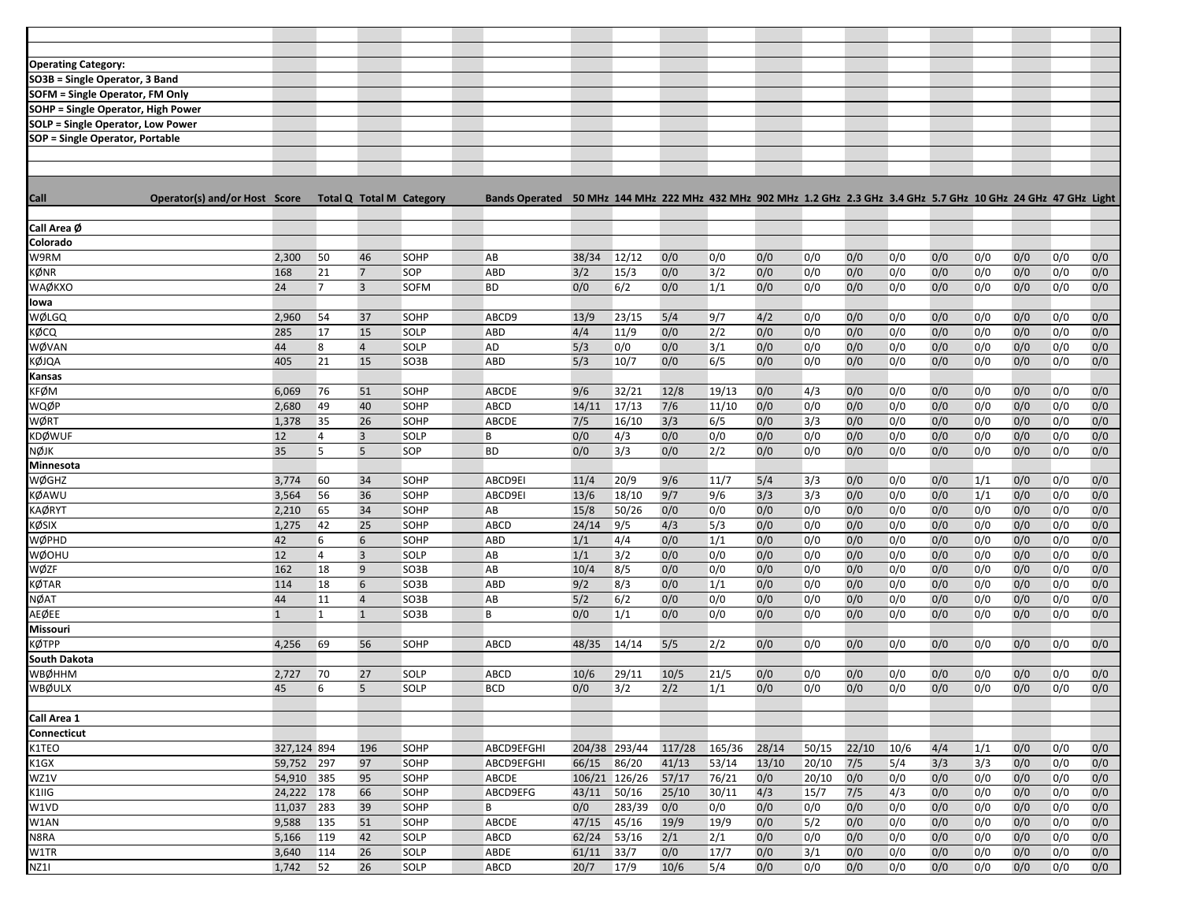| SO3B = Single Operator, 3 Band<br>SOFM = Single Operator, FM Only<br><b>SOHP</b> = Single Operator, High Power<br><b>SOLP = Single Operator, Low Power</b><br>SOP = Single Operator, Portable<br>Operator(s) and/or Host Score Total Q Total M Category<br>2,300<br>38/34<br>12/12<br>0/0<br>0/0<br>0/0<br>0/0<br>0/0<br>0/0<br>0/0<br>0/0<br>50<br>46<br>SOHP<br>AB<br>0/0<br>0/0<br>0/0<br>0/0<br>0/0<br>0/0<br>0/0<br>0/0<br>0/0<br>0/0<br>$\overline{7}$<br>SOP<br>ABD<br>3/2<br>15/3<br>3/2<br>0/0<br>0/0<br>0/0<br>168<br>21<br>$\overline{7}$<br>$\overline{3}$<br>0/0<br>6/2<br>0/0<br>1/1<br>0/0<br>0/0<br>0/0<br>0/0<br>0/0<br>24<br><b>SOFM</b><br><b>BD</b><br>0/0<br>0/0<br>0/0<br>0/0<br>13/9<br>23/15<br>5/4<br>4/2<br>0/0<br>0/0<br>0/0<br>0/0<br>0/0<br>0/0<br>0/0<br>2,960<br>54<br>37<br>SOHP<br>ABCD9<br>9/7<br>0/0<br>15<br>4/4<br>11/9<br>0/0<br>2/2<br>0/0<br>0/0<br>0/0<br>0/0<br>0/0<br>0/0<br>0/0<br>0/0<br>285<br>17<br>SOLP<br>ABD<br>0/0<br>5/3<br>44<br>0/0<br>3/1<br>0/0<br>0/0<br>0/0<br>0/0<br>0/0<br>0/0<br>0/0<br>0/0<br>8<br>$\overline{4}$<br><b>SOLP</b><br>AD<br>0/0<br>0/0<br>5/3<br>0/0<br>0/0<br>0/0<br>0/0<br>0/0<br>0/0<br>0/0<br>405<br>21<br>15<br>ABD<br>10/7<br>0/0<br>6/5<br>0/0<br>0/0<br>SO3B<br><b>KFØM</b><br>32/21<br>6,069<br>51<br>ABCDE<br>9/6<br>12/8<br>19/13<br>0/0<br>4/3<br>0/0<br>0/0<br>0/0<br>0/0<br>0/0<br>0/0<br>76<br>SOHP<br>0/0<br>17/13<br>7/6<br>0/0<br>0/0<br>0/0<br>0/0<br>0/0<br>0/0<br>0/0<br>0/0<br>WQØP<br>2,680<br>49<br>40<br>SOHP<br>ABCD<br>14/11<br>11/10<br>0/0<br>35<br>3/3<br>6/5<br>0/0<br>3/3<br>0/0<br>0/0<br>0/0<br>0/0<br>0/0<br>0/0<br>WØRT<br>1,378<br>26<br>SOHP<br>ABCDE<br>7/5<br>16/10<br>0/0<br>0/0<br>0/0<br>$\overline{3}$<br>4/3<br>0/0<br>0/0<br>0/0<br>0/0<br>0/0<br>0/0<br>0/0<br>0/0<br>0/0<br>KDØWUF<br>12<br>$\overline{4}$<br><b>SOLP</b><br>B<br>0/0<br>35<br>5<br>5<br>0/0<br>3/3<br>0/0<br>2/2<br>0/0<br>0/0<br>0/0<br>0/0<br>0/0<br>0/0<br>0/0<br>0/0<br>NØJK<br>SOP<br><b>BD</b><br>0/0<br><b>Minnesota</b><br>WØGHZ<br>34<br>11/4<br>20/9<br>9/6<br>11/7<br>5/4<br>3/3<br>0/0<br>0/0<br>0/0<br>1/1<br>0/0<br>0/0<br>3,774<br>60<br><b>SOHP</b><br>ABCD9EI<br>0/0<br>9/7<br>3/3<br>3/3<br>56<br>36<br>18/10<br>0/0<br>0/0<br>0/0<br>0/0<br>0/0<br>0/0<br>KØAWU<br>3,564<br>SOHP<br>ABCD9EI<br>13/6<br>9/6<br>1/1<br>0/0<br>0/0<br>0/0<br>0/0<br>0/0<br><b>KAØRYT</b><br>2,210<br>65<br>34<br>SOHP<br>AB<br>15/8<br>50/26<br>0/0<br>0/0<br>0/0<br>0/0<br>0/0<br>0/0<br>KØSIX<br>0/0<br>1,275<br>25<br><b>ABCD</b><br>24/14<br>9/5<br>4/3<br>5/3<br>0/0<br>0/0<br>0/0<br>0/0<br>0/0<br>0/0<br>0/0<br>42<br>SOHP<br>0/0<br>0/0<br>42<br>4/4<br>0/0<br>1/1<br>0/0<br>0/0<br>0/0<br>0/0<br>0/0<br>0/0<br>0/0<br>WØPHD<br>6<br>6<br>SOHP<br>ABD<br>1/1<br>0/0<br>$\overline{3}$<br>1/1<br>3/2<br>0/0<br>0/0<br>0/0<br>0/0<br>WØOHU<br>12<br>$\overline{4}$<br>SOLP<br>AB<br>0/0<br>0/0<br>0/0<br>0/0<br>0/0<br>0/0<br>0/0<br>WØZF<br>9<br>0/0<br>0/0<br>0/0<br>0/0<br>0/0<br>162<br>18<br>SO3B<br>AB<br>10/4<br>8/5<br>0/0<br>0/0<br>0/0<br>0/0<br>0/0<br>0/0<br>9/2<br>8/3<br>0/0<br>1/1<br>0/0<br>0/0<br>0/0<br>0/0<br>0/0<br>0/0<br>0/0<br>KØTAR<br>114<br>18<br>6<br>SO3B<br>ABD<br>0/0<br>0/0<br>5/2<br>6/2<br>0/0<br><b>NØAT</b><br>SO3B<br>AB<br>0/0<br>0/0<br>0/0<br>0/0<br>0/0<br>0/0<br>0/0<br>0/0<br>0/0<br>44<br>11<br>$\overline{4}$<br>0/0<br>0/0<br>1/1<br>0/0<br>AEØEE<br>$\mathbf{1}$<br>$\vert$ 1<br>$\mathbf{1}$<br>B<br>0/0<br>0/0<br>0/0<br>0/0<br>0/0<br>0/0<br>0/0<br>0/0<br>0/0<br>0/0<br>SO <sub>3</sub> B<br>Missouri<br>14/14<br>5/5<br>2/2<br>0/0<br>0/0<br>0/0<br>0/0<br>0/0<br>0/0<br>0/0<br>0/0<br>4,256<br>69<br>56<br>SOHP<br><b>ABCD</b><br>48/35<br>0/0<br>29/11<br>10/5<br>0/0<br>0/0<br>0/0<br>0/0<br>2,727<br>70<br>27<br>SOLP<br><b>ABCD</b><br>10/6<br>21/5<br>0/0<br>0/0<br>0/0<br>0/0<br>0/0<br>5<br>2/2<br>0/0<br>0/0<br>0/0<br>0/0<br>45<br>6<br><b>SOLP</b><br><b>BCD</b><br>0/0<br>3/2<br>1/1<br>0/0<br>0/0<br>0/0<br>0/0<br>0/0<br>Connecticut<br>117/28<br>K1TEO<br>327,124 894<br>ABCD9EFGHI<br>204/38 293/44<br>165/36<br>28/14<br>50/15<br>22/10<br>10/6<br>4/4<br>1/1<br>0/0<br>0/0<br>0/0<br>196<br>SOHP<br>86/20<br>3/3<br>59,752 297<br>97<br>SOHP<br>66/15<br>41/13<br>53/14<br>13/10<br>20/10<br>7/5<br>5/4<br>3/3<br>0/0<br>0/0<br>0/0<br>K1GX<br>ABCD9EFGHI<br>106/21 126/26<br>57/17<br>0/0<br>0/0<br>0/0<br>0/0<br>0/0<br>WZ1V<br>54,910 385<br>95<br>76/21<br>20/10<br>0/0<br>0/0<br>0/0<br>SOHP<br>ABCDE<br>K1IIG<br>24,222<br>178<br>43/11<br>50/16<br>25/10<br>30/11<br>4/3<br>15/7<br>7/5<br>4/3<br>0/0<br>0/0<br>0/0<br>0/0<br>66<br>SOHP<br>ABCD9EFG<br>0/0<br>11,037<br>39<br>0/0<br>283/39<br>0/0<br>0/0<br>0/0<br>0/0<br>0/0<br>0/0<br>0/0<br>0/0<br>W1VD<br>283<br>SOHP<br>B<br>0/0<br>0/0<br>0/0<br>45/16<br>W1AN<br>9,588<br>51<br>ABCDE<br>47/15<br>19/9<br>19/9<br>0/0<br>5/2<br>0/0<br>0/0<br>0/0<br>0/0<br>0/0<br>135<br>SOHP<br>0/0<br>0/0<br>N8RA<br>SOLP<br>62/24<br>53/16<br>2/1<br>2/1<br>0/0<br>0/0<br>0/0<br>0/0<br>0/0<br>0/0<br>0/0<br>0/0<br>5,166<br>119<br>42<br>ABCD<br>0/0<br>3/1<br>3,640<br>26<br>61/11<br>33/7<br>0/0<br>17/7<br>0/0<br>0/0<br>0/0<br>0/0<br>0/0<br>0/0<br>0/0<br>W1TR<br>114<br>SOLP<br>ABDE<br>0/0<br>26<br>17/9<br>10/6<br>0/0<br>0/0<br>0/0<br>NZ11<br>1,742<br>52<br>SOLP<br>ABCD<br>20/7<br>5/4<br>0/0<br>0/0<br>0/0<br>0/0<br>0/0<br>0/0 |                            |  |  |  |  |  |  |  |  |  |  |
|---------------------------------------------------------------------------------------------------------------------------------------------------------------------------------------------------------------------------------------------------------------------------------------------------------------------------------------------------------------------------------------------------------------------------------------------------------------------------------------------------------------------------------------------------------------------------------------------------------------------------------------------------------------------------------------------------------------------------------------------------------------------------------------------------------------------------------------------------------------------------------------------------------------------------------------------------------------------------------------------------------------------------------------------------------------------------------------------------------------------------------------------------------------------------------------------------------------------------------------------------------------------------------------------------------------------------------------------------------------------------------------------------------------------------------------------------------------------------------------------------------------------------------------------------------------------------------------------------------------------------------------------------------------------------------------------------------------------------------------------------------------------------------------------------------------------------------------------------------------------------------------------------------------------------------------------------------------------------------------------------------------------------------------------------------------------------------------------------------------------------------------------------------------------------------------------------------------------------------------------------------------------------------------------------------------------------------------------------------------------------------------------------------------------------------------------------------------------------------------------------------------------------------------------------------------------------------------------------------------------------------------------------------------------------------------------------------------------------------------------------------------------------------------------------------------------------------------------------------------------------------------------------------------------------------------------------------------------------------------------------------------------------------------------------------------------------------------------------------------------------------------------------------------------------------------------------------------------------------------------------------------------------------------------------------------------------------------------------------------------------------------------------------------------------------------------------------------------------------------------------------------------------------------------------------------------------------------------------------------------------------------------------------------------------------------------------------------------------------------------------------------------------------------------------------------------------------------------------------------------------------------------------------------------------------------------------------------------------------------------------------------------------------------------------------------------------------------------------------------------------------------------------------------------------------------------------------------------------------------------------------------------------------------------------------------------------------------------------------------------------------------------------------------------------------------------------------------------------------------------------------------------------------------------------------------------------------------------------------------------------------------------------------------------------------------------------------------------------------------------------------------------------------------------------------------------------------------------------------------------------------------------------------------------------------------------------------------------------------------------------------------------------------------------------------------------------------------------------------------------------------------------------------------------------------------------------------------------------------------------------------------------------------------------------------------------------------------------------------------------------|----------------------------|--|--|--|--|--|--|--|--|--|--|
|                                                                                                                                                                                                                                                                                                                                                                                                                                                                                                                                                                                                                                                                                                                                                                                                                                                                                                                                                                                                                                                                                                                                                                                                                                                                                                                                                                                                                                                                                                                                                                                                                                                                                                                                                                                                                                                                                                                                                                                                                                                                                                                                                                                                                                                                                                                                                                                                                                                                                                                                                                                                                                                                                                                                                                                                                                                                                                                                                                                                                                                                                                                                                                                                                                                                                                                                                                                                                                                                                                                                                                                                                                                                                                                                                                                                                                                                                                                                                                                                                                                                                                                                                                                                                                                                                                                                                                                                                                                                                                                                                                                                                                                                                                                                                                                                                                                                                                                                                                                                                                                                                                                                                                                                                                                                                                                                                                           |                            |  |  |  |  |  |  |  |  |  |  |
|                                                                                                                                                                                                                                                                                                                                                                                                                                                                                                                                                                                                                                                                                                                                                                                                                                                                                                                                                                                                                                                                                                                                                                                                                                                                                                                                                                                                                                                                                                                                                                                                                                                                                                                                                                                                                                                                                                                                                                                                                                                                                                                                                                                                                                                                                                                                                                                                                                                                                                                                                                                                                                                                                                                                                                                                                                                                                                                                                                                                                                                                                                                                                                                                                                                                                                                                                                                                                                                                                                                                                                                                                                                                                                                                                                                                                                                                                                                                                                                                                                                                                                                                                                                                                                                                                                                                                                                                                                                                                                                                                                                                                                                                                                                                                                                                                                                                                                                                                                                                                                                                                                                                                                                                                                                                                                                                                                           | <b>Operating Category:</b> |  |  |  |  |  |  |  |  |  |  |
|                                                                                                                                                                                                                                                                                                                                                                                                                                                                                                                                                                                                                                                                                                                                                                                                                                                                                                                                                                                                                                                                                                                                                                                                                                                                                                                                                                                                                                                                                                                                                                                                                                                                                                                                                                                                                                                                                                                                                                                                                                                                                                                                                                                                                                                                                                                                                                                                                                                                                                                                                                                                                                                                                                                                                                                                                                                                                                                                                                                                                                                                                                                                                                                                                                                                                                                                                                                                                                                                                                                                                                                                                                                                                                                                                                                                                                                                                                                                                                                                                                                                                                                                                                                                                                                                                                                                                                                                                                                                                                                                                                                                                                                                                                                                                                                                                                                                                                                                                                                                                                                                                                                                                                                                                                                                                                                                                                           |                            |  |  |  |  |  |  |  |  |  |  |
|                                                                                                                                                                                                                                                                                                                                                                                                                                                                                                                                                                                                                                                                                                                                                                                                                                                                                                                                                                                                                                                                                                                                                                                                                                                                                                                                                                                                                                                                                                                                                                                                                                                                                                                                                                                                                                                                                                                                                                                                                                                                                                                                                                                                                                                                                                                                                                                                                                                                                                                                                                                                                                                                                                                                                                                                                                                                                                                                                                                                                                                                                                                                                                                                                                                                                                                                                                                                                                                                                                                                                                                                                                                                                                                                                                                                                                                                                                                                                                                                                                                                                                                                                                                                                                                                                                                                                                                                                                                                                                                                                                                                                                                                                                                                                                                                                                                                                                                                                                                                                                                                                                                                                                                                                                                                                                                                                                           |                            |  |  |  |  |  |  |  |  |  |  |
|                                                                                                                                                                                                                                                                                                                                                                                                                                                                                                                                                                                                                                                                                                                                                                                                                                                                                                                                                                                                                                                                                                                                                                                                                                                                                                                                                                                                                                                                                                                                                                                                                                                                                                                                                                                                                                                                                                                                                                                                                                                                                                                                                                                                                                                                                                                                                                                                                                                                                                                                                                                                                                                                                                                                                                                                                                                                                                                                                                                                                                                                                                                                                                                                                                                                                                                                                                                                                                                                                                                                                                                                                                                                                                                                                                                                                                                                                                                                                                                                                                                                                                                                                                                                                                                                                                                                                                                                                                                                                                                                                                                                                                                                                                                                                                                                                                                                                                                                                                                                                                                                                                                                                                                                                                                                                                                                                                           |                            |  |  |  |  |  |  |  |  |  |  |
|                                                                                                                                                                                                                                                                                                                                                                                                                                                                                                                                                                                                                                                                                                                                                                                                                                                                                                                                                                                                                                                                                                                                                                                                                                                                                                                                                                                                                                                                                                                                                                                                                                                                                                                                                                                                                                                                                                                                                                                                                                                                                                                                                                                                                                                                                                                                                                                                                                                                                                                                                                                                                                                                                                                                                                                                                                                                                                                                                                                                                                                                                                                                                                                                                                                                                                                                                                                                                                                                                                                                                                                                                                                                                                                                                                                                                                                                                                                                                                                                                                                                                                                                                                                                                                                                                                                                                                                                                                                                                                                                                                                                                                                                                                                                                                                                                                                                                                                                                                                                                                                                                                                                                                                                                                                                                                                                                                           |                            |  |  |  |  |  |  |  |  |  |  |
|                                                                                                                                                                                                                                                                                                                                                                                                                                                                                                                                                                                                                                                                                                                                                                                                                                                                                                                                                                                                                                                                                                                                                                                                                                                                                                                                                                                                                                                                                                                                                                                                                                                                                                                                                                                                                                                                                                                                                                                                                                                                                                                                                                                                                                                                                                                                                                                                                                                                                                                                                                                                                                                                                                                                                                                                                                                                                                                                                                                                                                                                                                                                                                                                                                                                                                                                                                                                                                                                                                                                                                                                                                                                                                                                                                                                                                                                                                                                                                                                                                                                                                                                                                                                                                                                                                                                                                                                                                                                                                                                                                                                                                                                                                                                                                                                                                                                                                                                                                                                                                                                                                                                                                                                                                                                                                                                                                           |                            |  |  |  |  |  |  |  |  |  |  |
|                                                                                                                                                                                                                                                                                                                                                                                                                                                                                                                                                                                                                                                                                                                                                                                                                                                                                                                                                                                                                                                                                                                                                                                                                                                                                                                                                                                                                                                                                                                                                                                                                                                                                                                                                                                                                                                                                                                                                                                                                                                                                                                                                                                                                                                                                                                                                                                                                                                                                                                                                                                                                                                                                                                                                                                                                                                                                                                                                                                                                                                                                                                                                                                                                                                                                                                                                                                                                                                                                                                                                                                                                                                                                                                                                                                                                                                                                                                                                                                                                                                                                                                                                                                                                                                                                                                                                                                                                                                                                                                                                                                                                                                                                                                                                                                                                                                                                                                                                                                                                                                                                                                                                                                                                                                                                                                                                                           |                            |  |  |  |  |  |  |  |  |  |  |
| Bands Operated 50 MHz 144 MHz 222 MHz 432 MHz 902 MHz 1.2 GHz 2.3 GHz 3.4 GHz 5.7 GHz 10 GHz 24 GHz 47 GHz Light                                                                                                                                                                                                                                                                                                                                                                                                                                                                                                                                                                                                                                                                                                                                                                                                                                                                                                                                                                                                                                                                                                                                                                                                                                                                                                                                                                                                                                                                                                                                                                                                                                                                                                                                                                                                                                                                                                                                                                                                                                                                                                                                                                                                                                                                                                                                                                                                                                                                                                                                                                                                                                                                                                                                                                                                                                                                                                                                                                                                                                                                                                                                                                                                                                                                                                                                                                                                                                                                                                                                                                                                                                                                                                                                                                                                                                                                                                                                                                                                                                                                                                                                                                                                                                                                                                                                                                                                                                                                                                                                                                                                                                                                                                                                                                                                                                                                                                                                                                                                                                                                                                                                                                                                                                                          |                            |  |  |  |  |  |  |  |  |  |  |
|                                                                                                                                                                                                                                                                                                                                                                                                                                                                                                                                                                                                                                                                                                                                                                                                                                                                                                                                                                                                                                                                                                                                                                                                                                                                                                                                                                                                                                                                                                                                                                                                                                                                                                                                                                                                                                                                                                                                                                                                                                                                                                                                                                                                                                                                                                                                                                                                                                                                                                                                                                                                                                                                                                                                                                                                                                                                                                                                                                                                                                                                                                                                                                                                                                                                                                                                                                                                                                                                                                                                                                                                                                                                                                                                                                                                                                                                                                                                                                                                                                                                                                                                                                                                                                                                                                                                                                                                                                                                                                                                                                                                                                                                                                                                                                                                                                                                                                                                                                                                                                                                                                                                                                                                                                                                                                                                                                           | <b>Call</b>                |  |  |  |  |  |  |  |  |  |  |
|                                                                                                                                                                                                                                                                                                                                                                                                                                                                                                                                                                                                                                                                                                                                                                                                                                                                                                                                                                                                                                                                                                                                                                                                                                                                                                                                                                                                                                                                                                                                                                                                                                                                                                                                                                                                                                                                                                                                                                                                                                                                                                                                                                                                                                                                                                                                                                                                                                                                                                                                                                                                                                                                                                                                                                                                                                                                                                                                                                                                                                                                                                                                                                                                                                                                                                                                                                                                                                                                                                                                                                                                                                                                                                                                                                                                                                                                                                                                                                                                                                                                                                                                                                                                                                                                                                                                                                                                                                                                                                                                                                                                                                                                                                                                                                                                                                                                                                                                                                                                                                                                                                                                                                                                                                                                                                                                                                           | Call Area Ø                |  |  |  |  |  |  |  |  |  |  |
|                                                                                                                                                                                                                                                                                                                                                                                                                                                                                                                                                                                                                                                                                                                                                                                                                                                                                                                                                                                                                                                                                                                                                                                                                                                                                                                                                                                                                                                                                                                                                                                                                                                                                                                                                                                                                                                                                                                                                                                                                                                                                                                                                                                                                                                                                                                                                                                                                                                                                                                                                                                                                                                                                                                                                                                                                                                                                                                                                                                                                                                                                                                                                                                                                                                                                                                                                                                                                                                                                                                                                                                                                                                                                                                                                                                                                                                                                                                                                                                                                                                                                                                                                                                                                                                                                                                                                                                                                                                                                                                                                                                                                                                                                                                                                                                                                                                                                                                                                                                                                                                                                                                                                                                                                                                                                                                                                                           | Colorado                   |  |  |  |  |  |  |  |  |  |  |
|                                                                                                                                                                                                                                                                                                                                                                                                                                                                                                                                                                                                                                                                                                                                                                                                                                                                                                                                                                                                                                                                                                                                                                                                                                                                                                                                                                                                                                                                                                                                                                                                                                                                                                                                                                                                                                                                                                                                                                                                                                                                                                                                                                                                                                                                                                                                                                                                                                                                                                                                                                                                                                                                                                                                                                                                                                                                                                                                                                                                                                                                                                                                                                                                                                                                                                                                                                                                                                                                                                                                                                                                                                                                                                                                                                                                                                                                                                                                                                                                                                                                                                                                                                                                                                                                                                                                                                                                                                                                                                                                                                                                                                                                                                                                                                                                                                                                                                                                                                                                                                                                                                                                                                                                                                                                                                                                                                           | W9RM                       |  |  |  |  |  |  |  |  |  |  |
|                                                                                                                                                                                                                                                                                                                                                                                                                                                                                                                                                                                                                                                                                                                                                                                                                                                                                                                                                                                                                                                                                                                                                                                                                                                                                                                                                                                                                                                                                                                                                                                                                                                                                                                                                                                                                                                                                                                                                                                                                                                                                                                                                                                                                                                                                                                                                                                                                                                                                                                                                                                                                                                                                                                                                                                                                                                                                                                                                                                                                                                                                                                                                                                                                                                                                                                                                                                                                                                                                                                                                                                                                                                                                                                                                                                                                                                                                                                                                                                                                                                                                                                                                                                                                                                                                                                                                                                                                                                                                                                                                                                                                                                                                                                                                                                                                                                                                                                                                                                                                                                                                                                                                                                                                                                                                                                                                                           | KØNR                       |  |  |  |  |  |  |  |  |  |  |
|                                                                                                                                                                                                                                                                                                                                                                                                                                                                                                                                                                                                                                                                                                                                                                                                                                                                                                                                                                                                                                                                                                                                                                                                                                                                                                                                                                                                                                                                                                                                                                                                                                                                                                                                                                                                                                                                                                                                                                                                                                                                                                                                                                                                                                                                                                                                                                                                                                                                                                                                                                                                                                                                                                                                                                                                                                                                                                                                                                                                                                                                                                                                                                                                                                                                                                                                                                                                                                                                                                                                                                                                                                                                                                                                                                                                                                                                                                                                                                                                                                                                                                                                                                                                                                                                                                                                                                                                                                                                                                                                                                                                                                                                                                                                                                                                                                                                                                                                                                                                                                                                                                                                                                                                                                                                                                                                                                           | WAØKXO                     |  |  |  |  |  |  |  |  |  |  |
|                                                                                                                                                                                                                                                                                                                                                                                                                                                                                                                                                                                                                                                                                                                                                                                                                                                                                                                                                                                                                                                                                                                                                                                                                                                                                                                                                                                                                                                                                                                                                                                                                                                                                                                                                                                                                                                                                                                                                                                                                                                                                                                                                                                                                                                                                                                                                                                                                                                                                                                                                                                                                                                                                                                                                                                                                                                                                                                                                                                                                                                                                                                                                                                                                                                                                                                                                                                                                                                                                                                                                                                                                                                                                                                                                                                                                                                                                                                                                                                                                                                                                                                                                                                                                                                                                                                                                                                                                                                                                                                                                                                                                                                                                                                                                                                                                                                                                                                                                                                                                                                                                                                                                                                                                                                                                                                                                                           | lowa                       |  |  |  |  |  |  |  |  |  |  |
|                                                                                                                                                                                                                                                                                                                                                                                                                                                                                                                                                                                                                                                                                                                                                                                                                                                                                                                                                                                                                                                                                                                                                                                                                                                                                                                                                                                                                                                                                                                                                                                                                                                                                                                                                                                                                                                                                                                                                                                                                                                                                                                                                                                                                                                                                                                                                                                                                                                                                                                                                                                                                                                                                                                                                                                                                                                                                                                                                                                                                                                                                                                                                                                                                                                                                                                                                                                                                                                                                                                                                                                                                                                                                                                                                                                                                                                                                                                                                                                                                                                                                                                                                                                                                                                                                                                                                                                                                                                                                                                                                                                                                                                                                                                                                                                                                                                                                                                                                                                                                                                                                                                                                                                                                                                                                                                                                                           | WØLGQ                      |  |  |  |  |  |  |  |  |  |  |
|                                                                                                                                                                                                                                                                                                                                                                                                                                                                                                                                                                                                                                                                                                                                                                                                                                                                                                                                                                                                                                                                                                                                                                                                                                                                                                                                                                                                                                                                                                                                                                                                                                                                                                                                                                                                                                                                                                                                                                                                                                                                                                                                                                                                                                                                                                                                                                                                                                                                                                                                                                                                                                                                                                                                                                                                                                                                                                                                                                                                                                                                                                                                                                                                                                                                                                                                                                                                                                                                                                                                                                                                                                                                                                                                                                                                                                                                                                                                                                                                                                                                                                                                                                                                                                                                                                                                                                                                                                                                                                                                                                                                                                                                                                                                                                                                                                                                                                                                                                                                                                                                                                                                                                                                                                                                                                                                                                           | KØCQ                       |  |  |  |  |  |  |  |  |  |  |
|                                                                                                                                                                                                                                                                                                                                                                                                                                                                                                                                                                                                                                                                                                                                                                                                                                                                                                                                                                                                                                                                                                                                                                                                                                                                                                                                                                                                                                                                                                                                                                                                                                                                                                                                                                                                                                                                                                                                                                                                                                                                                                                                                                                                                                                                                                                                                                                                                                                                                                                                                                                                                                                                                                                                                                                                                                                                                                                                                                                                                                                                                                                                                                                                                                                                                                                                                                                                                                                                                                                                                                                                                                                                                                                                                                                                                                                                                                                                                                                                                                                                                                                                                                                                                                                                                                                                                                                                                                                                                                                                                                                                                                                                                                                                                                                                                                                                                                                                                                                                                                                                                                                                                                                                                                                                                                                                                                           | WØVAN                      |  |  |  |  |  |  |  |  |  |  |
|                                                                                                                                                                                                                                                                                                                                                                                                                                                                                                                                                                                                                                                                                                                                                                                                                                                                                                                                                                                                                                                                                                                                                                                                                                                                                                                                                                                                                                                                                                                                                                                                                                                                                                                                                                                                                                                                                                                                                                                                                                                                                                                                                                                                                                                                                                                                                                                                                                                                                                                                                                                                                                                                                                                                                                                                                                                                                                                                                                                                                                                                                                                                                                                                                                                                                                                                                                                                                                                                                                                                                                                                                                                                                                                                                                                                                                                                                                                                                                                                                                                                                                                                                                                                                                                                                                                                                                                                                                                                                                                                                                                                                                                                                                                                                                                                                                                                                                                                                                                                                                                                                                                                                                                                                                                                                                                                                                           | KØJQA                      |  |  |  |  |  |  |  |  |  |  |
|                                                                                                                                                                                                                                                                                                                                                                                                                                                                                                                                                                                                                                                                                                                                                                                                                                                                                                                                                                                                                                                                                                                                                                                                                                                                                                                                                                                                                                                                                                                                                                                                                                                                                                                                                                                                                                                                                                                                                                                                                                                                                                                                                                                                                                                                                                                                                                                                                                                                                                                                                                                                                                                                                                                                                                                                                                                                                                                                                                                                                                                                                                                                                                                                                                                                                                                                                                                                                                                                                                                                                                                                                                                                                                                                                                                                                                                                                                                                                                                                                                                                                                                                                                                                                                                                                                                                                                                                                                                                                                                                                                                                                                                                                                                                                                                                                                                                                                                                                                                                                                                                                                                                                                                                                                                                                                                                                                           | <b>Kansas</b>              |  |  |  |  |  |  |  |  |  |  |
|                                                                                                                                                                                                                                                                                                                                                                                                                                                                                                                                                                                                                                                                                                                                                                                                                                                                                                                                                                                                                                                                                                                                                                                                                                                                                                                                                                                                                                                                                                                                                                                                                                                                                                                                                                                                                                                                                                                                                                                                                                                                                                                                                                                                                                                                                                                                                                                                                                                                                                                                                                                                                                                                                                                                                                                                                                                                                                                                                                                                                                                                                                                                                                                                                                                                                                                                                                                                                                                                                                                                                                                                                                                                                                                                                                                                                                                                                                                                                                                                                                                                                                                                                                                                                                                                                                                                                                                                                                                                                                                                                                                                                                                                                                                                                                                                                                                                                                                                                                                                                                                                                                                                                                                                                                                                                                                                                                           |                            |  |  |  |  |  |  |  |  |  |  |
|                                                                                                                                                                                                                                                                                                                                                                                                                                                                                                                                                                                                                                                                                                                                                                                                                                                                                                                                                                                                                                                                                                                                                                                                                                                                                                                                                                                                                                                                                                                                                                                                                                                                                                                                                                                                                                                                                                                                                                                                                                                                                                                                                                                                                                                                                                                                                                                                                                                                                                                                                                                                                                                                                                                                                                                                                                                                                                                                                                                                                                                                                                                                                                                                                                                                                                                                                                                                                                                                                                                                                                                                                                                                                                                                                                                                                                                                                                                                                                                                                                                                                                                                                                                                                                                                                                                                                                                                                                                                                                                                                                                                                                                                                                                                                                                                                                                                                                                                                                                                                                                                                                                                                                                                                                                                                                                                                                           |                            |  |  |  |  |  |  |  |  |  |  |
|                                                                                                                                                                                                                                                                                                                                                                                                                                                                                                                                                                                                                                                                                                                                                                                                                                                                                                                                                                                                                                                                                                                                                                                                                                                                                                                                                                                                                                                                                                                                                                                                                                                                                                                                                                                                                                                                                                                                                                                                                                                                                                                                                                                                                                                                                                                                                                                                                                                                                                                                                                                                                                                                                                                                                                                                                                                                                                                                                                                                                                                                                                                                                                                                                                                                                                                                                                                                                                                                                                                                                                                                                                                                                                                                                                                                                                                                                                                                                                                                                                                                                                                                                                                                                                                                                                                                                                                                                                                                                                                                                                                                                                                                                                                                                                                                                                                                                                                                                                                                                                                                                                                                                                                                                                                                                                                                                                           |                            |  |  |  |  |  |  |  |  |  |  |
|                                                                                                                                                                                                                                                                                                                                                                                                                                                                                                                                                                                                                                                                                                                                                                                                                                                                                                                                                                                                                                                                                                                                                                                                                                                                                                                                                                                                                                                                                                                                                                                                                                                                                                                                                                                                                                                                                                                                                                                                                                                                                                                                                                                                                                                                                                                                                                                                                                                                                                                                                                                                                                                                                                                                                                                                                                                                                                                                                                                                                                                                                                                                                                                                                                                                                                                                                                                                                                                                                                                                                                                                                                                                                                                                                                                                                                                                                                                                                                                                                                                                                                                                                                                                                                                                                                                                                                                                                                                                                                                                                                                                                                                                                                                                                                                                                                                                                                                                                                                                                                                                                                                                                                                                                                                                                                                                                                           |                            |  |  |  |  |  |  |  |  |  |  |
|                                                                                                                                                                                                                                                                                                                                                                                                                                                                                                                                                                                                                                                                                                                                                                                                                                                                                                                                                                                                                                                                                                                                                                                                                                                                                                                                                                                                                                                                                                                                                                                                                                                                                                                                                                                                                                                                                                                                                                                                                                                                                                                                                                                                                                                                                                                                                                                                                                                                                                                                                                                                                                                                                                                                                                                                                                                                                                                                                                                                                                                                                                                                                                                                                                                                                                                                                                                                                                                                                                                                                                                                                                                                                                                                                                                                                                                                                                                                                                                                                                                                                                                                                                                                                                                                                                                                                                                                                                                                                                                                                                                                                                                                                                                                                                                                                                                                                                                                                                                                                                                                                                                                                                                                                                                                                                                                                                           |                            |  |  |  |  |  |  |  |  |  |  |
|                                                                                                                                                                                                                                                                                                                                                                                                                                                                                                                                                                                                                                                                                                                                                                                                                                                                                                                                                                                                                                                                                                                                                                                                                                                                                                                                                                                                                                                                                                                                                                                                                                                                                                                                                                                                                                                                                                                                                                                                                                                                                                                                                                                                                                                                                                                                                                                                                                                                                                                                                                                                                                                                                                                                                                                                                                                                                                                                                                                                                                                                                                                                                                                                                                                                                                                                                                                                                                                                                                                                                                                                                                                                                                                                                                                                                                                                                                                                                                                                                                                                                                                                                                                                                                                                                                                                                                                                                                                                                                                                                                                                                                                                                                                                                                                                                                                                                                                                                                                                                                                                                                                                                                                                                                                                                                                                                                           |                            |  |  |  |  |  |  |  |  |  |  |
|                                                                                                                                                                                                                                                                                                                                                                                                                                                                                                                                                                                                                                                                                                                                                                                                                                                                                                                                                                                                                                                                                                                                                                                                                                                                                                                                                                                                                                                                                                                                                                                                                                                                                                                                                                                                                                                                                                                                                                                                                                                                                                                                                                                                                                                                                                                                                                                                                                                                                                                                                                                                                                                                                                                                                                                                                                                                                                                                                                                                                                                                                                                                                                                                                                                                                                                                                                                                                                                                                                                                                                                                                                                                                                                                                                                                                                                                                                                                                                                                                                                                                                                                                                                                                                                                                                                                                                                                                                                                                                                                                                                                                                                                                                                                                                                                                                                                                                                                                                                                                                                                                                                                                                                                                                                                                                                                                                           |                            |  |  |  |  |  |  |  |  |  |  |
|                                                                                                                                                                                                                                                                                                                                                                                                                                                                                                                                                                                                                                                                                                                                                                                                                                                                                                                                                                                                                                                                                                                                                                                                                                                                                                                                                                                                                                                                                                                                                                                                                                                                                                                                                                                                                                                                                                                                                                                                                                                                                                                                                                                                                                                                                                                                                                                                                                                                                                                                                                                                                                                                                                                                                                                                                                                                                                                                                                                                                                                                                                                                                                                                                                                                                                                                                                                                                                                                                                                                                                                                                                                                                                                                                                                                                                                                                                                                                                                                                                                                                                                                                                                                                                                                                                                                                                                                                                                                                                                                                                                                                                                                                                                                                                                                                                                                                                                                                                                                                                                                                                                                                                                                                                                                                                                                                                           |                            |  |  |  |  |  |  |  |  |  |  |
|                                                                                                                                                                                                                                                                                                                                                                                                                                                                                                                                                                                                                                                                                                                                                                                                                                                                                                                                                                                                                                                                                                                                                                                                                                                                                                                                                                                                                                                                                                                                                                                                                                                                                                                                                                                                                                                                                                                                                                                                                                                                                                                                                                                                                                                                                                                                                                                                                                                                                                                                                                                                                                                                                                                                                                                                                                                                                                                                                                                                                                                                                                                                                                                                                                                                                                                                                                                                                                                                                                                                                                                                                                                                                                                                                                                                                                                                                                                                                                                                                                                                                                                                                                                                                                                                                                                                                                                                                                                                                                                                                                                                                                                                                                                                                                                                                                                                                                                                                                                                                                                                                                                                                                                                                                                                                                                                                                           |                            |  |  |  |  |  |  |  |  |  |  |
|                                                                                                                                                                                                                                                                                                                                                                                                                                                                                                                                                                                                                                                                                                                                                                                                                                                                                                                                                                                                                                                                                                                                                                                                                                                                                                                                                                                                                                                                                                                                                                                                                                                                                                                                                                                                                                                                                                                                                                                                                                                                                                                                                                                                                                                                                                                                                                                                                                                                                                                                                                                                                                                                                                                                                                                                                                                                                                                                                                                                                                                                                                                                                                                                                                                                                                                                                                                                                                                                                                                                                                                                                                                                                                                                                                                                                                                                                                                                                                                                                                                                                                                                                                                                                                                                                                                                                                                                                                                                                                                                                                                                                                                                                                                                                                                                                                                                                                                                                                                                                                                                                                                                                                                                                                                                                                                                                                           |                            |  |  |  |  |  |  |  |  |  |  |
|                                                                                                                                                                                                                                                                                                                                                                                                                                                                                                                                                                                                                                                                                                                                                                                                                                                                                                                                                                                                                                                                                                                                                                                                                                                                                                                                                                                                                                                                                                                                                                                                                                                                                                                                                                                                                                                                                                                                                                                                                                                                                                                                                                                                                                                                                                                                                                                                                                                                                                                                                                                                                                                                                                                                                                                                                                                                                                                                                                                                                                                                                                                                                                                                                                                                                                                                                                                                                                                                                                                                                                                                                                                                                                                                                                                                                                                                                                                                                                                                                                                                                                                                                                                                                                                                                                                                                                                                                                                                                                                                                                                                                                                                                                                                                                                                                                                                                                                                                                                                                                                                                                                                                                                                                                                                                                                                                                           |                            |  |  |  |  |  |  |  |  |  |  |
|                                                                                                                                                                                                                                                                                                                                                                                                                                                                                                                                                                                                                                                                                                                                                                                                                                                                                                                                                                                                                                                                                                                                                                                                                                                                                                                                                                                                                                                                                                                                                                                                                                                                                                                                                                                                                                                                                                                                                                                                                                                                                                                                                                                                                                                                                                                                                                                                                                                                                                                                                                                                                                                                                                                                                                                                                                                                                                                                                                                                                                                                                                                                                                                                                                                                                                                                                                                                                                                                                                                                                                                                                                                                                                                                                                                                                                                                                                                                                                                                                                                                                                                                                                                                                                                                                                                                                                                                                                                                                                                                                                                                                                                                                                                                                                                                                                                                                                                                                                                                                                                                                                                                                                                                                                                                                                                                                                           |                            |  |  |  |  |  |  |  |  |  |  |
|                                                                                                                                                                                                                                                                                                                                                                                                                                                                                                                                                                                                                                                                                                                                                                                                                                                                                                                                                                                                                                                                                                                                                                                                                                                                                                                                                                                                                                                                                                                                                                                                                                                                                                                                                                                                                                                                                                                                                                                                                                                                                                                                                                                                                                                                                                                                                                                                                                                                                                                                                                                                                                                                                                                                                                                                                                                                                                                                                                                                                                                                                                                                                                                                                                                                                                                                                                                                                                                                                                                                                                                                                                                                                                                                                                                                                                                                                                                                                                                                                                                                                                                                                                                                                                                                                                                                                                                                                                                                                                                                                                                                                                                                                                                                                                                                                                                                                                                                                                                                                                                                                                                                                                                                                                                                                                                                                                           |                            |  |  |  |  |  |  |  |  |  |  |
|                                                                                                                                                                                                                                                                                                                                                                                                                                                                                                                                                                                                                                                                                                                                                                                                                                                                                                                                                                                                                                                                                                                                                                                                                                                                                                                                                                                                                                                                                                                                                                                                                                                                                                                                                                                                                                                                                                                                                                                                                                                                                                                                                                                                                                                                                                                                                                                                                                                                                                                                                                                                                                                                                                                                                                                                                                                                                                                                                                                                                                                                                                                                                                                                                                                                                                                                                                                                                                                                                                                                                                                                                                                                                                                                                                                                                                                                                                                                                                                                                                                                                                                                                                                                                                                                                                                                                                                                                                                                                                                                                                                                                                                                                                                                                                                                                                                                                                                                                                                                                                                                                                                                                                                                                                                                                                                                                                           |                            |  |  |  |  |  |  |  |  |  |  |
|                                                                                                                                                                                                                                                                                                                                                                                                                                                                                                                                                                                                                                                                                                                                                                                                                                                                                                                                                                                                                                                                                                                                                                                                                                                                                                                                                                                                                                                                                                                                                                                                                                                                                                                                                                                                                                                                                                                                                                                                                                                                                                                                                                                                                                                                                                                                                                                                                                                                                                                                                                                                                                                                                                                                                                                                                                                                                                                                                                                                                                                                                                                                                                                                                                                                                                                                                                                                                                                                                                                                                                                                                                                                                                                                                                                                                                                                                                                                                                                                                                                                                                                                                                                                                                                                                                                                                                                                                                                                                                                                                                                                                                                                                                                                                                                                                                                                                                                                                                                                                                                                                                                                                                                                                                                                                                                                                                           |                            |  |  |  |  |  |  |  |  |  |  |
|                                                                                                                                                                                                                                                                                                                                                                                                                                                                                                                                                                                                                                                                                                                                                                                                                                                                                                                                                                                                                                                                                                                                                                                                                                                                                                                                                                                                                                                                                                                                                                                                                                                                                                                                                                                                                                                                                                                                                                                                                                                                                                                                                                                                                                                                                                                                                                                                                                                                                                                                                                                                                                                                                                                                                                                                                                                                                                                                                                                                                                                                                                                                                                                                                                                                                                                                                                                                                                                                                                                                                                                                                                                                                                                                                                                                                                                                                                                                                                                                                                                                                                                                                                                                                                                                                                                                                                                                                                                                                                                                                                                                                                                                                                                                                                                                                                                                                                                                                                                                                                                                                                                                                                                                                                                                                                                                                                           |                            |  |  |  |  |  |  |  |  |  |  |
|                                                                                                                                                                                                                                                                                                                                                                                                                                                                                                                                                                                                                                                                                                                                                                                                                                                                                                                                                                                                                                                                                                                                                                                                                                                                                                                                                                                                                                                                                                                                                                                                                                                                                                                                                                                                                                                                                                                                                                                                                                                                                                                                                                                                                                                                                                                                                                                                                                                                                                                                                                                                                                                                                                                                                                                                                                                                                                                                                                                                                                                                                                                                                                                                                                                                                                                                                                                                                                                                                                                                                                                                                                                                                                                                                                                                                                                                                                                                                                                                                                                                                                                                                                                                                                                                                                                                                                                                                                                                                                                                                                                                                                                                                                                                                                                                                                                                                                                                                                                                                                                                                                                                                                                                                                                                                                                                                                           | KØTPP                      |  |  |  |  |  |  |  |  |  |  |
|                                                                                                                                                                                                                                                                                                                                                                                                                                                                                                                                                                                                                                                                                                                                                                                                                                                                                                                                                                                                                                                                                                                                                                                                                                                                                                                                                                                                                                                                                                                                                                                                                                                                                                                                                                                                                                                                                                                                                                                                                                                                                                                                                                                                                                                                                                                                                                                                                                                                                                                                                                                                                                                                                                                                                                                                                                                                                                                                                                                                                                                                                                                                                                                                                                                                                                                                                                                                                                                                                                                                                                                                                                                                                                                                                                                                                                                                                                                                                                                                                                                                                                                                                                                                                                                                                                                                                                                                                                                                                                                                                                                                                                                                                                                                                                                                                                                                                                                                                                                                                                                                                                                                                                                                                                                                                                                                                                           | <b>South Dakota</b>        |  |  |  |  |  |  |  |  |  |  |
|                                                                                                                                                                                                                                                                                                                                                                                                                                                                                                                                                                                                                                                                                                                                                                                                                                                                                                                                                                                                                                                                                                                                                                                                                                                                                                                                                                                                                                                                                                                                                                                                                                                                                                                                                                                                                                                                                                                                                                                                                                                                                                                                                                                                                                                                                                                                                                                                                                                                                                                                                                                                                                                                                                                                                                                                                                                                                                                                                                                                                                                                                                                                                                                                                                                                                                                                                                                                                                                                                                                                                                                                                                                                                                                                                                                                                                                                                                                                                                                                                                                                                                                                                                                                                                                                                                                                                                                                                                                                                                                                                                                                                                                                                                                                                                                                                                                                                                                                                                                                                                                                                                                                                                                                                                                                                                                                                                           | WBØHHM                     |  |  |  |  |  |  |  |  |  |  |
|                                                                                                                                                                                                                                                                                                                                                                                                                                                                                                                                                                                                                                                                                                                                                                                                                                                                                                                                                                                                                                                                                                                                                                                                                                                                                                                                                                                                                                                                                                                                                                                                                                                                                                                                                                                                                                                                                                                                                                                                                                                                                                                                                                                                                                                                                                                                                                                                                                                                                                                                                                                                                                                                                                                                                                                                                                                                                                                                                                                                                                                                                                                                                                                                                                                                                                                                                                                                                                                                                                                                                                                                                                                                                                                                                                                                                                                                                                                                                                                                                                                                                                                                                                                                                                                                                                                                                                                                                                                                                                                                                                                                                                                                                                                                                                                                                                                                                                                                                                                                                                                                                                                                                                                                                                                                                                                                                                           | WBØULX                     |  |  |  |  |  |  |  |  |  |  |
|                                                                                                                                                                                                                                                                                                                                                                                                                                                                                                                                                                                                                                                                                                                                                                                                                                                                                                                                                                                                                                                                                                                                                                                                                                                                                                                                                                                                                                                                                                                                                                                                                                                                                                                                                                                                                                                                                                                                                                                                                                                                                                                                                                                                                                                                                                                                                                                                                                                                                                                                                                                                                                                                                                                                                                                                                                                                                                                                                                                                                                                                                                                                                                                                                                                                                                                                                                                                                                                                                                                                                                                                                                                                                                                                                                                                                                                                                                                                                                                                                                                                                                                                                                                                                                                                                                                                                                                                                                                                                                                                                                                                                                                                                                                                                                                                                                                                                                                                                                                                                                                                                                                                                                                                                                                                                                                                                                           | Call Area 1                |  |  |  |  |  |  |  |  |  |  |
|                                                                                                                                                                                                                                                                                                                                                                                                                                                                                                                                                                                                                                                                                                                                                                                                                                                                                                                                                                                                                                                                                                                                                                                                                                                                                                                                                                                                                                                                                                                                                                                                                                                                                                                                                                                                                                                                                                                                                                                                                                                                                                                                                                                                                                                                                                                                                                                                                                                                                                                                                                                                                                                                                                                                                                                                                                                                                                                                                                                                                                                                                                                                                                                                                                                                                                                                                                                                                                                                                                                                                                                                                                                                                                                                                                                                                                                                                                                                                                                                                                                                                                                                                                                                                                                                                                                                                                                                                                                                                                                                                                                                                                                                                                                                                                                                                                                                                                                                                                                                                                                                                                                                                                                                                                                                                                                                                                           |                            |  |  |  |  |  |  |  |  |  |  |
|                                                                                                                                                                                                                                                                                                                                                                                                                                                                                                                                                                                                                                                                                                                                                                                                                                                                                                                                                                                                                                                                                                                                                                                                                                                                                                                                                                                                                                                                                                                                                                                                                                                                                                                                                                                                                                                                                                                                                                                                                                                                                                                                                                                                                                                                                                                                                                                                                                                                                                                                                                                                                                                                                                                                                                                                                                                                                                                                                                                                                                                                                                                                                                                                                                                                                                                                                                                                                                                                                                                                                                                                                                                                                                                                                                                                                                                                                                                                                                                                                                                                                                                                                                                                                                                                                                                                                                                                                                                                                                                                                                                                                                                                                                                                                                                                                                                                                                                                                                                                                                                                                                                                                                                                                                                                                                                                                                           |                            |  |  |  |  |  |  |  |  |  |  |
|                                                                                                                                                                                                                                                                                                                                                                                                                                                                                                                                                                                                                                                                                                                                                                                                                                                                                                                                                                                                                                                                                                                                                                                                                                                                                                                                                                                                                                                                                                                                                                                                                                                                                                                                                                                                                                                                                                                                                                                                                                                                                                                                                                                                                                                                                                                                                                                                                                                                                                                                                                                                                                                                                                                                                                                                                                                                                                                                                                                                                                                                                                                                                                                                                                                                                                                                                                                                                                                                                                                                                                                                                                                                                                                                                                                                                                                                                                                                                                                                                                                                                                                                                                                                                                                                                                                                                                                                                                                                                                                                                                                                                                                                                                                                                                                                                                                                                                                                                                                                                                                                                                                                                                                                                                                                                                                                                                           |                            |  |  |  |  |  |  |  |  |  |  |
|                                                                                                                                                                                                                                                                                                                                                                                                                                                                                                                                                                                                                                                                                                                                                                                                                                                                                                                                                                                                                                                                                                                                                                                                                                                                                                                                                                                                                                                                                                                                                                                                                                                                                                                                                                                                                                                                                                                                                                                                                                                                                                                                                                                                                                                                                                                                                                                                                                                                                                                                                                                                                                                                                                                                                                                                                                                                                                                                                                                                                                                                                                                                                                                                                                                                                                                                                                                                                                                                                                                                                                                                                                                                                                                                                                                                                                                                                                                                                                                                                                                                                                                                                                                                                                                                                                                                                                                                                                                                                                                                                                                                                                                                                                                                                                                                                                                                                                                                                                                                                                                                                                                                                                                                                                                                                                                                                                           |                            |  |  |  |  |  |  |  |  |  |  |
|                                                                                                                                                                                                                                                                                                                                                                                                                                                                                                                                                                                                                                                                                                                                                                                                                                                                                                                                                                                                                                                                                                                                                                                                                                                                                                                                                                                                                                                                                                                                                                                                                                                                                                                                                                                                                                                                                                                                                                                                                                                                                                                                                                                                                                                                                                                                                                                                                                                                                                                                                                                                                                                                                                                                                                                                                                                                                                                                                                                                                                                                                                                                                                                                                                                                                                                                                                                                                                                                                                                                                                                                                                                                                                                                                                                                                                                                                                                                                                                                                                                                                                                                                                                                                                                                                                                                                                                                                                                                                                                                                                                                                                                                                                                                                                                                                                                                                                                                                                                                                                                                                                                                                                                                                                                                                                                                                                           |                            |  |  |  |  |  |  |  |  |  |  |
|                                                                                                                                                                                                                                                                                                                                                                                                                                                                                                                                                                                                                                                                                                                                                                                                                                                                                                                                                                                                                                                                                                                                                                                                                                                                                                                                                                                                                                                                                                                                                                                                                                                                                                                                                                                                                                                                                                                                                                                                                                                                                                                                                                                                                                                                                                                                                                                                                                                                                                                                                                                                                                                                                                                                                                                                                                                                                                                                                                                                                                                                                                                                                                                                                                                                                                                                                                                                                                                                                                                                                                                                                                                                                                                                                                                                                                                                                                                                                                                                                                                                                                                                                                                                                                                                                                                                                                                                                                                                                                                                                                                                                                                                                                                                                                                                                                                                                                                                                                                                                                                                                                                                                                                                                                                                                                                                                                           |                            |  |  |  |  |  |  |  |  |  |  |
|                                                                                                                                                                                                                                                                                                                                                                                                                                                                                                                                                                                                                                                                                                                                                                                                                                                                                                                                                                                                                                                                                                                                                                                                                                                                                                                                                                                                                                                                                                                                                                                                                                                                                                                                                                                                                                                                                                                                                                                                                                                                                                                                                                                                                                                                                                                                                                                                                                                                                                                                                                                                                                                                                                                                                                                                                                                                                                                                                                                                                                                                                                                                                                                                                                                                                                                                                                                                                                                                                                                                                                                                                                                                                                                                                                                                                                                                                                                                                                                                                                                                                                                                                                                                                                                                                                                                                                                                                                                                                                                                                                                                                                                                                                                                                                                                                                                                                                                                                                                                                                                                                                                                                                                                                                                                                                                                                                           |                            |  |  |  |  |  |  |  |  |  |  |
|                                                                                                                                                                                                                                                                                                                                                                                                                                                                                                                                                                                                                                                                                                                                                                                                                                                                                                                                                                                                                                                                                                                                                                                                                                                                                                                                                                                                                                                                                                                                                                                                                                                                                                                                                                                                                                                                                                                                                                                                                                                                                                                                                                                                                                                                                                                                                                                                                                                                                                                                                                                                                                                                                                                                                                                                                                                                                                                                                                                                                                                                                                                                                                                                                                                                                                                                                                                                                                                                                                                                                                                                                                                                                                                                                                                                                                                                                                                                                                                                                                                                                                                                                                                                                                                                                                                                                                                                                                                                                                                                                                                                                                                                                                                                                                                                                                                                                                                                                                                                                                                                                                                                                                                                                                                                                                                                                                           |                            |  |  |  |  |  |  |  |  |  |  |
|                                                                                                                                                                                                                                                                                                                                                                                                                                                                                                                                                                                                                                                                                                                                                                                                                                                                                                                                                                                                                                                                                                                                                                                                                                                                                                                                                                                                                                                                                                                                                                                                                                                                                                                                                                                                                                                                                                                                                                                                                                                                                                                                                                                                                                                                                                                                                                                                                                                                                                                                                                                                                                                                                                                                                                                                                                                                                                                                                                                                                                                                                                                                                                                                                                                                                                                                                                                                                                                                                                                                                                                                                                                                                                                                                                                                                                                                                                                                                                                                                                                                                                                                                                                                                                                                                                                                                                                                                                                                                                                                                                                                                                                                                                                                                                                                                                                                                                                                                                                                                                                                                                                                                                                                                                                                                                                                                                           |                            |  |  |  |  |  |  |  |  |  |  |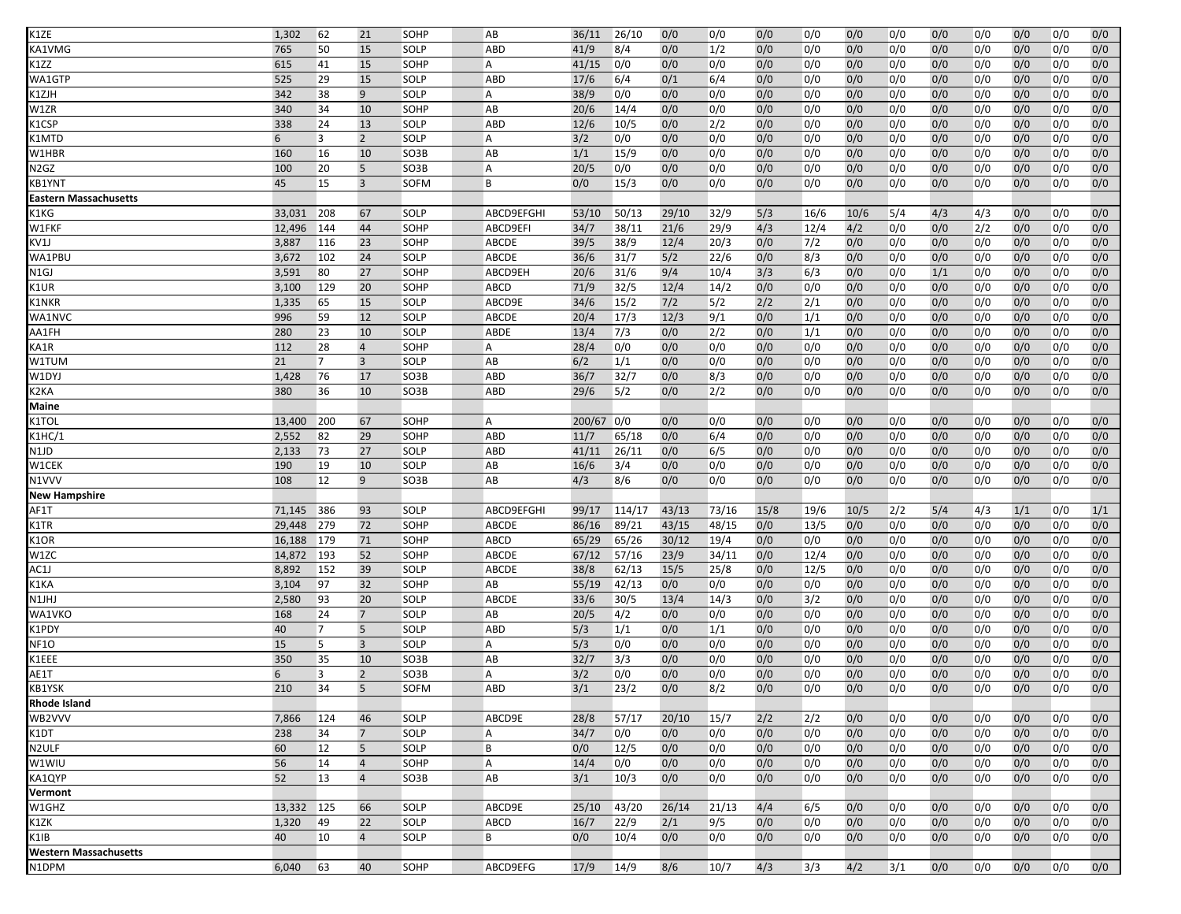| K1ZE                                                                                                                                                                                                                                                   | 1,302  | 62             | 21             | SOHP        | AB             | 36/11  | 26/10  | 0/0   | 0/0   | 0/0  | 0/0  | 0/0  | 0/0 | 0/0 | 0/0 | 0/0 | 0/0 | 0/0 |
|--------------------------------------------------------------------------------------------------------------------------------------------------------------------------------------------------------------------------------------------------------|--------|----------------|----------------|-------------|----------------|--------|--------|-------|-------|------|------|------|-----|-----|-----|-----|-----|-----|
| <a1vmg< td=""><td>765</td><td>50</td><td>15</td><td>SOLP</td><td><b>ABD</b></td><td>41/9</td><td>8/4</td><td>0/0</td><td>1/2</td><td>0/0</td><td>0/0</td><td>0/0</td><td>0/0</td><td>0/0</td><td>0/0</td><td>0/0</td><td>0/0</td><td>0/0</td></a1vmg<> | 765    | 50             | 15             | SOLP        | <b>ABD</b>     | 41/9   | 8/4    | 0/0   | 1/2   | 0/0  | 0/0  | 0/0  | 0/0 | 0/0 | 0/0 | 0/0 | 0/0 | 0/0 |
| K1ZZ                                                                                                                                                                                                                                                   | 615    | 41             | 15             | SOHP        | A              | 41/15  | 0/0    | 0/0   | 0/0   | 0/0  | 0/0  | 0/0  | 0/0 | 0/0 | 0/0 | 0/0 | 0/0 | 0/0 |
| WA1GTP                                                                                                                                                                                                                                                 | 525    | 29             | 15             | SOLP        | <b>ABD</b>     | 17/6   | 6/4    | 0/1   | 6/4   | 0/0  | 0/0  | 0/0  | 0/0 | 0/0 | 0/0 | 0/0 | 0/0 | 0/0 |
| <1ZJH                                                                                                                                                                                                                                                  | 342    | 38             | 9              | SOLP        | A              | 38/9   | 0/0    | 0/0   | 0/0   | 0/0  | 0/0  | 0/0  | 0/0 | 0/0 | 0/0 | 0/0 | 0/0 | 0/0 |
| W1ZR                                                                                                                                                                                                                                                   | 340    | 34             | 10             | SOHP        | AB             | 20/6   | 14/4   | 0/0   | 0/0   | 0/0  | 0/0  | 0/0  | 0/0 | 0/0 | 0/0 | 0/0 | 0/0 | 0/0 |
| <b>&lt;1CSP</b>                                                                                                                                                                                                                                        | 338    | 24             | 13             | SOLP        | <b>ABD</b>     | 12/6   | 10/5   | 0/0   | 2/2   | 0/0  | 0/0  | 0/0  | 0/0 | 0/0 | 0/0 | 0/0 | 0/0 | 0/0 |
| <1MTD                                                                                                                                                                                                                                                  | 6      | 3              | $2^{\circ}$    | SOLP        | A              | 3/2    | 0/0    | 0/0   | 0/0   | 0/0  | 0/0  | 0/0  | 0/0 | 0/0 | 0/0 | 0/0 | 0/0 | 0/0 |
| W1HBR                                                                                                                                                                                                                                                  | 160    | 16             | 10             | SO3B        | AB             | 1/1    | 15/9   | 0/0   | 0/0   | 0/0  | 0/0  | 0/0  | 0/0 | 0/0 | 0/0 | 0/0 | 0/0 | 0/0 |
| N2GZ                                                                                                                                                                                                                                                   | 100    | 20             | 5              | SO3B        | A              | 20/5   | 0/0    | 0/0   | 0/0   | 0/0  | 0/0  | 0/0  | 0/0 | 0/0 | 0/0 | 0/0 | 0/0 | 0/0 |
| KB1YNT                                                                                                                                                                                                                                                 | 45     | 15             | $\overline{3}$ | SOFM        | B              | 0/0    | 15/3   | 0/0   | 0/0   | 0/0  | 0/0  | 0/0  | 0/0 | 0/0 | 0/0 | 0/0 | 0/0 | 0/0 |
| Eastern Massachusetts                                                                                                                                                                                                                                  |        |                |                |             |                |        |        |       |       |      |      |      |     |     |     |     |     |     |
| K1KG                                                                                                                                                                                                                                                   | 33,031 | 208            | 67             | SOLP        | ABCD9EFGHI     | 53/10  | 50/13  | 29/10 | 32/9  | 5/3  | 16/6 | 10/6 | 5/4 | 4/3 | 4/3 | 0/0 | 0/0 | 0/0 |
| W1FKF                                                                                                                                                                                                                                                  | 12,496 | 144            | 44             | SOHP        | ABCD9EFI       | 34/7   | 38/11  | 21/6  | 29/9  | 4/3  | 12/4 | 4/2  | 0/0 | 0/0 | 2/2 | 0/0 | 0/0 | 0/0 |
| KV1J                                                                                                                                                                                                                                                   | 3,887  | 116            | 23             | SOHP        | <b>ABCDE</b>   | 39/5   | 38/9   | 12/4  | 20/3  | 0/0  | 7/2  | 0/0  | 0/0 | 0/0 | 0/0 | 0/0 | 0/0 | 0/0 |
| WA1PBU                                                                                                                                                                                                                                                 | 3,672  | 102            | 24             | SOLP        | ABCDE          | 36/6   | 31/7   | 5/2   | 22/6  | 0/0  | 8/3  | 0/0  | 0/0 | 0/0 | 0/0 | 0/0 | 0/0 | 0/0 |
| N1GJ                                                                                                                                                                                                                                                   | 3,591  | 80             | 27             | SOHP        | ABCD9EH        | 20/6   | 31/6   | 9/4   | 10/4  | 3/3  | 6/3  | 0/0  | 0/0 | 1/1 | 0/0 | 0/0 | 0/0 | 0/0 |
| <b>&lt;1UR</b>                                                                                                                                                                                                                                         | 3,100  | 129            | 20             | SOHP        | <b>ABCD</b>    | 71/9   | 32/5   | 12/4  | 14/2  | 0/0  | 0/0  | 0/0  | 0/0 | 0/0 | 0/0 | 0/0 | 0/0 | 0/0 |
| <b>&lt;1NKR</b>                                                                                                                                                                                                                                        | 1,335  | 65             | 15             | SOLP        | ABCD9E         | 34/6   | 15/2   | 7/2   | 5/2   | 2/2  | 2/1  | 0/0  | 0/0 | 0/0 | 0/0 | 0/0 | 0/0 | 0/0 |
| WA1NVC                                                                                                                                                                                                                                                 | 996    | 59             | 12             | SOLP        | <b>ABCDE</b>   | 20/4   | 17/3   | 12/3  | 9/1   | 0/0  | 1/1  | 0/0  | 0/0 | 0/0 | 0/0 | 0/0 | 0/0 | 0/0 |
| AA1FH                                                                                                                                                                                                                                                  | 280    | 23             | 10             | SOLP        | ABDE           | 13/4   | 7/3    | 0/0   | 2/2   | 0/0  | 1/1  | 0/0  | 0/0 | 0/0 | 0/0 | 0/0 | 0/0 | 0/0 |
| KA1R                                                                                                                                                                                                                                                   | 112    | 28             | $\overline{4}$ | SOHP        | A              | 28/4   | 0/0    | 0/0   | 0/0   | 0/0  | 0/0  | 0/0  | 0/0 | 0/0 | 0/0 | 0/0 | 0/0 | 0/0 |
| W1TUM                                                                                                                                                                                                                                                  | 21     | $\overline{7}$ | $\overline{3}$ | SOLP        | AB             | 6/2    | 1/1    | 0/0   | 0/0   | 0/0  | 0/0  | 0/0  | 0/0 | 0/0 | 0/0 | 0/0 | 0/0 | 0/0 |
| W1DYJ                                                                                                                                                                                                                                                  | 1,428  | 76             | 17             | SO3B        | ABD            | 36/7   | 32/7   | 0/0   | 8/3   | 0/0  | 0/0  | 0/0  | 0/0 | 0/0 | 0/0 | 0/0 | 0/0 | 0/0 |
| <2KA                                                                                                                                                                                                                                                   | 380    | 36             | 10             | SO3B        | ABD            | 29/6   | 5/2    | 0/0   | 2/2   | 0/0  | 0/0  | 0/0  | 0/0 | 0/0 | 0/0 | 0/0 | 0/0 | 0/0 |
| Maine                                                                                                                                                                                                                                                  |        |                |                |             |                |        |        |       |       |      |      |      |     |     |     |     |     |     |
| K1TOL                                                                                                                                                                                                                                                  | 13,400 | 200            | 67             | SOHP        | A              | 200/67 | 0/0    | 0/0   | 0/0   | 0/0  | 0/0  | 0/0  | 0/0 | 0/0 | 0/0 | 0/0 | 0/0 | 0/0 |
| K1HC/1                                                                                                                                                                                                                                                 | 2,552  | 82             | 29             | SOHP        | ABD            | 11/7   | 65/18  | 0/0   | 6/4   | 0/0  | 0/0  | 0/0  | 0/0 | 0/0 | 0/0 | 0/0 | 0/0 | 0/0 |
| N1JD                                                                                                                                                                                                                                                   | 2,133  | 73             | 27             | SOLP        | <b>ABD</b>     | 41/11  | 26/11  | 0/0   | 6/5   | 0/0  | 0/0  | 0/0  | 0/0 | 0/0 | 0/0 | 0/0 | 0/0 | 0/0 |
| W1CEK                                                                                                                                                                                                                                                  | 190    | 19             | 10             | SOLP        | AB             | 16/6   | 3/4    | 0/0   | 0/0   | 0/0  | 0/0  | 0/0  | 0/0 | 0/0 | 0/0 | 0/0 | 0/0 | 0/0 |
| N1VVV                                                                                                                                                                                                                                                  | 108    | 12             | 9              | SO3B        | AB             | 4/3    | 8/6    | 0/0   | 0/0   | 0/0  | 0/0  | 0/0  | 0/0 | 0/0 | 0/0 | 0/0 | 0/0 | 0/0 |
| New Hampshire                                                                                                                                                                                                                                          |        |                |                |             |                |        |        |       |       |      |      |      |     |     |     |     |     |     |
| AF1T                                                                                                                                                                                                                                                   | 71,145 | 386            | 93             | SOLP        | ABCD9EFGHI     | 99/17  | 114/17 | 43/13 | 73/16 | 15/8 | 19/6 | 10/5 | 2/2 | 5/4 | 4/3 | 1/1 | 0/0 | 1/1 |
| $\langle$ 1TR                                                                                                                                                                                                                                          | 29,448 | 279            | 72             | SOHP        | <b>ABCDE</b>   | 86/16  | 89/21  | 43/15 | 48/15 | 0/0  | 13/5 | 0/0  | 0/0 | 0/0 | 0/0 | 0/0 | 0/0 | 0/0 |
| (1OR)                                                                                                                                                                                                                                                  | 16,188 | 179            | 71             | SOHP        | ABCD           | 65/29  | 65/26  | 30/12 | 19/4  | 0/0  | 0/0  | 0/0  | 0/0 | 0/0 | 0/0 | 0/0 | 0/0 | 0/0 |
| W1ZC                                                                                                                                                                                                                                                   | 14,872 | 193            | 52             | SOHP        | <b>ABCDE</b>   | 67/12  | 57/16  | 23/9  | 34/11 | 0/0  | 12/4 | 0/0  | 0/0 | 0/0 | 0/0 | 0/0 | 0/0 | 0/0 |
| AC1J                                                                                                                                                                                                                                                   | 8,892  | 152            | 39             | SOLP        | <b>ABCDE</b>   | 38/8   | 62/13  | 15/5  | 25/8  | 0/0  | 12/5 | 0/0  | 0/0 | 0/0 | 0/0 | 0/0 | 0/0 | 0/0 |
| <b>&lt;1KA</b>                                                                                                                                                                                                                                         | 3,104  | 97             | 32             | SOHP        | AB             | 55/19  | 42/13  | 0/0   | 0/0   | 0/0  | 0/0  | 0/0  | 0/0 | 0/0 | 0/0 | 0/0 | 0/0 | 0/0 |
| N1JHJ                                                                                                                                                                                                                                                  | 2,580  | 93             | 20             | SOLP        | <b>ABCDE</b>   | 33/6   | 30/5   | 13/4  | 14/3  | 0/0  | 3/2  | 0/0  | 0/0 | 0/0 | 0/0 | 0/0 | 0/0 | 0/0 |
| WA1VKO                                                                                                                                                                                                                                                 | 168    | 24             | $\overline{7}$ | SOLP        | AB             | 20/5   | 4/2    | 0/0   | 0/0   | 0/0  | 0/0  | 0/0  | 0/0 | 0/0 | 0/0 | 0/0 | 0/0 | 0/0 |
| <b>&lt;1PDY</b>                                                                                                                                                                                                                                        | 40     | 7              | 5              | SOLP        | ABD            | 5/3    | 1/1    | 0/0   | 1/1   | 0/0  | 0/0  | 0/0  | 0/0 | 0/0 | 0/0 | 0/0 | 0/0 | 0/0 |
| <b>NF10</b>                                                                                                                                                                                                                                            | 15     | 5              | $\overline{3}$ | SOLP        | A              | 5/3    | 0/0    | 0/0   | 0/0   | 0/0  | 0/0  | 0/0  | 0/0 | 0/0 | 0/0 | 0/0 | 0/0 | 0/0 |
| <1EEE                                                                                                                                                                                                                                                  | 350    | 35             | 10             | SO3B        | AB             | 32/7   | 3/3    | 0/0   | 0/0   | 0/0  | 0/0  | 0/0  | 0/0 | 0/0 | 0/0 | 0/0 | 0/0 | 0/0 |
| AE1T                                                                                                                                                                                                                                                   | 6      | 3              | $\overline{2}$ | SO3B        | A              | 3/2    | 0/0    | 0/0   | 0/0   | 0/0  | 0/0  | 0/0  | 0/0 | 0/0 | 0/0 | 0/0 | 0/0 | 0/0 |
| KB1YSK                                                                                                                                                                                                                                                 | 210    | 34             | 5              | <b>SOFM</b> | <b>ABD</b>     | 3/1    | 23/2   | 0/0   | 8/2   | 0/0  | 0/0  | 0/0  | 0/0 | 0/0 | 0/0 | 0/0 | 0/0 | 0/0 |
| Rhode Island                                                                                                                                                                                                                                           |        |                |                |             |                |        |        |       |       |      |      |      |     |     |     |     |     |     |
| WB2VVV                                                                                                                                                                                                                                                 | 7,866  | 124            | 46             | SOLP        | ABCD9E         | 28/8   | 57/17  | 20/10 | 15/7  | 2/2  | 2/2  | 0/0  | 0/0 | 0/0 | 0/0 | 0/0 | 0/0 | 0/0 |
| K1DT                                                                                                                                                                                                                                                   | 238    | 34             | $\overline{7}$ | SOLP        | A              | 34/7   | 0/0    | 0/0   | 0/0   | 0/0  | 0/0  | 0/0  | 0/0 | 0/0 | 0/0 | 0/0 | 0/0 | 0/0 |
| N2ULF                                                                                                                                                                                                                                                  | 60     | 12             | 5              | SOLP        | B              | 0/0    | 12/5   | 0/0   | 0/0   | 0/0  | 0/0  | 0/0  | 0/0 | 0/0 | 0/0 | 0/0 | 0/0 | 0/0 |
| W1WIU                                                                                                                                                                                                                                                  | 56     | 14             | $\overline{4}$ | SOHP        | $\overline{A}$ | 14/4   | 0/0    | 0/0   | 0/0   | 0/0  | 0/0  | 0/0  | 0/0 | 0/0 | 0/0 | 0/0 | 0/0 | 0/0 |
| KA1QYP                                                                                                                                                                                                                                                 | 52     | 13             | $\overline{4}$ | SO3B        | AB             | 3/1    | 10/3   | 0/0   | 0/0   | 0/0  | 0/0  | 0/0  | 0/0 | 0/0 | 0/0 | 0/0 | 0/0 | 0/0 |
| Vermont                                                                                                                                                                                                                                                |        |                |                |             |                |        |        |       |       |      |      |      |     |     |     |     |     |     |
| W1GHZ                                                                                                                                                                                                                                                  | 13,332 | 125            | 66             | SOLP        | ABCD9E         | 25/10  | 43/20  | 26/14 | 21/13 | 4/4  | 6/5  | 0/0  | 0/0 | 0/0 | 0/0 | 0/0 | 0/0 | 0/0 |
| K1ZK                                                                                                                                                                                                                                                   | 1,320  | 49             | 22             | SOLP        | ABCD           | 16/7   | 22/9   | 2/1   | 9/5   | 0/0  | 0/0  | 0/0  | 0/0 | 0/0 | 0/0 | 0/0 | 0/0 | 0/0 |
| <1IB                                                                                                                                                                                                                                                   | 40     | 10             | $\overline{4}$ | SOLP        | B              | 0/0    | 10/4   | 0/0   | 0/0   | 0/0  | 0/0  | 0/0  | 0/0 | 0/0 | 0/0 | 0/0 | 0/0 | 0/0 |
| Western Massachusetts                                                                                                                                                                                                                                  |        |                |                |             |                |        |        |       |       |      |      |      |     |     |     |     |     |     |
| N1DPM                                                                                                                                                                                                                                                  | 6,040  | 63             | 40             | SOHP        | ABCD9EFG       | 17/9   | 14/9   | 8/6   | 10/7  | 4/3  | 3/3  | 4/2  | 3/1 | 0/0 | 0/0 | 0/0 | 0/0 | 0/0 |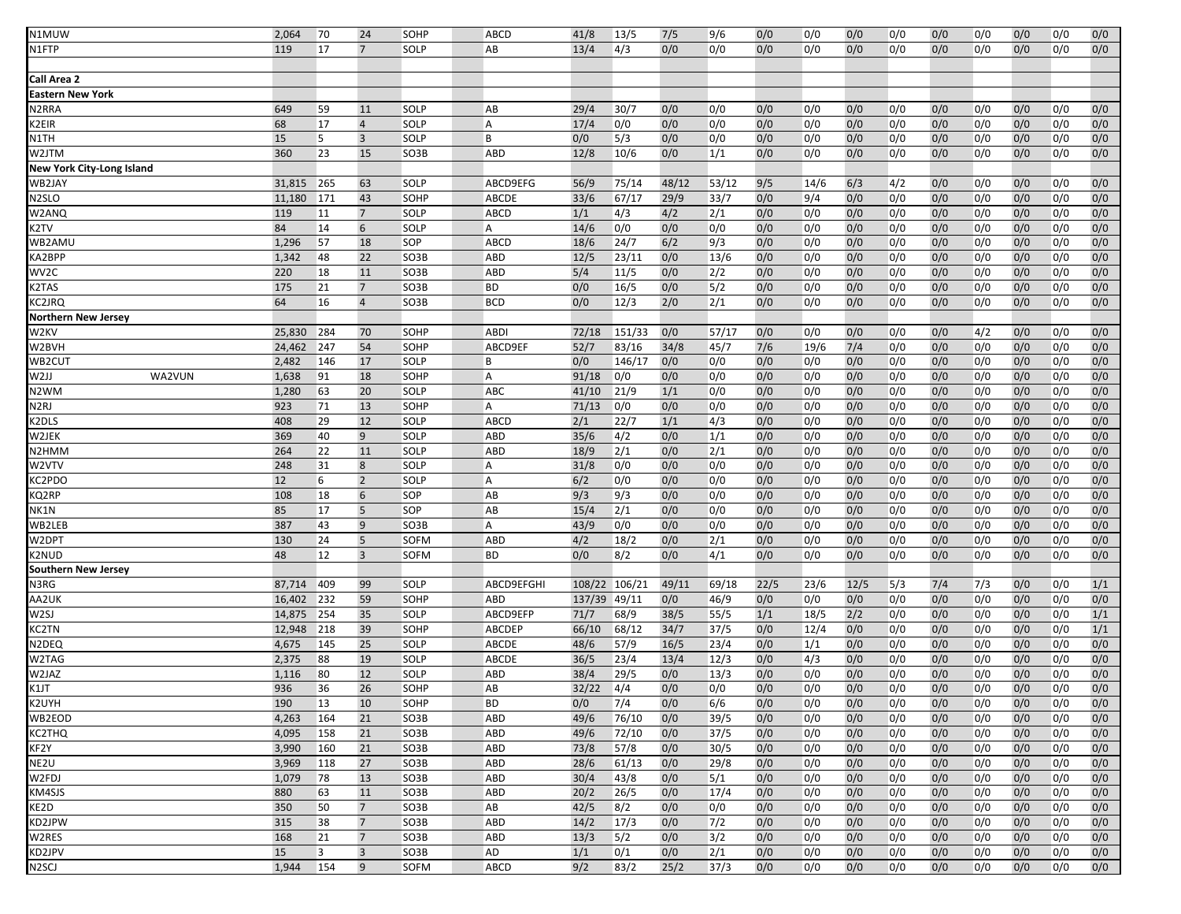| N1MUW                     | 2,064  | 70  | 24                      | SOHP | ABCD           | 41/8   | 13/5   | 7/5   | 9/6   | 0/0  | 0/0  | 0/0  | 0/0 | 0/0 | 0/0 | 0/0 | 0/0 | 0/0 |
|---------------------------|--------|-----|-------------------------|------|----------------|--------|--------|-------|-------|------|------|------|-----|-----|-----|-----|-----|-----|
|                           |        |     | $\overline{7}$          |      |                |        |        |       |       |      |      |      |     |     |     |     |     |     |
| N1FTP                     | 119    | 17  |                         | SOLP | AB             | 13/4   | 4/3    | 0/0   | 0/0   | 0/0  | 0/0  | 0/0  | 0/0 | 0/0 | 0/0 | 0/0 | 0/0 | 0/0 |
|                           |        |     |                         |      |                |        |        |       |       |      |      |      |     |     |     |     |     |     |
| Call Area 2               |        |     |                         |      |                |        |        |       |       |      |      |      |     |     |     |     |     |     |
| <b>Eastern New York</b>   |        |     |                         |      |                |        |        |       |       |      |      |      |     |     |     |     |     |     |
| N2RRA                     | 649    | 59  | 11                      | SOLP | AB             | 29/4   | 30/7   | 0/0   | 0/0   | 0/0  | 0/0  | 0/0  | 0/0 | 0/0 | 0/0 | 0/0 | 0/0 | 0/0 |
| K2EIR                     | 68     | 17  | $\overline{4}$          | SOLP | A              | 17/4   | 0/0    | 0/0   | 0/0   | 0/0  | 0/0  | 0/0  | 0/0 | 0/0 | 0/0 | 0/0 | 0/0 | 0/0 |
| N1TH                      | 15     | 5   | $\overline{\mathbf{3}}$ | SOLP | B              | 0/0    | 5/3    | 0/0   | 0/0   | 0/0  | 0/0  | 0/0  | 0/0 | 0/0 | 0/0 | 0/0 | 0/0 | 0/0 |
| W2JTM                     | 360    | 23  | 15                      | SO3B | ABD            | 12/8   | 10/6   | 0/0   | 1/1   | 0/0  | 0/0  | 0/0  | 0/0 | 0/0 | 0/0 | 0/0 | 0/0 | 0/0 |
| New York City-Long Island |        |     |                         |      |                |        |        |       |       |      |      |      |     |     |     |     |     |     |
| WB2JAY                    | 31,815 | 265 | 63                      | SOLP | ABCD9EFG       | 56/9   | 75/14  | 48/12 | 53/12 | 9/5  | 14/6 | 6/3  | 4/2 | 0/0 | 0/0 | 0/0 | 0/0 | 0/0 |
| N <sub>2</sub> SLO        | 11,180 | 171 | 43                      | SOHP | ABCDE          | 33/6   | 67/17  | 29/9  | 33/7  | 0/0  | 9/4  | 0/0  | 0/0 | 0/0 | 0/0 | 0/0 | 0/0 | 0/0 |
|                           |        |     |                         |      |                | 1/1    |        |       |       |      |      |      |     |     |     |     |     |     |
| W2ANQ                     | 119    | 11  | $7\overline{ }$         | SOLP | ABCD           |        | 4/3    | 4/2   | 2/1   | 0/0  | 0/0  | 0/0  | 0/0 | 0/0 | 0/0 | 0/0 | 0/0 | 0/0 |
| K2TV                      | 84     | 14  | 6                       | SOLP | А              | 14/6   | 0/0    | 0/0   | 0/0   | 0/0  | 0/0  | 0/0  | 0/0 | 0/0 | 0/0 | 0/0 | 0/0 | 0/0 |
| WB2AMU                    | 1,296  | 57  | 18                      | SOP  | ABCD           | 18/6   | 24/7   | 6/2   | 9/3   | 0/0  | 0/0  | 0/0  | 0/0 | 0/0 | 0/0 | 0/0 | 0/0 | 0/0 |
| KA2BPP                    | 1,342  | 48  | 22                      | SO3B | ABD            | 12/5   | 23/11  | 0/0   | 13/6  | 0/0  | 0/0  | 0/0  | 0/0 | 0/0 | 0/0 | 0/0 | 0/0 | 0/0 |
| WV2C                      | 220    | 18  | 11                      | SO3B | ABD            | 5/4    | 11/5   | 0/0   | 2/2   | 0/0  | 0/0  | 0/0  | 0/0 | 0/0 | 0/0 | 0/0 | 0/0 | 0/0 |
| K2TAS                     | 175    | 21  | $\overline{7}$          | SO3B | <b>BD</b>      | 0/0    | 16/5   | 0/0   | 5/2   | 0/0  | 0/0  | 0/0  | 0/0 | 0/0 | 0/0 | 0/0 | 0/0 | 0/0 |
| KC2JRQ                    | 64     | 16  | $\overline{4}$          | SO3B | <b>BCD</b>     | 0/0    | 12/3   | 2/0   | 2/1   | 0/0  | 0/0  | 0/0  | 0/0 | 0/0 | 0/0 | 0/0 | 0/0 | 0/0 |
| Northern New Jersey       |        |     |                         |      |                |        |        |       |       |      |      |      |     |     |     |     |     |     |
| W2KV                      | 25,830 | 284 | 70                      | SOHP | <b>ABDI</b>    | 72/18  | 151/33 | 0/0   | 57/17 | 0/0  | 0/0  | 0/0  | 0/0 | 0/0 | 4/2 | 0/0 | 0/0 | 0/0 |
| W2BVH                     | 24,462 | 247 | 54                      | SOHP | ABCD9EF        | 52/7   | 83/16  | 34/8  | 45/7  | 7/6  | 19/6 | 7/4  | 0/0 | 0/0 | 0/0 | 0/0 | 0/0 | 0/0 |
| WB2CUT                    | 2,482  | 146 | 17                      | SOLP | B              | 0/0    | 146/17 | 0/0   | 0/0   | 0/0  | 0/0  | 0/0  | 0/0 | 0/0 | 0/0 | 0/0 | 0/0 | 0/0 |
| WA2VUN<br>W2JJ            | 1,638  | 91  | 18                      | SOHP | А              | 91/18  | 0/0    | 0/0   | 0/0   | 0/0  | 0/0  | 0/0  | 0/0 | 0/0 | 0/0 | 0/0 | 0/0 | 0/0 |
| N2WM                      | 1,280  | 63  | 20                      | SOLP | ABC            | 41/10  | 21/9   | 1/1   | 0/0   | 0/0  | 0/0  | 0/0  | 0/0 | 0/0 | 0/0 | 0/0 | 0/0 | 0/0 |
|                           | 923    |     | 13                      |      | A              | 71/13  | 0/0    |       |       | 0/0  |      | 0/0  |     | 0/0 |     |     |     | 0/0 |
| <b>N2RJ</b>               |        | 71  |                         | SOHP |                |        |        | 0/0   | 0/0   |      | 0/0  |      | 0/0 |     | 0/0 | 0/0 | 0/0 |     |
| K2DLS                     | 408    | 29  | 12                      | SOLP | ABCD           | 2/1    | 22/7   | 1/1   | 4/3   | 0/0  | 0/0  | 0/0  | 0/0 | 0/0 | 0/0 | 0/0 | 0/0 | 0/0 |
| W2JEK                     | 369    | 40  | 9                       | SOLP | <b>ABD</b>     | 35/6   | 4/2    | 0/0   | 1/1   | 0/0  | 0/0  | 0/0  | 0/0 | 0/0 | 0/0 | 0/0 | 0/0 | 0/0 |
| N <sub>2</sub> HMM        | 264    | 22  | 11                      | SOLP | <b>ABD</b>     | 18/9   | 2/1    | 0/0   | 2/1   | 0/0  | 0/0  | 0/0  | 0/0 | 0/0 | 0/0 | 0/0 | 0/0 | 0/0 |
| W2VTV                     | 248    | 31  | 8                       | SOLP | Α              | 31/8   | 0/0    | 0/0   | 0/0   | 0/0  | 0/0  | 0/0  | 0/0 | 0/0 | 0/0 | 0/0 | 0/0 | 0/0 |
| KC2PDO                    | 12     | 6   | $\overline{2}$          | SOLP | $\overline{A}$ | 6/2    | 0/0    | 0/0   | 0/0   | 0/0  | 0/0  | 0/0  | 0/0 | 0/0 | 0/0 | 0/0 | 0/0 | 0/0 |
| KQ2RP                     | 108    | 18  | 6                       | SOP  | AB             | 9/3    | 9/3    | 0/0   | 0/0   | 0/0  | 0/0  | 0/0  | 0/0 | 0/0 | 0/0 | 0/0 | 0/0 | 0/0 |
| NK1N                      | 85     | 17  | 5                       | SOP  | AB             | 15/4   | 2/1    | 0/0   | 0/0   | 0/0  | 0/0  | 0/0  | 0/0 | 0/0 | 0/0 | 0/0 | 0/0 | 0/0 |
| WB2LEB                    | 387    | 43  | 9                       | SO3B | $\overline{A}$ | 43/9   | 0/0    | 0/0   | 0/0   | 0/0  | 0/0  | 0/0  | 0/0 | 0/0 | 0/0 | 0/0 | 0/0 | 0/0 |
| W2DPT                     | 130    | 24  | 5                       | SOFM | <b>ABD</b>     | 4/2    | 18/2   | 0/0   | 2/1   | 0/0  | 0/0  | 0/0  | 0/0 | 0/0 | 0/0 | 0/0 | 0/0 | 0/0 |
| K2NUD                     | 48     | 12  | $\overline{\mathbf{3}}$ | SOFM | <b>BD</b>      | 0/0    | 8/2    | 0/0   | 4/1   | 0/0  | 0/0  | 0/0  | 0/0 | 0/0 | 0/0 | 0/0 | 0/0 | 0/0 |
| Southern New Jersey       |        |     |                         |      |                |        |        |       |       |      |      |      |     |     |     |     |     |     |
| N3RG                      | 87,714 | 409 | 99                      | SOLP | ABCD9EFGHI     | 108/22 | 106/21 | 49/11 | 69/18 | 22/5 | 23/6 | 12/5 | 5/3 | 7/4 | 7/3 | 0/0 | 0/0 | 1/1 |
| AA2UK                     | 16,402 | 232 | 59                      | SOHP | ABD            | 137/39 | 49/11  | 0/0   | 46/9  | 0/0  | 0/0  | 0/0  | 0/0 | 0/0 | 0/0 | 0/0 | 0/0 | 0/0 |
|                           |        |     |                         |      |                |        |        |       |       |      |      |      |     |     |     |     |     |     |
| W <sub>2SJ</sub>          | 14,875 | 254 | 35                      | SOLP | ABCD9EFP       | 71/7   | 68/9   | 38/5  | 55/5  | 1/1  | 18/5 | 2/2  | 0/0 | 0/0 | 0/0 | 0/0 | 0/0 | 1/1 |
| <b>KC2TN</b>              | 12,948 | 218 | 39                      | SOHP | ABCDEP         | 66/10  | 68/12  | 34/7  | 37/5  | 0/0  | 12/4 | 0/0  | 0/0 | 0/0 | 0/0 | 0/0 | 0/0 | 1/1 |
| N2DEQ                     | 4,675  | 145 | 25                      | SOLP | ABCDE          | 48/6   | 57/9   | 16/5  | 23/4  | 0/0  | 1/1  | 0/0  | 0/0 | 0/0 | 0/0 | 0/0 | 0/0 | 0/0 |
| W2TAG                     | 2,375  | 88  | 19                      | SOLP | ABCDE          | 36/5   | 23/4   | 13/4  | 12/3  | 0/0  | 4/3  | 0/0  | 0/0 | 0/0 | 0/0 | 0/0 | 0/0 | 0/0 |
| W2JAZ                     | 1,116  | 80  | 12                      | SOLP | ABD            | 38/4   | 29/5   | 0/0   | 13/3  | 0/0  | 0/0  | 0/0  | 0/0 | 0/0 | 0/0 | 0/0 | 0/0 | 0/0 |
| K1JT                      | 936    | 36  | 26                      | SOHP | AB             | 32/22  | 4/4    | 0/0   | 0/0   | 0/0  | 0/0  | 0/0  | 0/0 | 0/0 | 0/0 | 0/0 | 0/0 | 0/0 |
| K2UYH                     | 190    | 13  | 10                      | SOHP | <b>BD</b>      | 0/0    | 7/4    | 0/0   | 6/6   | 0/0  | 0/0  | 0/0  | 0/0 | 0/0 | 0/0 | 0/0 | 0/0 | 0/0 |
| WB2EOD                    | 4,263  | 164 | 21                      | SO3B | ABD            | 49/6   | 76/10  | 0/0   | 39/5  | 0/0  | 0/0  | 0/0  | 0/0 | 0/0 | 0/0 | 0/0 | 0/0 | 0/0 |
| KC2THQ                    | 4,095  | 158 | 21                      | SO3B | ABD            | 49/6   | 72/10  | 0/0   | 37/5  | 0/0  | 0/0  | 0/0  | 0/0 | 0/0 | 0/0 | 0/0 | 0/0 | 0/0 |
| KF2Y                      | 3,990  | 160 | 21                      | SO3B | ABD            | 73/8   | 57/8   | 0/0   | 30/5  | 0/0  | 0/0  | 0/0  | 0/0 | 0/0 | 0/0 | 0/0 | 0/0 | 0/0 |
| NE2U                      | 3,969  | 118 | 27                      | SO3B | ABD            | 28/6   | 61/13  | 0/0   | 29/8  | 0/0  | 0/0  | 0/0  | 0/0 | 0/0 | 0/0 | 0/0 | 0/0 | 0/0 |
| W2FDJ                     | 1,079  | 78  | 13                      | SO3B | ABD            | 30/4   | 43/8   | 0/0   | 5/1   | 0/0  | 0/0  | 0/0  | 0/0 | 0/0 | 0/0 | 0/0 | 0/0 | 0/0 |
|                           |        |     |                         |      |                |        |        |       |       |      |      |      |     |     |     |     |     |     |
| KM4SJS                    | 880    | 63  | 11                      | SO3B | ABD            | 20/2   | 26/5   | 0/0   | 17/4  | 0/0  | 0/0  | 0/0  | 0/0 | 0/0 | 0/0 | 0/0 | 0/0 | 0/0 |
| KE2D                      | 350    | 50  | $\overline{7}$          | SO3B | AB             | 42/5   | 8/2    | 0/0   | 0/0   | 0/0  | 0/0  | 0/0  | 0/0 | 0/0 | 0/0 | 0/0 | 0/0 | 0/0 |
| KD2JPW                    | 315    | 38  | $7\overline{ }$         | SO3B | ABD            | 14/2   | 17/3   | 0/0   | 7/2   | 0/0  | 0/0  | 0/0  | 0/0 | 0/0 | 0/0 | 0/0 | 0/0 | 0/0 |
| W2RES                     | 168    | 21  | $\overline{7}$          | SO3B | ABD            | 13/3   | 5/2    | 0/0   | 3/2   | 0/0  | 0/0  | 0/0  | 0/0 | 0/0 | 0/0 | 0/0 | 0/0 | 0/0 |
| KD2JPV                    | 15     | 3   | $\overline{\mathbf{3}}$ | SO3B | AD             | 1/1    | 0/1    | 0/0   | 2/1   | 0/0  | 0/0  | 0/0  | 0/0 | 0/0 | 0/0 | 0/0 | 0/0 | 0/0 |
| N2SCJ                     | 1,944  | 154 | 9                       | SOFM | ABCD           | 9/2    | 83/2   | 25/2  | 37/3  | 0/0  | 0/0  | 0/0  | 0/0 | 0/0 | 0/0 | 0/0 | 0/0 | 0/0 |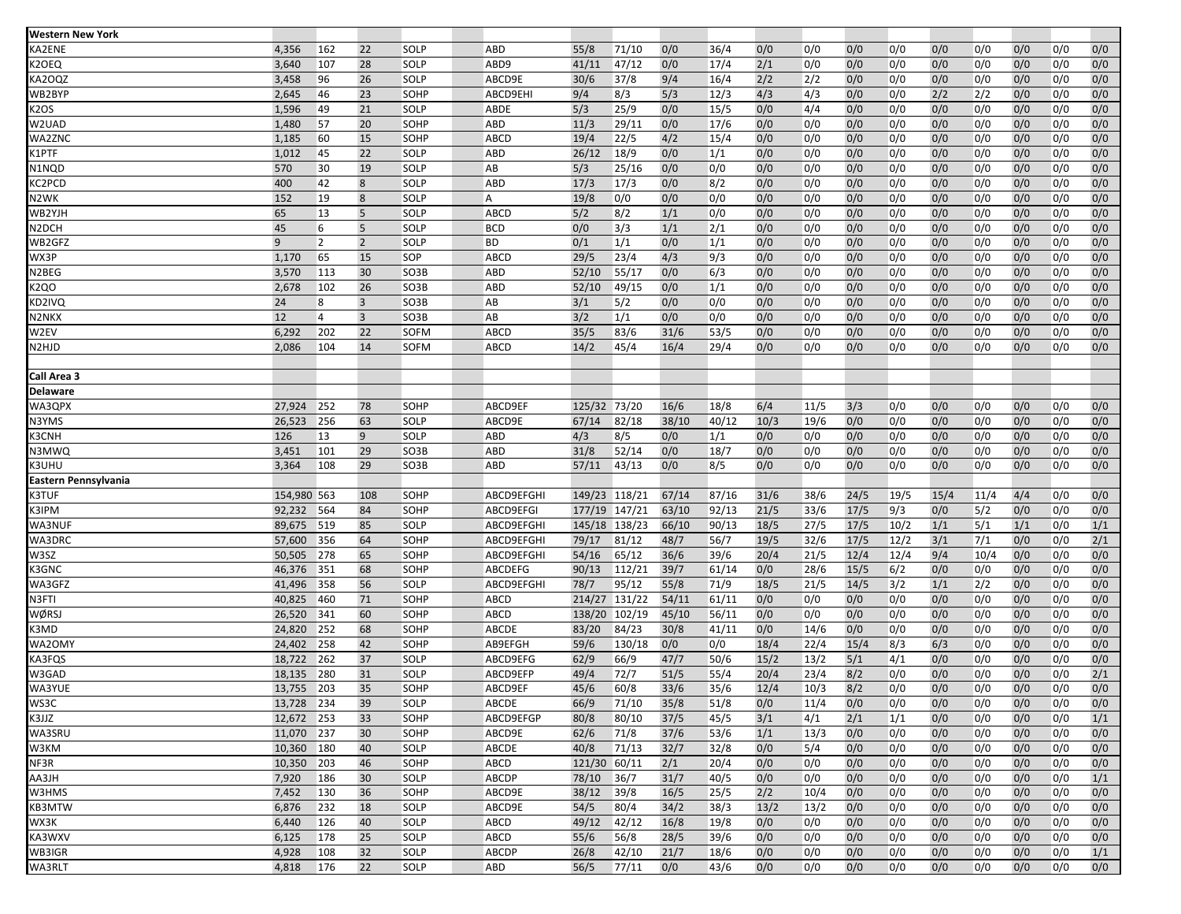| <b>Western New York</b> |             |                |                |             |                |               |               |       |       |      |      |       |      |      |      |     |     |     |
|-------------------------|-------------|----------------|----------------|-------------|----------------|---------------|---------------|-------|-------|------|------|-------|------|------|------|-----|-----|-----|
| KA2ENE                  | 4,356       | 162            | 22             | SOLP        | ABD            | 55/8          | 71/10         | 0/0   | 36/4  | 0/0  | 0/0  | 0/0   | 0/0  | 0/0  | 0/0  | 0/0 | 0/0 | 0/0 |
| K2OEQ                   | 3,640       | 107            | 28             | SOLP        | ABD9           | 41/11         | 47/12         | 0/0   | 17/4  | 2/1  | 0/0  | 0/0   | 0/0  | 0/0  | 0/0  | 0/0 | 0/0 | 0/0 |
| KA2OQZ                  | 3,458       | 96             | 26             | SOLP        | ABCD9E         | 30/6          | 37/8          | 9/4   | 16/4  | 2/2  | 2/2  | 0/0   | 0/0  | 0/0  | 0/0  | 0/0 | 0/0 | 0/0 |
| WB2BYP                  | 2,645       | 46             | 23             | SOHP        | ABCD9EHI       | 9/4           | 8/3           | 5/3   | 12/3  | 4/3  | 4/3  | 0/0   | 0/0  | 2/2  | 2/2  | 0/0 | 0/0 | 0/0 |
| K2OS                    | 1,596       | 49             | 21             | SOLP        | ABDE           | 5/3           | 25/9          | 0/0   | 15/5  | 0/0  | 4/4  | 0/0   | 0/0  | 0/0  | 0/0  | 0/0 | 0/0 | 0/0 |
| W2UAD                   | 1,480       | 57             | 20             | SOHP        | ABD            | 11/3          | 29/11         | 0/0   | 17/6  | 0/0  | 0/0  | 0/0   | 0/0  | 0/0  | 0/0  | 0/0 | 0/0 | 0/0 |
| WA2ZNC                  | 1,185       | 60             | 15             | SOHP        | ABCD           | 19/4          | 22/5          | 4/2   | 15/4  | 0/0  | 0/0  | 0/0   | 0/0  | 0/0  | 0/0  | 0/0 | 0/0 | 0/0 |
| K1PTF                   | 1,012       | 45             | 22             | <b>SOLP</b> | ABD            | 26/12         | 18/9          | 0/0   | 1/1   | 0/0  | 0/0  | 0/0   | 0/0  | 0/0  | 0/0  | 0/0 | 0/0 | 0/0 |
| N1NQD                   | 570         | 30             | 19             | SOLP        | AB             | 5/3           | 25/16         | 0/0   | 0/0   | 0/0  | 0/0  | 0/0   | 0/0  | 0/0  | 0/0  | 0/0 | 0/0 | 0/0 |
| KC2PCD                  | 400         | 42             | 8              | <b>SOLP</b> | ABD            | 17/3          | 17/3          | 0/0   | 8/2   | 0/0  | 0/0  | 0/0   | 0/0  | 0/0  | 0/0  | 0/0 | 0/0 | 0/0 |
| N2WK                    | 152         | 19             | 8              | SOLP        | A              | 19/8          | 0/0           | 0/0   | 0/0   | 0/0  | 0/0  | 0/0   | 0/0  | 0/0  | 0/0  | 0/0 | 0/0 | 0/0 |
| WB2YJH                  | 65          | 13             | 5              | SOLP        | ABCD           | 5/2           | 8/2           | 1/1   | 0/0   | 0/0  | 0/0  | 0/0   | 0/0  | 0/0  | 0/0  | 0/0 | 0/0 | 0/0 |
| N <sub>2</sub> DCH      | 45          | 6              | 5              | SOLP        | <b>BCD</b>     | 0/0           | 3/3           | 1/1   | 2/1   | 0/0  | 0/0  | 0/0   | 0/0  | 0/0  | 0/0  | 0/0 | 0/0 | 0/0 |
| WB2GFZ                  | 9           | $\overline{2}$ | $\overline{2}$ | SOLP        | <b>BD</b>      | 0/1           | 1/1           | 0/0   | 1/1   | 0/0  | 0/0  | 0/0   | 0/0  | 0/0  | 0/0  | 0/0 | 0/0 | 0/0 |
| WX3P                    | 1,170       | 65             | 15             | SOP         | ABCD           | 29/5          | 23/4          | 4/3   | 9/3   | 0/0  | 0/0  | 0/0   | 0/0  | 0/0  | 0/0  | 0/0 | 0/0 | 0/0 |
| N2BEG                   | 3,570       | 113            | 30             | SO3B        | ABD            | 52/10         | 55/17         | 0/0   | 6/3   | 0/0  | 0/0  | 0/0   | 0/0  | 0/0  | 0/0  | 0/0 | 0/0 | 0/0 |
| <b>K2QO</b>             | 2,678       | 102            | 26             | SO3B        | ABD            | 52/10         | 49/15         | 0/0   | 1/1   | 0/0  | 0/0  | 0/0   | 0/0  | 0/0  | 0/0  | 0/0 | 0/0 | 0/0 |
| KD2IVQ                  | 24          | 8              | $\overline{3}$ | SO3B        | AB             | 3/1           | 5/2           | 0/0   | 0/0   | 0/0  | 0/0  | 0/0   | 0/0  | 0/0  | 0/0  | 0/0 | 0/0 | 0/0 |
| N2NKX                   | 12          | $\overline{4}$ | $\overline{3}$ | SO3B        | AB             | 3/2           | 1/1           | 0/0   | 0/0   | 0/0  | 0/0  | 0/0   | 0/0  | 0/0  | 0/0  | 0/0 | 0/0 | 0/0 |
| W2EV                    | 6,292       | 202            | 22             | SOFM        | ABCD           | 35/5          | 83/6          | 31/6  | 53/5  | 0/0  | 0/0  | 0/0   | 0/0  | 0/0  | 0/0  | 0/0 | 0/0 | 0/0 |
| N2HJD                   | 2,086       | 104            | 14             | SOFM        | ABCD           | 14/2          | 45/4          | 16/4  | 29/4  | 0/0  | 0/0  | 0/0   | 0/0  | 0/0  | 0/0  | 0/0 | 0/0 | 0/0 |
|                         |             |                |                |             |                |               |               |       |       |      |      |       |      |      |      |     |     |     |
| Call Area 3             |             |                |                |             |                |               |               |       |       |      |      |       |      |      |      |     |     |     |
| Delaware                |             |                |                |             |                |               |               |       |       |      |      |       |      |      |      |     |     |     |
| WA3QPX                  | 27,924      | 252            | 78             | SOHP        | ABCD9EF        | 125/32        | 73/20         | 16/6  | 18/8  | 6/4  | 11/5 | 3/3   | 0/0  | 0/0  | 0/0  | 0/0 | 0/0 | 0/0 |
| N3YMS                   | 26,523      | 256            | 63             | SOLP        | ABCD9E         | 67/14         | 82/18         | 38/10 | 40/12 | 10/3 | 19/6 | 0/0   | 0/0  | 0/0  | 0/0  | 0/0 | 0/0 | 0/0 |
| K3CNH                   | 126         | 13             | 9              | SOLP        | <b>ABD</b>     | 4/3           | 8/5           | 0/0   | 1/1   | 0/0  | 0/0  | 0/0   | 0/0  | 0/0  | 0/0  | 0/0 | 0/0 | 0/0 |
| N3MWQ                   | 3,451       | 101            | 29             | SO3B        | ABD            | 31/8          | 52/14         | 0/0   | 18/7  | 0/0  | 0/0  | 0/0   | 0/0  | 0/0  | 0/0  | 0/0 | 0/0 | 0/0 |
| K3UHU                   | 3,364       | 108            | 29             | SO3B        | ABD            | 57/11         | 43/13         | 0/0   | 8/5   | 0/0  | 0/0  | 0/0   | 0/0  | 0/0  | 0/0  | 0/0 | 0/0 | 0/0 |
| Eastern Pennsylvania    |             |                |                |             |                |               |               |       |       |      |      |       |      |      |      |     |     |     |
| <b>K3TUF</b>            | 154,980 563 |                | 108            | SOHP        | ABCD9EFGHI     | 149/23 118/21 |               | 67/14 | 87/16 | 31/6 | 38/6 | 24/5  | 19/5 | 15/4 | 11/4 | 4/4 | 0/0 | 0/0 |
| K3IPM                   | 92,232      | 564            | 84             | SOHP        | ABCD9EFGI      | 177/19 147/21 |               | 63/10 | 92/13 | 21/5 | 33/6 | 17/5  | 9/3  | 0/0  | 5/2  | 0/0 | 0/0 | 0/0 |
| WA3NUF                  | 89,675      | 519            | 85             | SOLP        | ABCD9EFGHI     |               | 145/18 138/23 | 66/10 | 90/13 | 18/5 | 27/5 | 17/5  | 10/2 | 1/1  | 5/1  | 1/1 | 0/0 | 1/1 |
| WA3DRC                  | 57,600      | 356            | 64             | SOHP        | ABCD9EFGHI     | 79/17         | 81/12         | 48/7  | 56/7  | 19/5 | 32/6 | 17/5  | 12/2 | 3/1  | 7/1  | 0/0 | 0/0 | 2/1 |
| W3SZ                    | 50,505      | 278            | 65             | SOHP        | ABCD9EFGHI     | 54/16         | 65/12         | 36/6  | 39/6  | 20/4 | 21/5 | 12/4  | 12/4 | 9/4  | 10/4 | 0/0 | 0/0 | 0/0 |
| K3GNC                   | 46,376      | 351            | 68             | SOHP        | <b>ABCDEFG</b> | 90/13         | 112/21        | 39/7  | 61/14 | 0/0  | 28/6 | 15/5  | 6/2  | 0/0  | 0/0  | 0/0 | 0/0 | 0/0 |
| WA3GFZ                  | 41,496      | 358            | 56             | SOLP        | ABCD9EFGHI     | 78/7          | 95/12         | 55/8  | 71/9  | 18/5 | 21/5 | 14/5  | 3/2  | 1/1  | 2/2  | 0/0 | 0/0 | 0/0 |
| N3FTI                   | 40,825      | 460            | 71             | SOHP        | ABCD           | 214/27        | 131/22        | 54/11 | 61/11 | 0/0  | 0/0  | 0/0   | 0/0  | 0/0  | 0/0  | 0/0 | 0/0 | 0/0 |
| WØRSJ                   | 26,520      | 341            | 60             | SOHP        | ABCD           | 138/20        | 102/19        | 45/10 | 56/11 | 0/0  | 0/0  | 0/0   | 0/0  | 0/0  | 0/0  | 0/0 | 0/0 | 0/0 |
| K3MD                    | 24,820      | 252            | 68             | SOHP        | ABCDE          | 83/20         | 84/23         | 30/8  | 41/11 | 0/0  | 14/6 | 0/0   | 0/0  | 0/0  | 0/0  | 0/0 | 0/0 | 0/0 |
| WA2OMY                  | 24,402      | 258            | 42             | SOHP        | AB9EFGH        | 59/6          | 130/18        | 0/0   | 0/0   | 18/4 | 22/4 | 15/4  | 8/3  | 6/3  | 0/0  | 0/0 | 0/0 | 0/0 |
| KA3FQS                  | 18,722      | 262            | 37             | SOLP        | ABCD9EFG       | 62/9          | 66/9          | 47/7  | 50/6  | 15/2 | 13/2 | $5/1$ | 4/1  | 0/0  | 0/0  | 0/0 | 0/0 | 0/0 |
| W3GAD                   | 18,135      | 280            | 31             | SOLP        | ABCD9EFP       | 49/4          | 72/7          | 51/5  | 55/4  | 20/4 | 23/4 | 8/2   | 0/0  | 0/0  | 0/0  | 0/0 | 0/0 | 2/1 |
| WA3YUE                  | 13,755      | 203            | 35             | SOHP        | ABCD9EF        | 45/6          | 60/8          | 33/6  | 35/6  | 12/4 | 10/3 | 8/2   | 0/0  | 0/0  | 0/0  | 0/0 | 0/0 | 0/0 |
| WS3C                    | 13,728 234  |                | 39             | SOLP        | ABCDE          | 66/9          | 71/10         | 35/8  | 51/8  | 0/0  | 11/4 | 0/0   | 0/0  | 0/0  | 0/0  | 0/0 | 0/0 | 0/0 |
| K3JJZ                   | 12,672      | 253            | 33             | SOHP        | ABCD9EFGP      | 80/8          | 80/10         | 37/5  | 45/5  | 3/1  | 4/1  | 2/1   | 1/1  | 0/0  | 0/0  | 0/0 | 0/0 | 1/1 |
| WA3SRU                  | 11,070 237  |                | 30             | SOHP        | ABCD9E         | 62/6          | 71/8          | 37/6  | 53/6  | 1/1  | 13/3 | 0/0   | 0/0  | 0/0  | 0/0  | 0/0 | 0/0 | 0/0 |
| W3KM                    | 10,360      | 180            | 40             | SOLP        | ABCDE          | 40/8          | 71/13         | 32/7  | 32/8  | 0/0  | 5/4  | 0/0   | 0/0  | 0/0  | 0/0  | 0/0 | 0/0 | 0/0 |
| NF3R                    | 10,350      | 203            | 46             | SOHP        | ABCD           | 121/30 60/11  |               | 2/1   | 20/4  | 0/0  | 0/0  | 0/0   | 0/0  | 0/0  | 0/0  | 0/0 | 0/0 | 0/0 |
| AA3JH                   | 7,920       | 186            | 30             | SOLP        | ABCDP          | 78/10         | 36/7          | 31/7  | 40/5  | 0/0  | 0/0  | 0/0   | 0/0  | 0/0  | 0/0  | 0/0 | 0/0 | 1/1 |
| W3HMS                   | 7,452       | 130            | 36             | SOHP        | ABCD9E         | 38/12         | 39/8          | 16/5  | 25/5  | 2/2  | 10/4 | 0/0   | 0/0  | 0/0  | 0/0  | 0/0 | 0/0 | 0/0 |
| KB3MTW                  | 6,876       | 232            | 18             | SOLP        | ABCD9E         | 54/5          | 80/4          | 34/2  | 38/3  | 13/2 | 13/2 | 0/0   | 0/0  | 0/0  | 0/0  | 0/0 | 0/0 | 0/0 |
| WX3K                    | 6,440       | 126            | 40             | SOLP        | ABCD           | 49/12         | 42/12         | 16/8  | 19/8  | 0/0  | 0/0  | 0/0   | 0/0  | 0/0  | 0/0  | 0/0 | 0/0 | 0/0 |
| KA3WXV                  | 6,125       | 178            | 25             | SOLP        | ABCD           | 55/6          | 56/8          | 28/5  | 39/6  | 0/0  | 0/0  | 0/0   | 0/0  | 0/0  | 0/0  | 0/0 | 0/0 | 0/0 |
| WB3IGR                  | 4,928       | 108            | 32             | SOLP        | ABCDP          | 26/8          | 42/10         | 21/7  | 18/6  | 0/0  | 0/0  | 0/0   | 0/0  | 0/0  | 0/0  | 0/0 | 0/0 | 1/1 |
| WA3RLT                  | 4,818       | 176            | 22             | SOLP        | ABD            | 56/5          | 77/11         | 0/0   | 43/6  | 0/0  | 0/0  | 0/0   | 0/0  | 0/0  | 0/0  | 0/0 | 0/0 | 0/0 |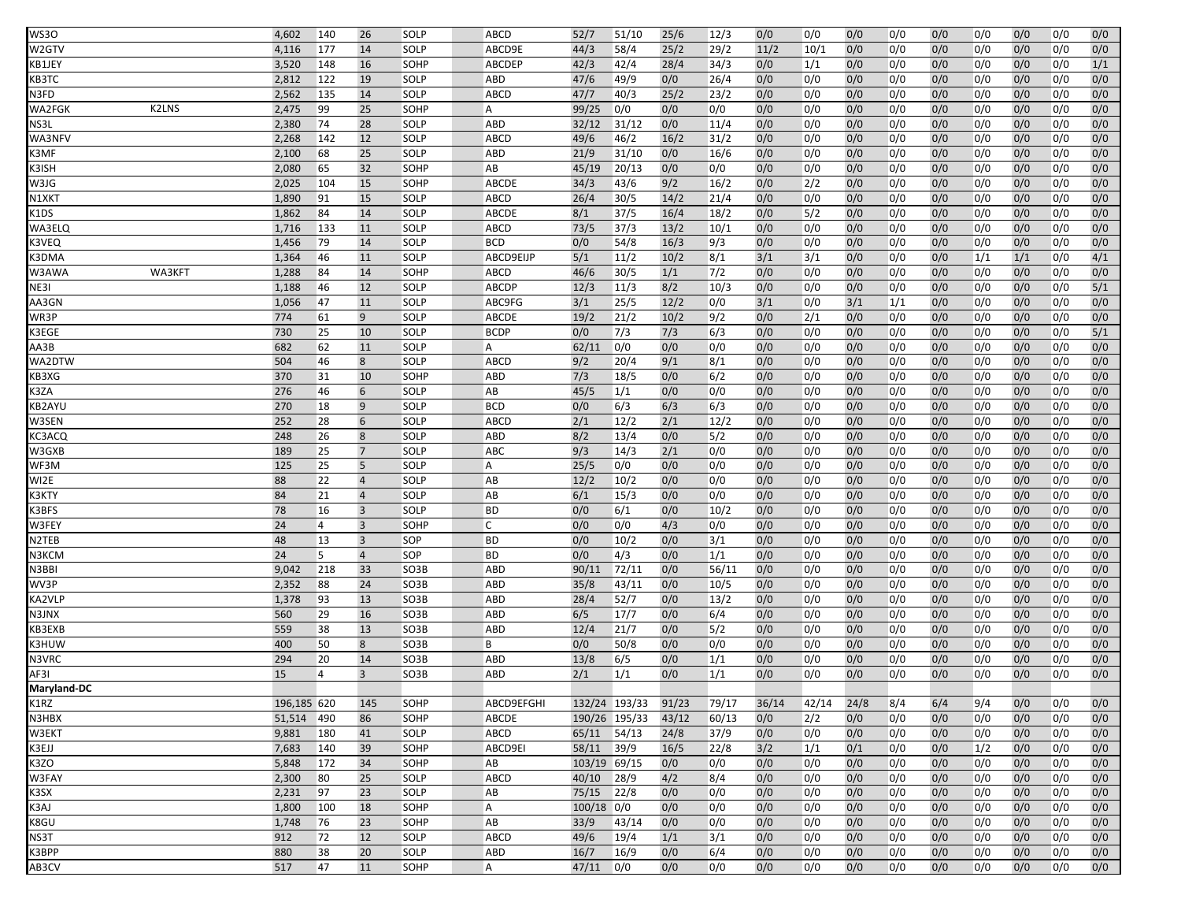| <b>WS30</b>     | 4,602        | 140      | 26                  | SOLP                | ABCD                  | 52/7         | 51/10               | 25/6       | 12/3       | 0/0        | 0/0        | 0/0        | 0/0        | 0/0        | 0/0        | 0/0        | 0/0        | 0/0        |
|-----------------|--------------|----------|---------------------|---------------------|-----------------------|--------------|---------------------|------------|------------|------------|------------|------------|------------|------------|------------|------------|------------|------------|
| W2GTV           | 4,116        | 177      | 14                  | SOLP                | ABCD9E                | 44/3         | 58/4                | 25/2       | 29/2       | 11/2       | 10/1       | 0/0        | 0/0        | 0/0        | 0/0        | 0/0        | 0/0        | 0/0        |
| KB1JEY          | 3,520        | 148      | 16                  | SOHP                | <b>ABCDEP</b>         | 42/3         | 42/4                | 28/4       | 34/3       | 0/0        | 1/1        | 0/0        | 0/0        | 0/0        | 0/0        | 0/0        | 0/0        | 1/1        |
| KB3TC           | 2,812        | 122      | 19                  | SOLP                | ABD                   | 47/6         | 49/9                | 0/0        | 26/4       | 0/0        | 0/0        | 0/0        | 0/0        | 0/0        | 0/0        | 0/0        | 0/0        | 0/0        |
| N3FD            | 2,562        | 135      | 14                  | SOLP                | ABCD                  | 47/7         | 40/3                | 25/2       | 23/2       | 0/0        | 0/0        | 0/0        | 0/0        | 0/0        | 0/0        | 0/0        | 0/0        | 0/0        |
| K2LNS<br>WA2FGK | 2,475        | 99       | 25                  | SOHP                | A                     | 99/25        | 0/0                 | 0/0        | 0/0        | 0/0        | 0/0        | 0/0        | 0/0        | 0/0        | 0/0        | 0/0        | 0/0        | 0/0        |
| NS3L            | 2,380        | 74       | 28                  | SOLP                | ABD                   | 32/12        | 31/12               | 0/0        | 11/4       | 0/0        | 0/0        | 0/0        | 0/0        | 0/0        | 0/0        | 0/0        | 0/0        | 0/0        |
| WA3NFV          | 2,268        | 142      | 12                  | SOLP                | ABCD                  | 49/6         | 46/2                | 16/2       | 31/2       | 0/0        | 0/0        | 0/0        | 0/0        | 0/0        | 0/0        | 0/0        | 0/0        | 0/0        |
| K3MF            | 2,100        | 68       | 25                  | SOLP                | ABD                   | 21/9         | 31/10               | 0/0        | 16/6       | 0/0        | 0/0        | 0/0        | 0/0        | 0/0        | 0/0        | 0/0        | 0/0        | 0/0        |
| K3ISH           | 2,080        | 65       | 32                  | SOHP                | AB                    | 45/19        | 20/13               | 0/0        | 0/0        | 0/0        | 0/0        | 0/0        | 0/0        | 0/0        | 0/0        | 0/0        | 0/0        | 0/0        |
| W3JG            | 2,025        | 104      | 15                  | SOHP                | ABCDE                 | 34/3         | 43/6                | 9/2        | 16/2       | 0/0        | 2/2        | 0/0        | 0/0        | 0/0        | 0/0        | 0/0        | 0/0        | 0/0        |
| N1XKT           | 1,890        | 91       | 15                  | SOLP                | ABCD                  | 26/4         | 30/5                | 14/2       | 21/4       | 0/0        | 0/0        | 0/0        | 0/0        | 0/0        | 0/0        | 0/0        | 0/0        | 0/0        |
| K1DS            | 1,862        | 84       | 14                  | SOLP                | ABCDE                 | 8/1          | 37/5                | 16/4       | 18/2       | 0/0        | 5/2        | 0/0        | 0/0        | 0/0        | 0/0        | 0/0        | 0/0        | 0/0        |
| <b>WA3ELQ</b>   | 1,716        | 133      | 11                  | SOLP                | ABCD                  | 73/5         | 37/3                | 13/2       | 10/1       | 0/0        | 0/0        | 0/0        | 0/0        | 0/0        | 0/0        | 0/0        | 0/0        | 0/0        |
| K3VEQ           | 1,456        | 79       | 14                  | SOLP                | <b>BCD</b>            | 0/0          | 54/8                | 16/3       | 9/3        | 0/0        | 0/0        | 0/0        | 0/0        | 0/0        | 0/0        | 0/0        | 0/0        | 0/0        |
| K3DMA           | 1,364        | 46       | 11                  | SOLP                | ABCD9EIJP             | $5/1$        | 11/2                | 10/2       | 8/1        | 3/1        | 3/1        | 0/0        | 0/0        | 0/0        | 1/1        | 1/1        | 0/0        | 4/1        |
| WA3KFT<br>W3AWA | 1,288        | 84       | 14                  | SOHP                | ABCD                  | 46/6         | 30/5                | 1/1        | $7/2$      | 0/0        | 0/0        | 0/0        | 0/0        | 0/0        | 0/0        | 0/0        | 0/0        | 0/0        |
| NE3I            | 1,188        | 46       | 12                  | SOLP                | <b>ABCDP</b>          | 12/3         | 11/3                | 8/2        | 10/3       | 0/0        | 0/0        | 0/0        | 0/0        | 0/0        | 0/0        | 0/0        | 0/0        | 5/1        |
| AA3GN           | 1,056        | 47       | 11                  | SOLP                | ABC9FG                | 3/1          | 25/5                | 12/2       | 0/0        | 3/1        | 0/0        | 3/1        | 1/1        | 0/0        | 0/0        | 0/0        | 0/0        | 0/0        |
| WR3P            | 774          | 61       | 9                   | SOLP                | ABCDE                 | 19/2         | 21/2                | 10/2       | 9/2        | 0/0        | 2/1        | 0/0        | 0/0        | 0/0        | 0/0        | 0/0        | 0/0        | 0/0        |
| K3EGE           | 730          | 25       | 10                  | SOLP                | <b>BCDP</b>           | 0/0          | 7/3                 | 7/3        | 6/3        | 0/0        | 0/0        | 0/0        | 0/0        | 0/0        | 0/0        | 0/0        | 0/0        | 5/1        |
| $A$ A $3$ B     | 682          | 62       | 11                  | SOLP                | А                     | 62/11        | 0/0                 | 0/0        | 0/0        | 0/0        | 0/0        | 0/0        | 0/0        | 0/0        | 0/0        | 0/0        | 0/0        | 0/0        |
| WA2DTW          | 504          | 46       | 8                   | SOLP                | ABCD                  | 9/2          | 20/4                | 9/1        | 8/1        | 0/0        | 0/0        | 0/0        | 0/0        | 0/0        | 0/0        | 0/0        | 0/0        | 0/0        |
| KB3XG           | 370          | 31       | 10                  | SOHP                | ABD                   | 7/3          | 18/5                | 0/0        | 6/2        | 0/0        | 0/0        | 0/0        | 0/0        | 0/0        | 0/0        | 0/0        | 0/0        | 0/0        |
| K3ZA            | 276          | 46       | 6                   | SOLP                | AB                    | 45/5         | 1/1                 | 0/0        | 0/0        | 0/0        | 0/0        | 0/0        | 0/0        | 0/0        | 0/0        | 0/0        | 0/0        | 0/0        |
| KB2AYU          | 270          | 18       | 9                   | SOLP                | <b>BCD</b>            | 0/0          | 6/3                 | 6/3        | 6/3        | 0/0        | 0/0        | 0/0        | 0/0        | 0/0        | 0/0        | 0/0        | 0/0        | 0/0        |
| W3SEN           | 252          | 28       | 6                   | SOLP                | ABCD                  | 2/1          | 12/2                | 2/1        | 12/2       | 0/0        | 0/0        | 0/0        | 0/0        | 0/0        | 0/0        | 0/0        | 0/0        | 0/0        |
| KC3ACQ          | 248          | 26       | 8<br>$\overline{7}$ | SOLP                | <b>ABD</b>            | 8/2<br>9/3   | 13/4                | 0/0        | 5/2        | 0/0        | 0/0        | 0/0        | 0/0        | 0/0        | 0/0        | 0/0        | 0/0        | 0/0        |
| W3GXB<br>WF3M   | 189<br>125   | 25<br>25 | 5                   | <b>SOLP</b><br>SOLP | ABC<br>$\overline{A}$ | 25/5         | 14/3<br>0/0         | 2/1<br>0/0 | 0/0<br>0/0 | 0/0<br>0/0 | 0/0<br>0/0 | 0/0<br>0/0 | 0/0<br>0/0 | 0/0<br>0/0 | 0/0<br>0/0 | 0/0<br>0/0 | 0/0<br>0/0 | 0/0<br>0/0 |
| WI2E            | 88           | 22       | $\overline{4}$      | SOLP                | AB                    | 12/2         | 10/2                | 0/0        | 0/0        | 0/0        | 0/0        | 0/0        | 0/0        | 0/0        | 0/0        | 0/0        | 0/0        | 0/0        |
| КЗКТҮ           | 84           | 21       | $\overline{4}$      | SOLP                | AB                    | 6/1          | 15/3                | 0/0        | 0/0        | 0/0        | 0/0        | 0/0        | 0/0        | 0/0        | 0/0        | 0/0        | 0/0        | 0/0        |
| K3BFS           | 78           | 16       | $\overline{3}$      | SOLP                | <b>BD</b>             | 0/0          | 6/1                 | 0/0        | 10/2       | 0/0        | 0/0        | 0/0        | 0/0        | 0/0        | 0/0        | 0/0        | 0/0        | 0/0        |
| W3FEY           | 24           | 4        | $\overline{3}$      | SOHP                | Ċ                     | 0/0          | 0/0                 | 4/3        | 0/0        | 0/0        | 0/0        | 0/0        | 0/0        | 0/0        | 0/0        | 0/0        | 0/0        | 0/0        |
| N2TEB           | 48           | 13       | $\overline{3}$      | SOP                 | <b>BD</b>             | 0/0          | 10/2                | 0/0        | 3/1        | 0/0        | 0/0        | 0/0        | 0/0        | 0/0        | 0/0        | 0/0        | 0/0        | 0/0        |
| N3KCM           | 24           | 5        | $\overline{4}$      | SOP                 | <b>BD</b>             | 0/0          | 4/3                 | 0/0        | 1/1        | 0/0        | 0/0        | 0/0        | 0/0        | 0/0        | 0/0        | 0/0        | 0/0        | 0/0        |
| N3BBI           | 9,042        | 218      | 33                  | SO3B                | ABD                   | 90/11        | 72/11               | 0/0        | 56/11      | 0/0        | 0/0        | 0/0        | 0/0        | 0/0        | 0/0        | 0/0        | 0/0        | 0/0        |
| WV3P            | 2,352        | 88       | 24                  | SO3B                | ABD                   | 35/8         | 43/11               | 0/0        | 10/5       | 0/0        | 0/0        | 0/0        | 0/0        | 0/0        | 0/0        | 0/0        | 0/0        | 0/0        |
| KA2VLP          | 1,378        | 93       | 13                  | SO3B                | ABD                   | 28/4         | 52/7                | 0/0        | 13/2       | 0/0        | 0/0        | 0/0        | 0/0        | 0/0        | 0/0        | 0/0        | 0/0        | 0/0        |
| N3JNX           | 560          | 29       | 16                  | SO3B                | <b>ABD</b>            | 6/5          | 17/7                | 0/0        | 6/4        | 0/0        | 0/0        | 0/0        | 0/0        | 0/0        | 0/0        | 0/0        | 0/0        | 0/0        |
| KB3EXB          | 559          | 38       | 13                  | SO3B                | ABD                   | 12/4         | 21/7                | 0/0        | 5/2        | 0/0        | 0/0        | 0/0        | 0/0        | 0/0        | 0/0        | 0/0        | 0/0        | 0/0        |
| K3HUW           | 400          | 50       | 8                   | SO3B                | B                     | 0/0          | 50/8                | 0/0        | 0/0        | 0/0        | 0/0        | 0/0        | 0/0        | 0/0        | 0/0        | 0/0        | 0/0        | 0/0        |
| N3VRC           | 294          | 20       | 14                  | SO3B                | ABD                   | 13/8         | 6/5                 | 0/0        | 1/1        | 0/0        | 0/0        | 0/0        | 0/0        | 0/0        | 0/0        | 0/0        | 0/0        | 0/0        |
| AF3I            | 15           | 4        | $\overline{3}$      | SO3B                | ABD                   | 2/1          | 1/1                 | 0/0        | 1/1        | 0/0        | 0/0        | 0/0        | 0/0        | 0/0        | 0/0        | 0/0        | 0/0        | 0/0        |
| Maryland-DC     |              |          |                     |                     |                       |              |                     |            |            |            |            |            |            |            |            |            |            |            |
| K1RZ            | 196,185 620  |          | 145                 | SOHP                | ABCD9EFGHI            |              | 132/24 193/33 91/23 |            | 79/17      | 36/14      | 42/14      | 24/8       | 8/4        | 6/4        | 9/4        | 0/0        | 0/0        | 0/0        |
| N3HBX           | 51,514       | 490      | 86                  | SOHP                | ABCDE                 |              | 190/26 195/33       | 43/12      | 60/13      | 0/0        | 2/2        | 0/0        | 0/0        | 0/0        | 0/0        | 0/0        | 0/0        | 0/0        |
| W3EKT           | 9,881        | 180      | 41                  | SOLP                | ABCD                  | 65/11 54/13  |                     | 24/8       | 37/9       | 0/0        | 0/0        | 0/0        | 0/0        | 0/0        | 0/0        | 0/0        | 0/0        | 0/0        |
| K3EJJ           | 7,683        | 140      | 39                  | SOHP                | ABCD9EI               | 58/11        | 39/9                | 16/5       | 22/8       | 3/2        | 1/1        | 0/1        | 0/0        | 0/0        | 1/2        | 0/0        | 0/0        | 0/0        |
| K3ZO            | 5,848        | 172      | 34                  | SOHP                | AB                    | 103/19 69/15 |                     | 0/0        | 0/0        | 0/0        | 0/0        | 0/0        | 0/0        | 0/0        | 0/0        | 0/0        | 0/0        | 0/0        |
| W3FAY           | 2,300        | 80       | 25                  | SOLP                | ABCD                  | 40/10        | 28/9                | 4/2        | 8/4        | 0/0        | 0/0        | 0/0        | 0/0        | 0/0        | 0/0        | 0/0        | 0/0        | 0/0        |
| K3SX            | 2,231        | 97       | 23                  | SOLP                | AB                    | 75/15        | 22/8                | 0/0        | 0/0        | 0/0        | 0/0        | 0/0        | 0/0        | 0/0        | 0/0        | 0/0        | 0/0        | 0/0        |
| K3AJ<br>K8GU    | 1,800        | 100      | 18<br>23            | SOHP                | A<br>AB               | $100/18$ 0/0 | 43/14               | 0/0        | 0/0        | 0/0        | 0/0        | 0/0        | 0/0        | 0/0        | 0/0        | 0/0        | 0/0        | 0/0<br>0/0 |
| NS3T            | 1,748<br>912 | 76<br>72 | 12                  | SOHP<br>SOLP        | ABCD                  | 33/9<br>49/6 | 19/4                | 0/0<br>1/1 | 0/0<br>3/1 | 0/0<br>0/0 | 0/0<br>0/0 | 0/0<br>0/0 | 0/0<br>0/0 | 0/0<br>0/0 | 0/0<br>0/0 | 0/0<br>0/0 | 0/0<br>0/0 | 0/0        |
| K3BPP           | 880          | 38       | 20                  | SOLP                | ABD                   | 16/7         | 16/9                | 0/0        | 6/4        | 0/0        | 0/0        | 0/0        | 0/0        | 0/0        | 0/0        | 0/0        | 0/0        | 0/0        |
| AB3CV           | 517          | 47       | 11                  | SOHP                | $\overline{A}$        | 47/11        | 0/0                 | 0/0        | 0/0        | 0/0        | 0/0        | 0/0        | 0/0        | 0/0        | 0/0        | 0/0        | 0/0        | 0/0        |
|                 |              |          |                     |                     |                       |              |                     |            |            |            |            |            |            |            |            |            |            |            |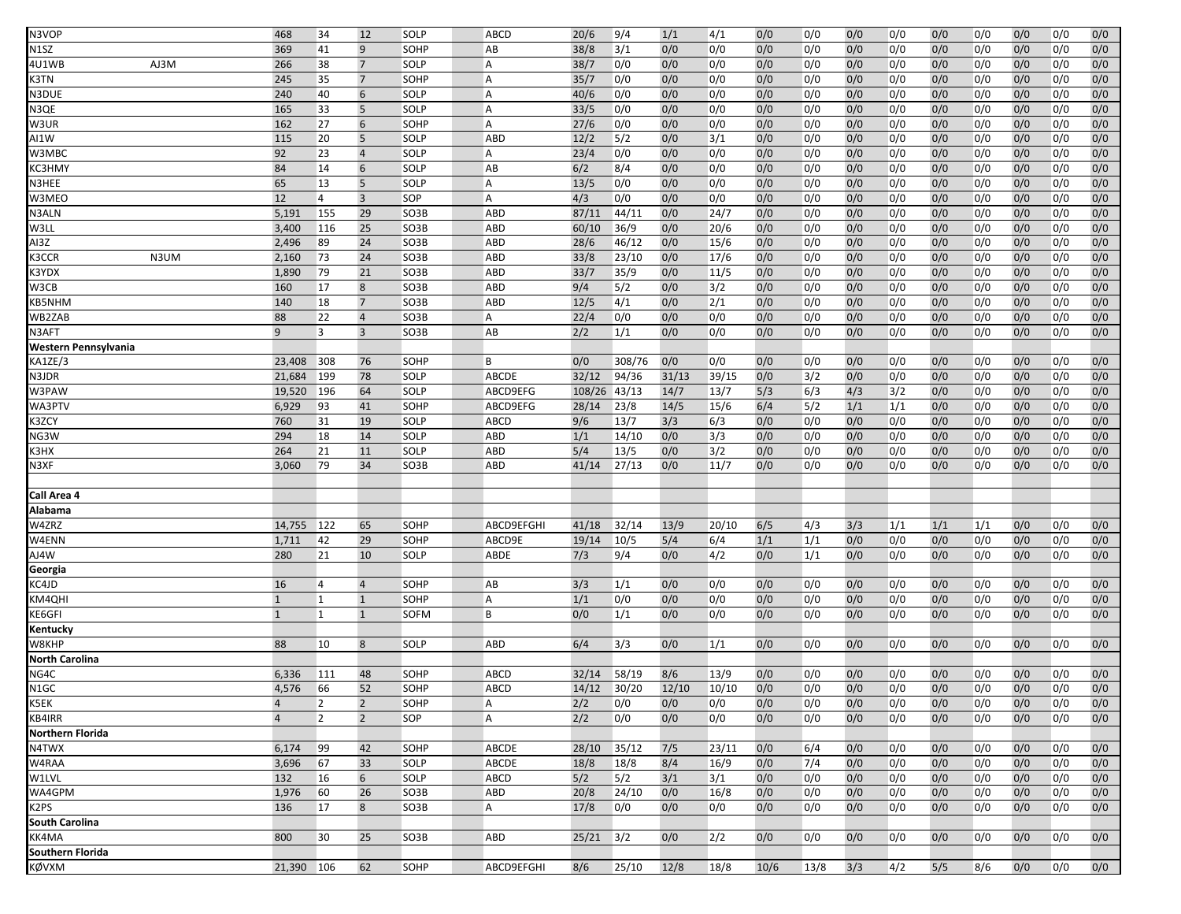| N3VOP                 |      | 468            | 34             | 12                  | SOLP              | ABCD           | 20/6         | 9/4    | 1/1   | 4/1   | 0/0  | 0/0  | 0/0        | 0/0 | 0/0 | 0/0        | 0/0 | 0/0 | 0/0        |
|-----------------------|------|----------------|----------------|---------------------|-------------------|----------------|--------------|--------|-------|-------|------|------|------------|-----|-----|------------|-----|-----|------------|
| N1SZ                  |      | 369            | 41             | 9                   | SOHP              | AB             | 38/8         | 3/1    | 0/0   | 0/0   | 0/0  | 0/0  | 0/0        | 0/0 | 0/0 | 0/0        | 0/0 | 0/0 | 0/0        |
| 4U1WB                 | AJ3M | 266            | 38             | $\overline{7}$      | SOLP              | A              | 38/7         | 0/0    | 0/0   | 0/0   | 0/0  | 0/0  | 0/0        | 0/0 | 0/0 | 0/0        | 0/0 | 0/0 | 0/0        |
| K3TN                  |      | 245            | 35             | $\overline{7}$      | SOHP              | A              | 35/7         | 0/0    | 0/0   | 0/0   | 0/0  | 0/0  | 0/0        | 0/0 | 0/0 | 0/0        | 0/0 | 0/0 | 0/0        |
| N3DUE                 |      | 240            | 40             | 6                   | SOLP              | Α              | 40/6         | 0/0    | 0/0   | 0/0   | 0/0  | 0/0  | 0/0        | 0/0 | 0/0 | 0/0        | 0/0 | 0/0 | 0/0        |
| N3QE                  |      | 165            | 33             | 5                   | SOLP              | A              | 33/5         | 0/0    | 0/0   | 0/0   | 0/0  | 0/0  | 0/0        | 0/0 | 0/0 | 0/0        | 0/0 | 0/0 | 0/0        |
| W3UR                  |      | 162            | 27             | 6                   | SOHP              | A              | 27/6         | 0/0    | 0/0   | 0/0   | 0/0  | 0/0  | 0/0        | 0/0 | 0/0 | 0/0        | 0/0 | 0/0 | 0/0        |
| AI1W                  |      | 115            | 20             | 5                   | SOLP              | <b>ABD</b>     | 12/2         | 5/2    | 0/0   | 3/1   | 0/0  | 0/0  | 0/0        | 0/0 | 0/0 | 0/0        | 0/0 | 0/0 | 0/0        |
| W3MBC                 |      | 92             | 23             | $\overline{4}$      | SOLP              | A              | 23/4         | 0/0    | 0/0   | 0/0   | 0/0  | 0/0  | 0/0        | 0/0 | 0/0 | 0/0        | 0/0 | 0/0 | 0/0        |
| KC3HMY                |      | 84             | 14             | 6                   | SOLP              | AB             | 6/2          | 8/4    | 0/0   | 0/0   | 0/0  | 0/0  | 0/0        | 0/0 | 0/0 | 0/0        | 0/0 | 0/0 | 0/0        |
| N3HEE                 |      | 65             | 13             | 5                   | SOLP              | A              | 13/5         | 0/0    | 0/0   | 0/0   | 0/0  | 0/0  | 0/0        | 0/0 | 0/0 | 0/0        | 0/0 | 0/0 | 0/0        |
| W3MEO                 |      | 12             | $\overline{4}$ | $\overline{3}$      | SOP               | A              | 4/3          | 0/0    | 0/0   | 0/0   | 0/0  | 0/0  | 0/0        | 0/0 | 0/0 | 0/0        | 0/0 | 0/0 | 0/0        |
| N3ALN                 |      | 5,191          | 155            | 29                  | SO3B              | <b>ABD</b>     | 87/11        | 44/11  | 0/0   | 24/7  | 0/0  | 0/0  | 0/0        | 0/0 | 0/0 | 0/0        | 0/0 | 0/0 | 0/0        |
| W3LL                  |      | 3,400          | 116            | 25                  | SO3B              | <b>ABD</b>     | 60/10        | 36/9   | 0/0   | 20/6  | 0/0  | 0/0  | 0/0        | 0/0 | 0/0 | 0/0        | 0/0 | 0/0 | 0/0        |
| AI3Z                  |      | 2,496          | 89             | 24                  | SO3B              | ABD            | 28/6         | 46/12  | 0/0   | 15/6  | 0/0  | 0/0  | 0/0        | 0/0 | 0/0 | 0/0        | 0/0 | 0/0 | 0/0        |
| K3CCR                 | N3UM | 2,160          | 73             | 24                  | SO3B              | ABD            | 33/8         | 23/10  | 0/0   | 17/6  | 0/0  | 0/0  | 0/0        | 0/0 | 0/0 |            | 0/0 | 0/0 | 0/0        |
|                       |      |                | 79             | 21                  |                   |                |              | 35/9   |       | 11/5  | 0/0  |      | 0/0        | 0/0 |     | 0/0<br>0/0 |     |     | 0/0        |
| K3YDX                 |      | 1,890          |                |                     | SO3B              | <b>ABD</b>     | 33/7         |        | 0/0   |       |      | 0/0  |            |     | 0/0 |            | 0/0 | 0/0 |            |
| W3CB                  |      | 160            | 17             | 8<br>$\overline{7}$ | SO3B              | ABD            | 9/4          | 5/2    | 0/0   | 3/2   | 0/0  | 0/0  | 0/0        | 0/0 | 0/0 | 0/0        | 0/0 | 0/0 | 0/0        |
| KB5NHM                |      | 140            | 18<br>22       |                     | SO3B              | ABD            | 12/5<br>22/4 | 4/1    | 0/0   | 2/1   | 0/0  | 0/0  | 0/0<br>0/0 | 0/0 | 0/0 | 0/0        | 0/0 | 0/0 | 0/0<br>0/0 |
| WB2ZAB                |      | 88             |                | $\overline{4}$      | SO3B              | А              |              | 0/0    | 0/0   | 0/0   | 0/0  | 0/0  |            | 0/0 | 0/0 | 0/0        | 0/0 | 0/0 |            |
| N3AFT                 |      | 9              | 3              | $\overline{3}$      | SO3B              | AB             | 2/2          | 1/1    | 0/0   | 0/0   | 0/0  | 0/0  | 0/0        | 0/0 | 0/0 | 0/0        | 0/0 | 0/0 | 0/0        |
| Western Pennsylvania  |      |                |                |                     |                   |                |              |        |       |       |      |      |            |     |     |            |     |     |            |
| KA1ZE/3               |      | 23,408         | 308            | 76                  | SOHP              | B              | 0/0          | 308/76 | 0/0   | 0/0   | 0/0  | 0/0  | 0/0        | 0/0 | 0/0 | 0/0        | 0/0 | 0/0 | 0/0        |
| N3JDR                 |      | 21,684         | 199            | 78                  | SOLP              | ABCDE          | 32/12        | 94/36  | 31/13 | 39/15 | 0/0  | 3/2  | 0/0        | 0/0 | 0/0 | 0/0        | 0/0 | 0/0 | 0/0        |
| W3PAW                 |      | 19,520         | 196            | 64                  | SOLP              | ABCD9EFG       | 108/26       | 43/13  | 14/7  | 13/7  | 5/3  | 6/3  | 4/3        | 3/2 | 0/0 | 0/0        | 0/0 | 0/0 | 0/0        |
| WA3PTV                |      | 6,929          | 93             | 41                  | SOHP              | ABCD9EFG       | 28/14        | 23/8   | 14/5  | 15/6  | 6/4  | 5/2  | 1/1        | 1/1 | 0/0 | 0/0        | 0/0 | 0/0 | 0/0        |
| K3ZCY                 |      | 760            | 31             | 19                  | SOLP              | ABCD           | 9/6          | 13/7   | 3/3   | 6/3   | 0/0  | 0/0  | 0/0        | 0/0 | 0/0 | 0/0        | 0/0 | 0/0 | 0/0        |
| NG3W                  |      | 294            | 18             | 14                  | <b>SOLP</b>       | ABD            | 1/1          | 14/10  | 0/0   | 3/3   | 0/0  | 0/0  | 0/0        | 0/0 | 0/0 | 0/0        | 0/0 | 0/0 | 0/0        |
| K3HX                  |      | 264            | 21             | 11                  | SOLP              | ABD            | 5/4          | 13/5   | 0/0   | 3/2   | 0/0  | 0/0  | 0/0        | 0/0 | 0/0 | 0/0        | 0/0 | 0/0 | 0/0        |
| N3XF                  |      | 3,060          | 79             | 34                  | SO3B              | ABD            | 41/14        | 27/13  | 0/0   | 11/7  | 0/0  | 0/0  | 0/0        | 0/0 | 0/0 | 0/0        | 0/0 | 0/0 | 0/0        |
| Call Area 4           |      |                |                |                     |                   |                |              |        |       |       |      |      |            |     |     |            |     |     |            |
| Alabama               |      |                |                |                     |                   |                |              |        |       |       |      |      |            |     |     |            |     |     |            |
| W4ZRZ                 |      | 14,755         | 122            | 65                  | SOHP              | ABCD9EFGHI     | 41/18        | 32/14  | 13/9  | 20/10 | 6/5  | 4/3  | 3/3        | 1/1 | 1/1 | 1/1        | 0/0 | 0/0 | 0/0        |
| W4ENN                 |      | 1,711          | 42             | 29                  | SOHP              | ABCD9E         | 19/14        | 10/5   | 5/4   | 6/4   | 1/1  | 1/1  | 0/0        | 0/0 | 0/0 | 0/0        | 0/0 | 0/0 | 0/0        |
| AJ4W                  |      | 280            | 21             | 10                  | SOLP              | ABDE           | 7/3          | 9/4    | 0/0   | 4/2   | 0/0  | 1/1  | 0/0        | 0/0 | 0/0 | 0/0        | 0/0 | 0/0 | 0/0        |
| Georgia               |      |                |                |                     |                   |                |              |        |       |       |      |      |            |     |     |            |     |     |            |
| KC4JD                 |      | 16             | $\overline{4}$ | $\overline{4}$      | SOHP              | AB             | 3/3          | 1/1    | 0/0   | 0/0   | 0/0  | 0/0  | 0/0        | 0/0 | 0/0 | 0/0        | 0/0 | 0/0 | 0/0        |
| KM4QHI                |      | $\mathbf{1}$   | $\overline{1}$ | $\mathbf{1}$        | SOHP              | A              | 1/1          | 0/0    | 0/0   | 0/0   | 0/0  | 0/0  | 0/0        | 0/0 | 0/0 | 0/0        | 0/0 | 0/0 | 0/0        |
| KE6GFI                |      | $\mathbf{1}$   | $\overline{1}$ | $\mathbf{1}$        | SOFM              | B              | 0/0          | 1/1    | 0/0   | 0/0   | 0/0  | 0/0  | 0/0        | 0/0 | 0/0 | 0/0        | 0/0 | 0/0 | 0/0        |
| Kentucky              |      |                |                |                     |                   |                |              |        |       |       |      |      |            |     |     |            |     |     |            |
| W8KHP                 |      | 88             | 10             | 8                   | SOLP              | ABD            | 6/4          | 3/3    | 0/0   | 1/1   | 0/0  | 0/0  | 0/0        | 0/0 | 0/0 | 0/0        | 0/0 | 0/0 | 0/0        |
| <b>North Carolina</b> |      |                |                |                     |                   |                |              |        |       |       |      |      |            |     |     |            |     |     |            |
| NG4C                  |      | 6,336          | 111            | 48                  | SOHP              | ABCD           | 32/14        | 58/19  | 8/6   | 13/9  | 0/0  | 0/0  | 0/0        | 0/0 | 0/0 | 0/0        | 0/0 | 0/0 | 0/0        |
| N1GC                  |      | 4,576          | 66             | 52                  | SOHP              | <b>ABCD</b>    | 14/12        | 30/20  | 12/10 | 10/10 | 0/0  | 0/0  | 0/0        | 0/0 | 0/0 | 0/0        | 0/0 | 0/0 | 0/0        |
| K5EK                  |      | 4              | $\overline{2}$ | $\overline{2}$      | SOHP              | A              | 2/2          | 0/0    | 0/0   | 0/0   | 0/0  | 0/0  | 0/0        | 0/0 | 0/0 | 0/0        | 0/0 | 0/0 | 0/0        |
| KB4IRR                |      | $\overline{4}$ | $\overline{2}$ | $\overline{2}$      | SOP               | A              | 2/2          | 0/0    | 0/0   | 0/0   | 0/0  | 0/0  | 0/0        | 0/0 | 0/0 | 0/0        | 0/0 | 0/0 | 0/0        |
| Northern Florida      |      |                |                |                     |                   |                |              |        |       |       |      |      |            |     |     |            |     |     |            |
| N4TWX                 |      | 6,174          | 99             | 42                  | SOHP              | ABCDE          | 28/10        | 35/12  | 7/5   | 23/11 | 0/0  | 6/4  | 0/0        | 0/0 | 0/0 | 0/0        | 0/0 | 0/0 | 0/0        |
| W4RAA                 |      | 3,696          | 67             | 33                  | SOLP              | ABCDE          | 18/8         | 18/8   | 8/4   | 16/9  | 0/0  | 7/4  | 0/0        | 0/0 | 0/0 | 0/0        | 0/0 | 0/0 | 0/0        |
| W1LVL                 |      | 132            | 16             | $6\overline{6}$     | SOLP              | ABCD           | 5/2          | 5/2    | 3/1   | 3/1   | 0/0  | 0/0  | 0/0        | 0/0 | 0/0 | 0/0        | 0/0 | 0/0 | 0/0        |
| WA4GPM                |      | 1,976          | 60             | 26                  | SO <sub>3</sub> B | ABD            | 20/8         | 24/10  | 0/0   | 16/8  | 0/0  | 0/0  | 0/0        | 0/0 | 0/0 | 0/0        | 0/0 | 0/0 | 0/0        |
| K2PS                  |      | 136            | 17             | 8                   | SO3B              | $\overline{A}$ | 17/8         | 0/0    | 0/0   | 0/0   | 0/0  | 0/0  | 0/0        | 0/0 | 0/0 | 0/0        | 0/0 | 0/0 | 0/0        |
| South Carolina        |      |                |                |                     |                   |                |              |        |       |       |      |      |            |     |     |            |     |     |            |
| KK4MA                 |      | 800            | 30             | 25                  | SO3B              | ABD            | 25/21        | 3/2    | 0/0   | 2/2   | 0/0  | 0/0  | 0/0        | 0/0 | 0/0 | 0/0        | 0/0 | 0/0 | 0/0        |
| Southern Florida      |      |                |                |                     |                   |                |              |        |       |       |      |      |            |     |     |            |     |     |            |
| KØVXM                 |      | 21,390 106     |                | 62                  | SOHP              | ABCD9EFGHI     | 8/6          | 25/10  | 12/8  | 18/8  | 10/6 | 13/8 | 3/3        | 4/2 | 5/5 | 8/6        | 0/0 | 0/0 | 0/0        |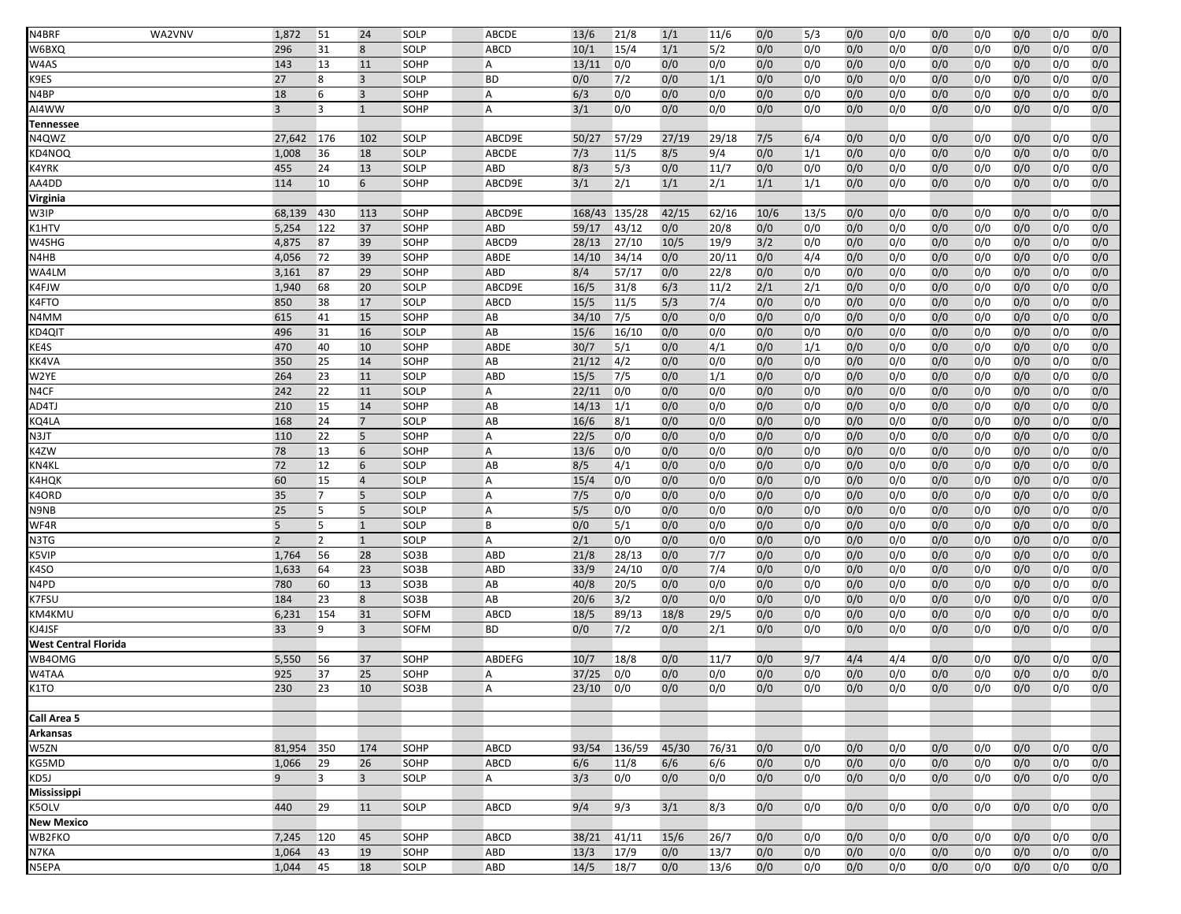| N4BRF                                                                                                                                                                                                                                                                 | WA2VNV | 1,872          | 51             | 24             | <b>SOLP</b>         | ABCDE          | 13/6         | 21/8           | 1/1         | 11/6        | 0/0        | 5/3        | 0/0        | 0/0        | 0/0        | 0/0        | 0/0        | 0/0        | 0/0        |
|-----------------------------------------------------------------------------------------------------------------------------------------------------------------------------------------------------------------------------------------------------------------------|--------|----------------|----------------|----------------|---------------------|----------------|--------------|----------------|-------------|-------------|------------|------------|------------|------------|------------|------------|------------|------------|------------|
| W6BXQ                                                                                                                                                                                                                                                                 |        | 296            | 31             | 8              | SOLP                | ABCD           | 10/1         | 15/4           | 1/1         | 5/2         | 0/0        | 0/0        | 0/0        | 0/0        | 0/0        | 0/0        | 0/0        | 0/0        | 0/0        |
| W4AS                                                                                                                                                                                                                                                                  |        | 143            | 13             | 11             | SOHP                | Α              | 13/11        | 0/0            | 0/0         | 0/0         | 0/0        | 0/0        | 0/0        | 0/0        | 0/0        | 0/0        | 0/0        | 0/0        | 0/0        |
| K9ES                                                                                                                                                                                                                                                                  |        | 27             | 8              | $\overline{3}$ | SOLP                | <b>BD</b>      | 0/0          | 7/2            | 0/0         | 1/1         | 0/0        | 0/0        | 0/0        | 0/0        | 0/0        | 0/0        | 0/0        | 0/0        | 0/0        |
| N4BP                                                                                                                                                                                                                                                                  |        | 18             | 6              | $\overline{3}$ | SOHP                | A              | 6/3          | 0/0            | 0/0         | 0/0         | 0/0        | 0/0        | 0/0        | 0/0        | 0/0        | 0/0        | 0/0        | 0/0        | 0/0        |
| AI4WW                                                                                                                                                                                                                                                                 |        | $\overline{3}$ | 3              | $\mathbf{1}$   | SOHP                | A              | 3/1          | 0/0            | 0/0         | 0/0         | 0/0        | 0/0        | 0/0        | 0/0        | 0/0        | 0/0        | 0/0        | 0/0        | 0/0        |
| <b>Tennessee</b>                                                                                                                                                                                                                                                      |        |                |                |                |                     |                |              |                |             |             |            |            |            |            |            |            |            |            |            |
| N4QWZ                                                                                                                                                                                                                                                                 |        | 27,642         | 176            | 102            | SOLP                | ABCD9E         | 50/27        | 57/29          | 27/19       | 29/18       | 7/5        | 6/4        | 0/0        | 0/0        | 0/0        | 0/0        | 0/0        | 0/0        | 0/0        |
| KD4NOQ                                                                                                                                                                                                                                                                |        | 1,008          | 36             | 18             | SOLP                | ABCDE          | 7/3          | 11/5           | 8/5         | 9/4         | 0/0        | 1/1        | 0/0        | 0/0        | 0/0        | 0/0        | 0/0        | 0/0        | 0/0        |
| K4YRK                                                                                                                                                                                                                                                                 |        | 455            | 24             | 13             | SOLP                | ABD            | 8/3          | 5/3            | 0/0         | 11/7        | 0/0        | 0/0        | 0/0        | 0/0        | 0/0        | 0/0        | 0/0        | 0/0        | 0/0        |
| AA4DD                                                                                                                                                                                                                                                                 |        | 114            | 10             | 6              | SOHP                | ABCD9E         | 3/1          | 2/1            | 1/1         | 2/1         | 1/1        | 1/1        | 0/0        | 0/0        | 0/0        | 0/0        | 0/0        | 0/0        | 0/0        |
| Virginia                                                                                                                                                                                                                                                              |        |                |                |                |                     |                |              |                |             |             |            |            |            |            |            |            |            |            |            |
| W3IP                                                                                                                                                                                                                                                                  |        | 68,139         | 430            | 113            | SOHP                | ABCD9E         | 168/43       | 135/28         | 42/15       | 62/16       | 10/6       | 13/5       | 0/0        | 0/0        | 0/0        | 0/0        | 0/0        | 0/0        | 0/0        |
| <b>&lt;1HTV</b>                                                                                                                                                                                                                                                       |        | 5,254          | 122            | 37             | SOHP                | ABD            | 59/17        | 43/12          | 0/0         | 20/8        | 0/0        | 0/0        | 0/0        | 0/0        | 0/0        | 0/0        | 0/0        | 0/0        | 0/0        |
| W4SHG                                                                                                                                                                                                                                                                 |        | 4,875          | 87             | 39             | SOHP                | ABCD9          | 28/13        | 27/10          | 10/5        | 19/9        | 3/2        | 0/0        | 0/0        | 0/0        | 0/0        | 0/0        | 0/0        | 0/0        | 0/0        |
| N4HB                                                                                                                                                                                                                                                                  |        | 4,056          | 72             | 39             | SOHP                | ABDE           | 14/10        | 34/14          | 0/0         | 20/11       | 0/0        | 4/4        | 0/0        | 0/0        | 0/0        | 0/0        | 0/0        | 0/0        | 0/0        |
| WA4LM                                                                                                                                                                                                                                                                 |        | 3,161          | 87             | 29             | SOHP                | ABD            | 8/4          | 57/17          | 0/0         | 22/8        | 0/0        | 0/0        | 0/0        | 0/0        | 0/0        | 0/0        | 0/0        | 0/0        | 0/0        |
| K4FJW                                                                                                                                                                                                                                                                 |        | 1,940          | 68             | 20             | SOLP                | ABCD9E         | 16/5         | 31/8           | 6/3         | 11/2        | 2/1        | 2/1        | 0/0        | 0/0        | 0/0        | 0/0        | 0/0        | 0/0        | 0/0        |
| <b>&lt;4FTO</b>                                                                                                                                                                                                                                                       |        | 850            | 38             | 17             | SOLP                | ABCD           | 15/5         | 11/5           | 5/3         | 7/4         | 0/0        | 0/0        | 0/0        | 0/0        | 0/0        | 0/0        | 0/0        | 0/0        | 0/0        |
| N4MM                                                                                                                                                                                                                                                                  |        | 615            | 41             | 15             | SOHP                | AB             | 34/10        | 7/5            | 0/0         | 0/0         | 0/0        | 0/0        | 0/0        | 0/0        | 0/0        | 0/0        | 0/0        | 0/0        | 0/0        |
| KD4QIT                                                                                                                                                                                                                                                                |        | 496            | 31             | 16             | SOLP                | AB             | 15/6         | 16/10          | 0/0         | 0/0         | 0/0        | 0/0        | 0/0        | 0/0        | 0/0        | 0/0        | 0/0        | 0/0        | 0/0        |
| KE4S                                                                                                                                                                                                                                                                  |        | 470            | 40             | 10             | SOHP                | ABDE           | 30/7         | 5/1            | 0/0         | 4/1         | 0/0        | 1/1        | 0/0        | 0/0        | 0/0        | 0/0        | 0/0        | 0/0        | 0/0        |
| KK4VA                                                                                                                                                                                                                                                                 |        | 350            | 25             | 14             | SOHP                | AB             | 21/12        | 4/2            | 0/0         | 0/0         | 0/0        | 0/0        | 0/0        | 0/0        | 0/0        | 0/0        | 0/0        | 0/0        | 0/0        |
| W2YE                                                                                                                                                                                                                                                                  |        | 264            | 23             | 11             | SOLP                | <b>ABD</b>     | 15/5         | 7/5            | 0/0         | 1/1         | 0/0        | 0/0        | 0/0        | 0/0        | 0/0        | 0/0        | 0/0        | 0/0        | 0/0        |
| N4CF                                                                                                                                                                                                                                                                  |        | 242            | 22             | 11             | SOLP                | A              | 22/11        | 0/0            | 0/0         | 0/0         | 0/0        | 0/0        | 0/0        | 0/0        | 0/0        | 0/0        | 0/0        | 0/0        | 0/0        |
| AD4TJ                                                                                                                                                                                                                                                                 |        | 210            | 15             | 14             | SOHP                | AB             | 14/13        | 1/1            | 0/0         | 0/0         | 0/0        | 0/0        | 0/0        | 0/0        | 0/0        | 0/0        | 0/0        | 0/0        | 0/0        |
| KQ4LA                                                                                                                                                                                                                                                                 |        | 168            | 24             | $\overline{7}$ | SOLP                | AB             | 16/6         | 8/1            | 0/0         | 0/0         | 0/0        | 0/0        | 0/0        | 0/0        | 0/0        | 0/0        | 0/0        | 0/0        | 0/0        |
| N3JT                                                                                                                                                                                                                                                                  |        | 110            | 22             | 5              | SOHP                | A              | 22/5         | 0/0            | 0/0         | 0/0         | 0/0        | 0/0        | 0/0        | 0/0        | 0/0        | 0/0        | 0/0        | 0/0        | 0/0        |
| K4ZW                                                                                                                                                                                                                                                                  |        | 78             | 13             | 6              | SOHP                | A              | 13/6         | 0/0            | 0/0         | 0/0         | 0/0        | 0/0        | 0/0        | 0/0        | 0/0        | 0/0        | 0/0        | 0/0        | 0/0        |
| KN4KL                                                                                                                                                                                                                                                                 |        | 72             | 12             | 6              | SOLP                | AB             | 8/5          | 4/1            | 0/0         | 0/0         | 0/0        | 0/0        | 0/0        | 0/0        | 0/0        | 0/0        | 0/0        | 0/0        | 0/0        |
| <b>&lt;4HQK</b>                                                                                                                                                                                                                                                       |        | 60             | 15             | $\overline{4}$ | SOLP                | A              | 15/4         | 0/0            | 0/0         | 0/0         | 0/0        | 0/0        | 0/0        | 0/0        | 0/0        | 0/0        | 0/0        | 0/0        | 0/0        |
| K4ORD                                                                                                                                                                                                                                                                 |        | 35             | $\overline{7}$ | 5              | SOLP                | А              | 7/5          | 0/0            | 0/0         | 0/0         | 0/0        | 0/0        | 0/0        | 0/0        | 0/0        | 0/0        | 0/0        | 0/0        | 0/0        |
| N9NB                                                                                                                                                                                                                                                                  |        | 25             | 5              | 5              | SOLP                | $\overline{A}$ | 5/5          | 0/0            | 0/0         | 0/0         | 0/0        | 0/0        | 0/0        | 0/0        | 0/0        | 0/0        | 0/0        | 0/0        | 0/0        |
| WF4R                                                                                                                                                                                                                                                                  |        | 5              | 5              | $\mathbf{1}$   | SOLP                | B              | 0/0          | 5/1            | 0/0         | 0/0         | 0/0        | 0/0        | 0/0        | 0/0        | 0/0        | 0/0        | 0/0        | 0/0        | 0/0        |
| N3TG                                                                                                                                                                                                                                                                  |        | $\overline{2}$ | $\overline{2}$ | $\mathbf{1}$   | SOLP                | A              | 2/1          | 0/0            | 0/0         | 0/0         | 0/0        | 0/0        | 0/0        | 0/0        | 0/0        | 0/0        | 0/0        | 0/0        | 0/0        |
| K5VIP                                                                                                                                                                                                                                                                 |        | 1,764          | 56             | 28             | SO3B                | ABD            | 21/8         | 28/13          | 0/0         | 7/7         | 0/0        | 0/0        | 0/0        | 0/0        | 0/0        | 0/0        | 0/0        | 0/0        | 0/0        |
| <4SO<br>N4PD                                                                                                                                                                                                                                                          |        | 1,633          | 64             | 23             | SO3B                | <b>ABD</b>     | 33/9         | 24/10          | 0/0         | 7/4         | 0/0        | 0/0        | 0/0        | 0/0        | 0/0        | 0/0        | 0/0        | 0/0        | 0/0        |
| <7FSU                                                                                                                                                                                                                                                                 |        | 780<br>184     | 60<br>23       | 13<br>8        | SO3B<br>SO3B        | AB<br>AB       | 40/8<br>20/6 | 20/5<br>3/2    | 0/0<br>0/0  | 0/0         | 0/0<br>0/0 | 0/0        | 0/0<br>0/0 | 0/0<br>0/0 | 0/0<br>0/0 | 0/0        | 0/0<br>0/0 | 0/0<br>0/0 | 0/0<br>0/0 |
|                                                                                                                                                                                                                                                                       |        |                | 154            |                |                     | ABCD           |              |                |             | 0/0         |            | 0/0        |            |            |            | 0/0<br>0/0 |            |            | 0/0        |
| KM4KMU<br>KJ4JSF                                                                                                                                                                                                                                                      |        | 6,231<br>33    | 9              | 31<br>3        | <b>SOFM</b><br>SOFM | <b>BD</b>      | 18/5<br>0/0  | 89/13<br>$7/2$ | 18/8<br>0/0 | 29/5<br>2/1 | 0/0<br>0/0 | 0/0<br>0/0 | 0/0<br>0/0 | 0/0<br>0/0 | 0/0<br>0/0 | 0/0        | 0/0<br>0/0 | 0/0<br>0/0 | 0/0        |
| West Central Florida                                                                                                                                                                                                                                                  |        |                |                |                |                     |                |              |                |             |             |            |            |            |            |            |            |            |            |            |
| WB4OMG                                                                                                                                                                                                                                                                |        | 5,550          | 56             | 37             | <b>SOHP</b>         | ABDEFG         | 10/7         | 18/8           | 0/0         | 11/7        | 0/0        | 9/7        | 4/4        | 4/4        | 0/0        | 0/0        | 0/0        | 0/0        | 0/0        |
| W4TAA                                                                                                                                                                                                                                                                 |        | 925            | 37             | 25             | SOHP                | A              | 37/25        | 0/0            | 0/0         | 0/0         | 0/0        | 0/0        | 0/0        | 0/0        | 0/0        | 0/0        | 0/0        | 0/0        | 0/0        |
| <1TO                                                                                                                                                                                                                                                                  |        | 230            | 23             | 10             | SO3B                | A              | 23/10        | 0/0            | 0/0         | 0/0         | 0/0        | 0/0        | 0/0        | 0/0        | 0/0        | 0/0        | 0/0        | 0/0        | 0/0        |
|                                                                                                                                                                                                                                                                       |        |                |                |                |                     |                |              |                |             |             |            |            |            |            |            |            |            |            |            |
| Call Area 5                                                                                                                                                                                                                                                           |        |                |                |                |                     |                |              |                |             |             |            |            |            |            |            |            |            |            |            |
| Arkansas                                                                                                                                                                                                                                                              |        |                |                |                |                     |                |              |                |             |             |            |            |            |            |            |            |            |            |            |
| W5ZN                                                                                                                                                                                                                                                                  |        | 81,954         | 350            | 174            | SOHP                | <b>ABCD</b>    | 93/54        | 136/59         | 45/30       | 76/31       | 0/0        | 0/0        | 0/0        | 0/0        | 0/0        | 0/0        | 0/0        | 0/0        | 0/0        |
| <g5md< td=""><td></td><td>1,066</td><td>29</td><td>26</td><td>SOHP</td><td>ABCD</td><td>6/6</td><td>11/8</td><td>6/6</td><td>6/6</td><td>0/0</td><td>0/0</td><td>0/0</td><td>0/0</td><td>0/0</td><td>0/0</td><td>0/0</td><td>0/0</td><td>0/0</td></g5md<>             |        | 1,066          | 29             | 26             | SOHP                | ABCD           | 6/6          | 11/8           | 6/6         | 6/6         | 0/0        | 0/0        | 0/0        | 0/0        | 0/0        | 0/0        | 0/0        | 0/0        | 0/0        |
| <d5j< td=""><td></td><td>9</td><td>3</td><td><math>\overline{3}</math></td><td>SOLP</td><td>Α</td><td>3/3</td><td>0/0</td><td>0/0</td><td>0/0</td><td>0/0</td><td>0/0</td><td>0/0</td><td>0/0</td><td>0/0</td><td>0/0</td><td>0/0</td><td>0/0</td><td>0/0</td></d5j<> |        | 9              | 3              | $\overline{3}$ | SOLP                | Α              | 3/3          | 0/0            | 0/0         | 0/0         | 0/0        | 0/0        | 0/0        | 0/0        | 0/0        | 0/0        | 0/0        | 0/0        | 0/0        |
| Mississippi                                                                                                                                                                                                                                                           |        |                |                |                |                     |                |              |                |             |             |            |            |            |            |            |            |            |            |            |
| K5OLV                                                                                                                                                                                                                                                                 |        | 440            | 29             | 11             | SOLP                | ABCD           | 9/4          | 9/3            | 3/1         | 8/3         | 0/0        | 0/0        | 0/0        | 0/0        | 0/0        | 0/0        | 0/0        | 0/0        | 0/0        |
| New Mexico                                                                                                                                                                                                                                                            |        |                |                |                |                     |                |              |                |             |             |            |            |            |            |            |            |            |            |            |
| WB2FKO                                                                                                                                                                                                                                                                |        | 7,245          | 120            | 45             | SOHP                | ABCD           | 38/21        | 41/11          | 15/6        | 26/7        | 0/0        | 0/0        | 0/0        | 0/0        | 0/0        | 0/0        | 0/0        | 0/0        | 0/0        |
| N7KA                                                                                                                                                                                                                                                                  |        | 1,064          | 43             | 19             | SOHP                | ABD            | 13/3         | 17/9           | 0/0         | 13/7        | 0/0        | 0/0        | 0/0        | 0/0        | 0/0        | 0/0        | 0/0        | 0/0        | 0/0        |
| N5EPA                                                                                                                                                                                                                                                                 |        | 1,044          | 45             | 18             | SOLP                | ABD            | 14/5         | 18/7           | 0/0         | 13/6        | 0/0        | 0/0        | 0/0        | 0/0        | 0/0        | 0/0        | 0/0        | 0/0        | 0/0        |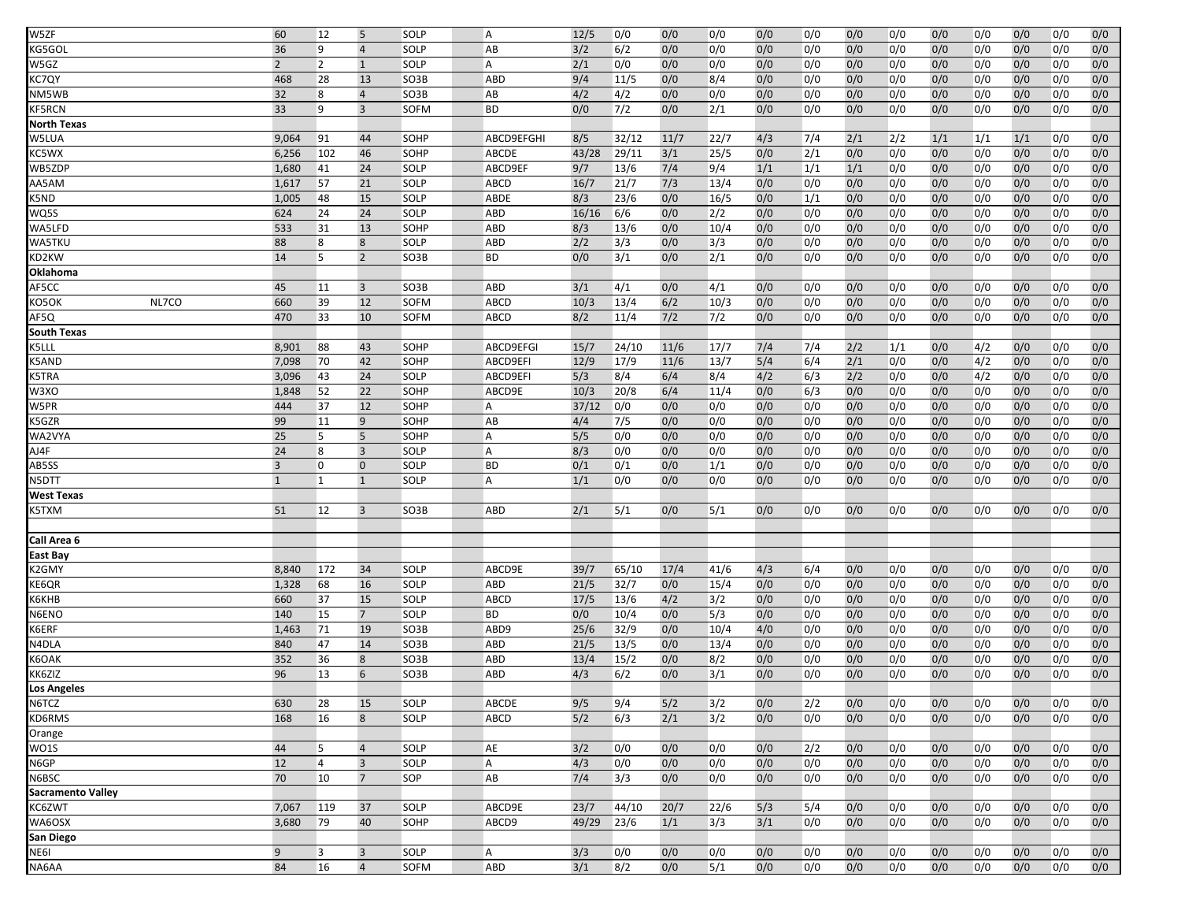| W5ZF                     | 60             | 12             | 5                    | SOLP         | A                 | 12/5        | 0/0          | 0/0        | 0/0         | 0/0        | 0/0        | 0/0        | 0/0        | 0/0        | 0/0        | 0/0        | 0/0        | 0/0        |
|--------------------------|----------------|----------------|----------------------|--------------|-------------------|-------------|--------------|------------|-------------|------------|------------|------------|------------|------------|------------|------------|------------|------------|
| KG5GOL                   | 36             | 9              | $\overline{4}$       | SOLP         | AB                | 3/2         | 6/2          | 0/0        | 0/0         | 0/0        | 0/0        | 0/0        | 0/0        | 0/0        | 0/0        | 0/0        | 0/0        | 0/0        |
| W5GZ                     | $\overline{2}$ | $\overline{2}$ | $\mathbf{1}$         | SOLP         | A                 | 2/1         | 0/0          | 0/0        | 0/0         | 0/0        | 0/0        | 0/0        | 0/0        | 0/0        | 0/0        | 0/0        | 0/0        | 0/0        |
| KC7QY                    | 468            | 28             | 13                   | SO3B         | <b>ABD</b>        | 9/4         | 11/5         | 0/0        | 8/4         | 0/0        | 0/0        | 0/0        | 0/0        | 0/0        | 0/0        | 0/0        | 0/0        | 0/0        |
| NM5WB                    | 32             | 8              | $\overline{4}$       | SO3B         | AB                | 4/2         | 4/2          | 0/0        | 0/0         | 0/0        | 0/0        | 0/0        | 0/0        | 0/0        | 0/0        | 0/0        | 0/0        | 0/0        |
| <b>KF5RCN</b>            | 33             | 9              | $\overline{3}$       | <b>SOFM</b>  | <b>BD</b>         | 0/0         | 7/2          | 0/0        | 2/1         | 0/0        | 0/0        | 0/0        | 0/0        | 0/0        | 0/0        | 0/0        | 0/0        | 0/0        |
| <b>North Texas</b>       |                |                |                      |              |                   |             |              |            |             |            |            |            |            |            |            |            |            |            |
| W5LUA                    | 9,064          | 91             | 44                   | SOHP         | ABCD9EFGHI        | 8/5         | 32/12        | 11/7       | 22/7        | 4/3        | 7/4        | 2/1        | 2/2        | 1/1        | 1/1        | 1/1        | 0/0        | 0/0        |
| KC5WX                    | 6,256          | 102            | 46                   | SOHP         | <b>ABCDE</b>      | 43/28       | 29/11        | 3/1        | 25/5        | 0/0        | 2/1        | 0/0        | 0/0        | 0/0        | 0/0        | 0/0        | 0/0        | 0/0        |
| WB5ZDP                   | 1,680          | 41             | 24                   | SOLP         | ABCD9EF           | 9/7         | 13/6         | 7/4        | 9/4         | 1/1        | 1/1        | 1/1        | 0/0        | 0/0        | 0/0        | 0/0        | 0/0        | 0/0        |
| AA5AM                    | 1,617          | 57             | 21                   | SOLP         | <b>ABCD</b>       | 16/7        | 21/7         | 7/3        | 13/4        | 0/0        | 0/0        | 0/0        | 0/0        | 0/0        | 0/0        | 0/0        | 0/0        | 0/0        |
| K5ND                     | 1,005          | 48             | 15                   | SOLP         | <b>ABDE</b>       | 8/3         | 23/6         | 0/0        | 16/5        | 0/0        | 1/1        | 0/0        | 0/0        | 0/0        | 0/0        | 0/0        | 0/0        | 0/0        |
| WQ5S                     | 624            | 24             | 24                   | SOLP         | <b>ABD</b>        | 16/16       | 6/6          | 0/0        | 2/2         | 0/0        | 0/0        | 0/0        | 0/0        | 0/0        | 0/0        | 0/0        | 0/0        | 0/0        |
| WA5LFD                   | 533            | 31             | 13                   | SOHP         | <b>ABD</b>        | 8/3         | 13/6         | 0/0        | 10/4        | 0/0        | 0/0        | 0/0        | 0/0        | 0/0        | 0/0        | 0/0        | 0/0        | 0/0        |
| WA5TKU                   | 88             | 8              | 8                    | SOLP         | <b>ABD</b>        | 2/2         | 3/3          | 0/0        | 3/3         | 0/0        | 0/0        | 0/0        | 0/0        | 0/0        | 0/0        | 0/0        | 0/0        | 0/0        |
| KD2KW                    | 14             | 5              | $\overline{2}$       | SO3B         | <b>BD</b>         | 0/0         | 3/1          | 0/0        | 2/1         | 0/0        | 0/0        | 0/0        | 0/0        | 0/0        | 0/0        | 0/0        | 0/0        | 0/0        |
| Oklahoma                 |                |                |                      |              |                   |             |              |            |             |            |            |            |            |            |            |            |            |            |
| AF5CC                    | 45             | 11             | 3                    | SO3B         | ABD               | 3/1         | 4/1          | 0/0        | 4/1         | 0/0        | 0/0        | 0/0        | 0/0        | 0/0        | 0/0        | 0/0        | 0/0        | 0/0        |
| NL7CO<br>KO5OK           | 660            | 39             | 12                   | <b>SOFM</b>  | <b>ABCD</b>       | 10/3        | 13/4         | 6/2        | 10/3        | 0/0        | 0/0        | 0/0        | 0/0        | 0/0        | 0/0        | 0/0        | 0/0        | 0/0        |
| AF5Q                     | 470            | 33             | 10                   | SOFM         | <b>ABCD</b>       | 8/2         | 11/4         | 7/2        | 7/2         | 0/0        | 0/0        | 0/0        | 0/0        | 0/0        | 0/0        | 0/0        | 0/0        | 0/0        |
| <b>South Texas</b>       |                |                |                      |              |                   |             |              |            |             |            |            |            |            |            |            |            |            |            |
| K5LLL                    | 8,901          | 88             | 43                   | <b>SOHP</b>  | ABCD9EFGI         | 15/7        | 24/10        | 11/6       | 17/7        | 7/4        | 7/4        | 2/2        | 1/1        | 0/0        | 4/2        | 0/0        | 0/0        | 0/0        |
| K5AND                    | 7,098          | 70             | 42                   | SOHP         | ABCD9EFI          | 12/9        | 17/9         | 11/6       | 13/7        | 5/4        | 6/4        | 2/1        | 0/0        | 0/0        | 4/2        | 0/0        | 0/0        | 0/0        |
| K5TRA                    | 3,096          | 43             | 24                   | SOLP         | ABCD9EFI          | 5/3         | 8/4          | 6/4        | 8/4         | 4/2        | 6/3        | 2/2        | 0/0        | 0/0        | 4/2        | 0/0        | 0/0        | 0/0        |
| W3XO                     | 1,848          | 52             | 22                   | SOHP         | ABCD9E            | 10/3        | 20/8         | 6/4        | 11/4        | 0/0        | 6/3        | 0/0        | 0/0        | 0/0        | 0/0        | 0/0        | 0/0        | 0/0        |
| W5PR                     | 444            | 37             | 12                   | SOHP         | A                 | 37/12       | 0/0          | 0/0        | 0/0         | 0/0        | 0/0        | 0/0        | 0/0        | 0/0        | 0/0        | 0/0        | 0/0        | 0/0        |
| K5GZR                    | 99             | 11             | 9                    | SOHP         | AB                | 4/4         | 7/5          | 0/0        | 0/0         | 0/0        | 0/0        | 0/0        | 0/0        | 0/0        | 0/0        | 0/0        | 0/0        | 0/0        |
| WA2VYA                   | 25             | 5              | 5                    | <b>SOHP</b>  | A                 | 5/5         | 0/0          | 0/0        | 0/0         | 0/0        | 0/0        | 0/0        | 0/0        | 0/0        | 0/0        | 0/0        | 0/0        | 0/0        |
| AJ4F                     | 24             | 8              | $\overline{3}$       | SOLP         | A                 | 8/3         | 0/0          | 0/0        | 0/0         | 0/0        | 0/0        | 0/0        | 0/0        | 0/0        | 0/0        | 0/0        | 0/0        | 0/0        |
| AB5SS                    | 3              | 0              | $\mathbf 0$          | SOLP         | <b>BD</b>         | 0/1         | 0/1          | 0/0        | 1/1         | 0/0        | 0/0        | 0/0        | 0/0        | 0/0        | 0/0        | 0/0        | 0/0        | 0/0        |
| N5DTT                    | $\mathbf{1}$   | $\mathbf{1}$   | $\mathbf{1}$         | SOLP         | $\overline{A}$    | 1/1         | 0/0          | 0/0        | 0/0         | 0/0        | 0/0        | 0/0        | 0/0        | 0/0        | 0/0        | 0/0        | 0/0        | 0/0        |
| <b>West Texas</b>        |                |                |                      |              |                   |             |              |            |             |            |            |            |            |            |            |            |            |            |
| K5TXM                    | 51             | 12             | $\overline{3}$       | SO3B         | ABD               | 2/1         | 5/1          | 0/0        | 5/1         | 0/0        | 0/0        | 0/0        | 0/0        | 0/0        | 0/0        | 0/0        | 0/0        | 0/0        |
|                          |                |                |                      |              |                   |             |              |            |             |            |            |            |            |            |            |            |            |            |
| Call Area 6              |                |                |                      |              |                   |             |              |            |             |            |            |            |            |            |            |            |            |            |
| East Bay                 |                |                |                      |              |                   |             |              |            |             |            |            |            |            |            |            |            |            |            |
| K2GMY                    | 8,840          | 172            | 34                   | SOLP         | ABCD9E            | 39/7        | 65/10        | 17/4       | 41/6        | 4/3        | 6/4        | 0/0        | 0/0        | 0/0        | 0/0        | 0/0        | 0/0        | 0/0        |
| KE6QR                    | 1,328          | 68             | 16                   | SOLP         | <b>ABD</b>        | 21/5        | 32/7         | 0/0        | 15/4        | 0/0        | 0/0        | 0/0        | 0/0        | 0/0        | 0/0        | 0/0        | 0/0        | 0/0        |
| К6КНВ                    | 660            | 37             | 15                   | SOLP         | ABCD              | 17/5        | 13/6         | 4/2        | 3/2         | 0/0        | 0/0        | 0/0        | 0/0        | 0/0        | 0/0        | 0/0        | 0/0        | 0/0        |
| N6ENO<br>K6ERF           | 140<br>1,463   | 15<br>71       | $\overline{7}$<br>19 | SOLP<br>SO3B | <b>BD</b><br>ABD9 | 0/0<br>25/6 | 10/4<br>32/9 | 0/0<br>0/0 | 5/3<br>10/4 | 0/0<br>4/0 | 0/0<br>0/0 | 0/0<br>0/0 | 0/0<br>0/0 | 0/0<br>0/0 | 0/0<br>0/0 | 0/0<br>0/0 | 0/0<br>0/0 | 0/0<br>0/0 |
|                          | 840            | 47             | 14                   | SO3B         | <b>ABD</b>        | 21/5        | 13/5         | 0/0        | 13/4        | 0/0        | 0/0        | 0/0        | 0/0        | 0/0        | 0/0        | 0/0        | 0/0        | 0/0        |
| N4DLA<br>K6OAK           | 352            | 36             | 8                    | SO3B         | <b>ABD</b>        | 13/4        | 15/2         | 0/0        | 8/2         | 0/0        | 0/0        | 0/0        | 0/0        | 0/0        | 0/0        | 0/0        | 0/0        | 0/0        |
| KK6ZIZ                   | 96             | 13             | 6                    | SO3B         | ABD               | 4/3         | 6/2          | 0/0        | 3/1         | 0/0        | 0/0        | 0/0        | 0/0        | 0/0        | 0/0        | 0/0        | 0/0        | 0/0        |
| <b>Los Angeles</b>       |                |                |                      |              |                   |             |              |            |             |            |            |            |            |            |            |            |            |            |
| N6TCZ                    | 630            | 28             | 15                   | SOLP         | ABCDE             | 9/5         | 9/4          | 5/2        | 3/2         | 0/0        | 2/2        | 0/0        | 0/0        | 0/0        | 0/0        | 0/0        | 0/0        | 0/0        |
| KD6RMS                   | 168            | 16             | 8                    | SOLP         | ABCD              | 5/2         | 6/3          | 2/1        | 3/2         | 0/0        | 0/0        | 0/0        | 0/0        | 0/0        | 0/0        | 0/0        | 0/0        | 0/0        |
| Orange                   |                |                |                      |              |                   |             |              |            |             |            |            |            |            |            |            |            |            |            |
| <b>WO1S</b>              | 44             | 5              | $\overline{4}$       | SOLP         | AE                | 3/2         | 0/0          | 0/0        | 0/0         | 0/0        | 2/2        | 0/0        | 0/0        | 0/0        | 0/0        | 0/0        | 0/0        | 0/0        |
| N6GP                     | 12             | $\overline{4}$ | $\overline{3}$       | SOLP         | A                 | 4/3         | 0/0          | 0/0        | 0/0         | 0/0        | 0/0        | 0/0        | 0/0        | 0/0        | 0/0        | 0/0        | 0/0        | 0/0        |
| N6BSC                    | 70             | 10             | $\overline{7}$       | SOP          | AB                | 7/4         | 3/3          | 0/0        | 0/0         | 0/0        | 0/0        | 0/0        | 0/0        | 0/0        | 0/0        | 0/0        | 0/0        | 0/0        |
| <b>Sacramento Valley</b> |                |                |                      |              |                   |             |              |            |             |            |            |            |            |            |            |            |            |            |
| KC6ZWT                   | 7,067          | 119            | 37                   | SOLP         | ABCD9E            | 23/7        | 44/10        | 20/7       | 22/6        | 5/3        | 5/4        | 0/0        | 0/0        | 0/0        | 0/0        | 0/0        | 0/0        | 0/0        |
| WA6OSX                   | 3,680          | 79             | 40                   | SOHP         | ABCD9             | 49/29       | 23/6         | 1/1        | 3/3         | 3/1        | 0/0        | 0/0        | 0/0        | 0/0        | 0/0        | 0/0        | 0/0        | 0/0        |
| San Diego                |                |                |                      |              |                   |             |              |            |             |            |            |            |            |            |            |            |            |            |
| NE6I                     | 9              | 3              | $\overline{3}$       | SOLP         | $\overline{A}$    | 3/3         | 0/0          | 0/0        | 0/0         | 0/0        | 0/0        | 0/0        | 0/0        | 0/0        | 0/0        | 0/0        | 0/0        | 0/0        |
| NA6AA                    | 84             | 16             | $\overline{4}$       | SOFM         | ABD               | 3/1         | 8/2          | 0/0        | 5/1         | 0/0        | 0/0        | 0/0        | 0/0        | 0/0        | 0/0        | 0/0        | 0/0        | 0/0        |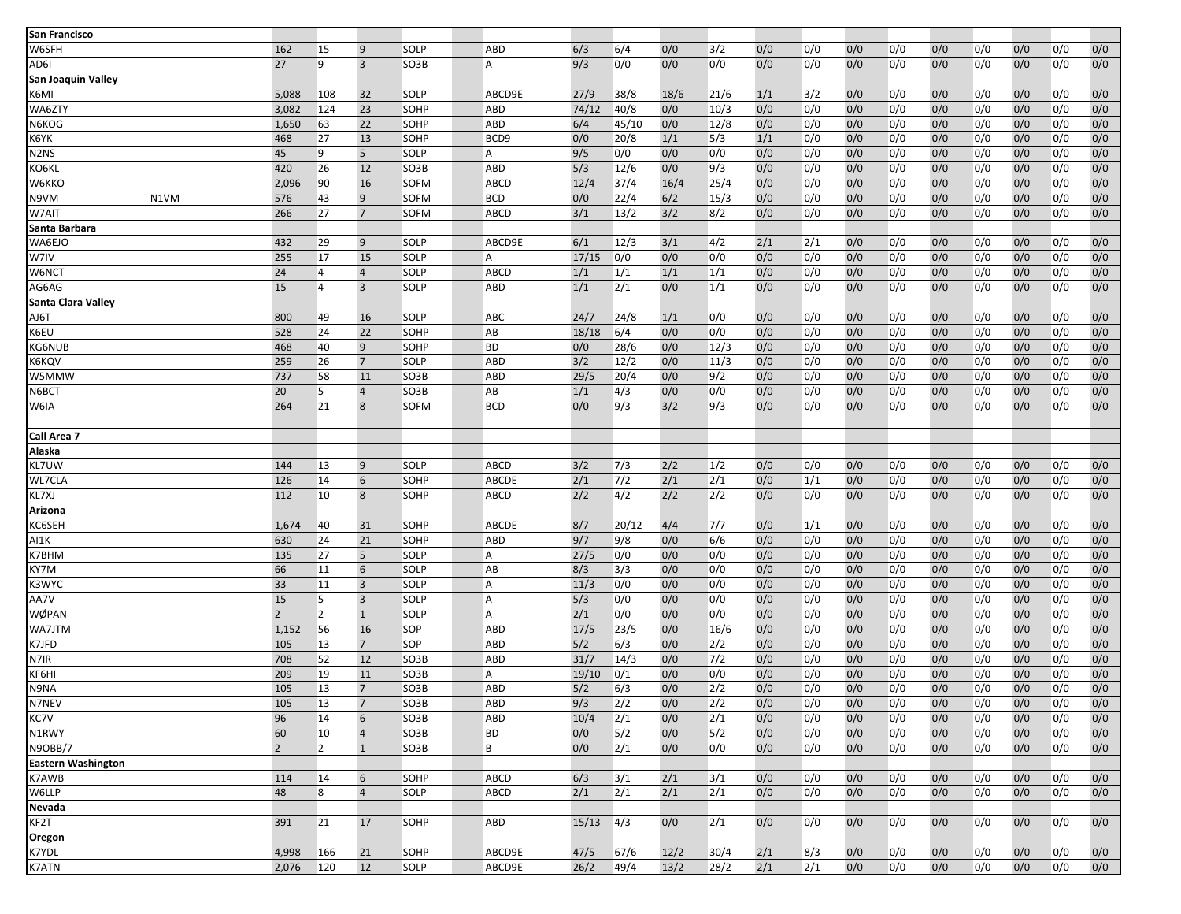| San Francisco                                                                                                                                                                                                                                    |                |                                  |                                  |                     |                    |                  |             |            |             |            |            |            |            |            |            |            |            |            |
|--------------------------------------------------------------------------------------------------------------------------------------------------------------------------------------------------------------------------------------------------|----------------|----------------------------------|----------------------------------|---------------------|--------------------|------------------|-------------|------------|-------------|------------|------------|------------|------------|------------|------------|------------|------------|------------|
| W6SFH                                                                                                                                                                                                                                            | 162            | 15                               | 9                                | SOLP                | <b>ABD</b>         | 6/3              | 6/4         | 0/0        | 3/2         | 0/0        | 0/0        | 0/0        | 0/0        | 0/0        | 0/0        | 0/0        | 0/0        | 0/0        |
| AD6I                                                                                                                                                                                                                                             | 27             | 9                                | $\overline{3}$                   | SO3B                | A                  | 9/3              | 0/0         | 0/0        | 0/0         | 0/0        | 0/0        | 0/0        | 0/0        | 0/0        | 0/0        | 0/0        | 0/0        | 0/0        |
| San Joaquin Valley                                                                                                                                                                                                                               |                |                                  |                                  |                     |                    |                  |             |            |             |            |            |            |            |            |            |            |            |            |
| K6MI                                                                                                                                                                                                                                             | 5,088          | 108                              | 32                               | SOLP                | ABCD9E             | 27/9             | 38/8        | 18/6       | 21/6        | 1/1        | 3/2        | 0/0        | 0/0        | 0/0        | 0/0        | 0/0        | 0/0        | 0/0        |
| WA6ZTY                                                                                                                                                                                                                                           | 3,082          | 124                              | 23                               | SOHP                | <b>ABD</b>         | 74/12            | 40/8        | 0/0        | 10/3        | 0/0        | 0/0        | 0/0        | 0/0        | 0/0        | 0/0        | 0/0        | 0/0        | 0/0        |
| N6KOG                                                                                                                                                                                                                                            | 1,650          | 63                               | 22                               | SOHP                | ABD                | 6/4              | 45/10       | 0/0        | 12/8        | 0/0        | 0/0        | 0/0        | 0/0        | 0/0        | 0/0        | 0/0        | 0/0        | 0/0        |
| K6YK                                                                                                                                                                                                                                             | 468            | 27                               | 13                               | <b>SOHP</b>         | BCD <sub>9</sub>   | 0/0              | 20/8        | 1/1        | 5/3         | 1/1        | 0/0        | 0/0        | 0/0        | 0/0        | 0/0        | 0/0        | 0/0        | 0/0        |
| N2NS                                                                                                                                                                                                                                             | 45             | 9                                | 5                                | <b>SOLP</b>         | A                  | 9/5              | 0/0         | 0/0        | 0/0         | 0/0        | 0/0        | 0/0        | 0/0        | 0/0        | 0/0        | 0/0        | 0/0        | 0/0        |
| KO6KL                                                                                                                                                                                                                                            | 420            | 26                               | 12                               | SO3B                | <b>ABD</b>         | 5/3              | 12/6        | 0/0        | 9/3         | 0/0        | 0/0        | 0/0        | 0/0        | 0/0        | 0/0        | 0/0        | 0/0        | 0/0        |
| W6KKO                                                                                                                                                                                                                                            | 2,096          | 90                               | 16                               | SOFM                | ABCD               | 12/4             | 37/4        | 16/4       | 25/4        | 0/0        | 0/0        | 0/0        | 0/0        | 0/0        | 0/0        | 0/0        | 0/0        | 0/0        |
| N1VM<br>N9VM                                                                                                                                                                                                                                     | 576            | 43                               | 9                                | <b>SOFM</b>         | <b>BCD</b>         | 0/0              | 22/4        | 6/2        | 15/3        | 0/0        | 0/0        | 0/0        | 0/0        | 0/0        | 0/0        | 0/0        | 0/0        | 0/0        |
| W7AIT                                                                                                                                                                                                                                            | 266            | 27                               | $\overline{7}$                   | <b>SOFM</b>         | <b>ABCD</b>        | 3/1              | 13/2        | 3/2        | 8/2         | 0/0        | 0/0        | 0/0        | 0/0        | 0/0        | 0/0        | 0/0        | 0/0        | 0/0        |
| Santa Barbara                                                                                                                                                                                                                                    |                |                                  |                                  |                     |                    |                  |             |            |             |            |            |            |            |            |            |            |            |            |
| WA6EJO                                                                                                                                                                                                                                           | 432            | 29                               | 9                                | <b>SOLP</b>         | ABCD9E             | 6/1              | 12/3        | 3/1        | 4/2         | 2/1        | 2/1        | 0/0        | 0/0        | 0/0        | 0/0        | 0/0        | 0/0        | 0/0        |
| W7IV                                                                                                                                                                                                                                             | 255            | 17                               | 15                               | SOLP                | A                  | 17/15            | 0/0         | 0/0        | 0/0         | 0/0        | 0/0        | 0/0        | 0/0        | 0/0        | 0/0        | 0/0        | 0/0        | 0/0        |
| W6NCT                                                                                                                                                                                                                                            | 24<br>15       | $\overline{4}$<br>$\overline{4}$ | $\overline{4}$<br>$\overline{3}$ | <b>SOLP</b><br>SOLP | ABCD<br><b>ABD</b> | 1/1<br>1/1       | 1/1         | 1/1        | 1/1         | 0/0        | 0/0        | 0/0        | 0/0        | 0/0        | 0/0        | 0/0        | 0/0        | 0/0        |
| AG6AG                                                                                                                                                                                                                                            |                |                                  |                                  |                     |                    |                  | 2/1         | 0/0        | 1/1         | 0/0        | 0/0        | 0/0        | 0/0        | 0/0        | 0/0        | 0/0        | 0/0        | 0/0        |
| Santa Clara Valley                                                                                                                                                                                                                               | 800            |                                  |                                  |                     | ABC                |                  |             |            |             |            |            |            |            |            |            |            |            |            |
| AJ6T<br>K6EU                                                                                                                                                                                                                                     | 528            | 49<br>24                         | 16                               | <b>SOLP</b><br>SOHP | AB                 | 24/7             | 24/8        | 1/1        | 0/0         | 0/0        | 0/0        | 0/0        | 0/0        | 0/0        | 0/0        | 0/0        | 0/0        | 0/0        |
| KG6NUB                                                                                                                                                                                                                                           | 468            | 40                               | 22<br>9                          | SOHP                | <b>BD</b>          | 18/18<br>0/0     | 6/4<br>28/6 | 0/0<br>0/0 | 0/0<br>12/3 | 0/0<br>0/0 | 0/0<br>0/0 | 0/0<br>0/0 | 0/0<br>0/0 | 0/0<br>0/0 | 0/0<br>0/0 | 0/0<br>0/0 | 0/0<br>0/0 | 0/0<br>0/0 |
|                                                                                                                                                                                                                                                  | 259            | 26                               | $\overline{7}$                   | <b>SOLP</b>         | <b>ABD</b>         | 3/2              | 12/2        | 0/0        |             | 0/0        | 0/0        | 0/0        | 0/0        | 0/0        |            | 0/0        | 0/0        | 0/0        |
| <6KQV                                                                                                                                                                                                                                            | 737            |                                  | 11                               |                     | <b>ABD</b>         | 29/5             | 20/4        | 0/0        | 11/3<br>9/2 | 0/0        | 0/0        | 0/0        |            |            | 0/0        | 0/0        | 0/0        | 0/0        |
| W5MMW<br>N6BCT                                                                                                                                                                                                                                   | 20             | 58<br>5                          | $\overline{4}$                   | SO3B<br>SO3B        | AB                 | 1/1              | 4/3         | 0/0        | 0/0         | 0/0        | 0/0        | 0/0        | 0/0<br>0/0 | 0/0<br>0/0 | 0/0<br>0/0 | 0/0        | 0/0        | 0/0        |
|                                                                                                                                                                                                                                                  | 264            | 21                               | 8                                | <b>SOFM</b>         | <b>BCD</b>         | 0/0              | 9/3         | 3/2        | 9/3         | 0/0        | 0/0        | 0/0        |            | 0/0        | 0/0        | 0/0        | 0/0        | 0/0        |
| W6IA                                                                                                                                                                                                                                             |                |                                  |                                  |                     |                    |                  |             |            |             |            |            |            | 0/0        |            |            |            |            |            |
| Call Area 7                                                                                                                                                                                                                                      |                |                                  |                                  |                     |                    |                  |             |            |             |            |            |            |            |            |            |            |            |            |
| Alaska                                                                                                                                                                                                                                           |                |                                  |                                  |                     |                    |                  |             |            |             |            |            |            |            |            |            |            |            |            |
| KL7UW                                                                                                                                                                                                                                            | 144            | 13                               | 9                                | SOLP                | <b>ABCD</b>        | 3/2              | 7/3         | 2/2        | 1/2         | 0/0        | 0/0        | 0/0        | 0/0        | 0/0        | 0/0        | 0/0        | 0/0        | 0/0        |
| WL7CLA                                                                                                                                                                                                                                           | 126            | 14                               | 6                                | SOHP                | ABCDE              | $\overline{2/1}$ | 7/2         | 2/1        | 2/1         | 0/0        | 1/1        | 0/0        | 0/0        | 0/0        | 0/0        | 0/0        | 0/0        | 0/0        |
| KL7XJ                                                                                                                                                                                                                                            | 112            | 10                               | 8                                | SOHP                | <b>ABCD</b>        | 2/2              | 4/2         | 2/2        | 2/2         | 0/0        | 0/0        | 0/0        | 0/0        | 0/0        | 0/0        | 0/0        | 0/0        | 0/0        |
| Arizona                                                                                                                                                                                                                                          |                |                                  |                                  |                     |                    |                  |             |            |             |            |            |            |            |            |            |            |            |            |
| KC6SEH                                                                                                                                                                                                                                           | 1,674          | 40                               | 31                               | SOHP                | ABCDE              | 8/7              | 20/12       | 4/4        | 7/7         | 0/0        | 1/1        | 0/0        | 0/0        | 0/0        | 0/0        | 0/0        | 0/0        | 0/0        |
| AI1K                                                                                                                                                                                                                                             | 630            | 24                               | 21                               | SOHP                | ABD                | 9/7              | 9/8         | 0/0        | 6/6         | 0/0        | 0/0        | 0/0        | 0/0        | 0/0        | 0/0        | 0/0        | 0/0        | 0/0        |
| K7BHM                                                                                                                                                                                                                                            | 135            | 27                               | 5                                | <b>SOLP</b>         | Α                  | 27/5             | 0/0         | 0/0        | 0/0         | 0/0        | 0/0        | 0/0        | 0/0        | 0/0        | 0/0        | 0/0        | 0/0        | 0/0        |
| KY7M                                                                                                                                                                                                                                             | 66             | 11                               | 6                                | <b>SOLP</b>         | AB                 | 8/3              | 3/3         | 0/0        | 0/0         | 0/0        | 0/0        | 0/0        | 0/0        | 0/0        | 0/0        | 0/0        | 0/0        | 0/0        |
| <3WYC                                                                                                                                                                                                                                            | 33             | 11                               | $\overline{3}$                   | <b>SOLP</b>         | A                  | 11/3             | 0/0         | 0/0        | 0/0         | 0/0        | 0/0        | 0/0        | 0/0        | 0/0        | 0/0        | 0/0        | 0/0        | 0/0        |
| AA7V                                                                                                                                                                                                                                             | 15             | 5                                | $\overline{3}$                   | SOLP                | Α                  | 5/3              | 0/0         | 0/0        | 0/0         | 0/0        | 0/0        | 0/0        | 0/0        | 0/0        | 0/0        | 0/0        | 0/0        | 0/0        |
| NØPAN                                                                                                                                                                                                                                            | $\overline{2}$ | $\overline{2}$                   | $\mathbf{1}$                     | <b>SOLP</b>         | A                  | 2/1              | 0/0         | 0/0        | 0/0         | 0/0        | 0/0        | 0/0        | 0/0        | 0/0        | 0/0        | 0/0        | 0/0        | 0/0        |
| WA7JTM                                                                                                                                                                                                                                           | 1,152          | 56                               | 16                               | SOP                 | ABD                | 17/5             | 23/5        | 0/0        | 16/6        | 0/0        | 0/0        | 0/0        | 0/0        | 0/0        | 0/0        | 0/0        | 0/0        | 0/0        |
| K7JFD                                                                                                                                                                                                                                            | 105            | 13                               | $7\overline{ }$                  | SOP                 | <b>ABD</b>         | 5/2              | 6/3         | 0/0        | 2/2         | 0/0        | 0/0        | 0/0        | 0/0        | 0/0        | 0/0        | 0/0        | 0/0        | 0/0        |
| N7IR                                                                                                                                                                                                                                             | 708            | 52                               | 12                               | SO3B                | <b>ABD</b>         | 31/7             | 14/3        | 0/0        | $7/2$       | 0/0        | 0/0        | 0/0        | 0/0        | 0/0        | 0/0        | 0/0        | 0/0        | 0/0        |
| <b>KF6HI</b>                                                                                                                                                                                                                                     | 209            | 19                               | 11                               | SO3B                | A                  | 19/10            | 0/1         | 0/0        | 0/0         | 0/0        | 0/0        | 0/0        | 0/0        | 0/0        | 0/0        | 0/0        | 0/0        | 0/0        |
| N9NA                                                                                                                                                                                                                                             | 105            | 13                               | $\overline{7}$                   | SO3B                | <b>ABD</b>         | 5/2              | 6/3         | 0/0        | 2/2         | 0/0        | 0/0        | 0/0        | 0/0        | 0/0        | 0/0        | 0/0        | 0/0        | 0/0        |
| N7NEV                                                                                                                                                                                                                                            | 105            | 13                               | $\overline{7}$                   | SO3B                | <b>ABD</b>         | 9/3              | 2/2         | 0/0        | 2/2         | 0/0        | 0/0        | 0/0        | 0/0        | 0/0        | 0/0        | 0/0        | 0/0        | 0/0        |
| <c7v< td=""><td>96</td><td>14</td><td>6</td><td>SO3B</td><td><b>ABD</b></td><td>10/4</td><td>2/1</td><td>0/0</td><td>2/1</td><td>0/0</td><td>0/0</td><td>0/0</td><td>0/0</td><td>0/0</td><td>0/0</td><td>0/0</td><td>0/0</td><td>0/0</td></c7v<> | 96             | 14                               | 6                                | SO3B                | <b>ABD</b>         | 10/4             | 2/1         | 0/0        | 2/1         | 0/0        | 0/0        | 0/0        | 0/0        | 0/0        | 0/0        | 0/0        | 0/0        | 0/0        |
| N1RWY                                                                                                                                                                                                                                            | 60             | 10                               | $\overline{4}$                   | SO3B                | <b>BD</b>          | 0/0              | 5/2         | 0/0        | 5/2         | 0/0        | 0/0        | 0/0        | 0/0        | 0/0        | 0/0        | 0/0        | 0/0        | 0/0        |
| N9OBB/7                                                                                                                                                                                                                                          | $\overline{2}$ | $\overline{2}$                   | $\mathbf{1}$                     | SO3B                | B                  | 0/0              | 2/1         | 0/0        | 0/0         | 0/0        | 0/0        | 0/0        | 0/0        | 0/0        | 0/0        | 0/0        | 0/0        | 0/0        |
| <b>Eastern Washington</b>                                                                                                                                                                                                                        |                |                                  |                                  |                     |                    |                  |             |            |             |            |            |            |            |            |            |            |            |            |
| K7AWB                                                                                                                                                                                                                                            | 114            | 14                               | 6                                | SOHP                | ABCD               | 6/3              | 3/1         | 2/1        | 3/1         | 0/0        | 0/0        | 0/0        | 0/0        | 0/0        | 0/0        | 0/0        | 0/0        | 0/0        |
| W6LLP                                                                                                                                                                                                                                            | 48             | 8                                | $\overline{4}$                   | SOLP                | ABCD               | 2/1              | 2/1         | 2/1        | 2/1         | 0/0        | 0/0        | 0/0        | 0/0        | 0/0        | 0/0        | 0/0        | 0/0        | 0/0        |
| Nevada                                                                                                                                                                                                                                           |                |                                  |                                  |                     |                    |                  |             |            |             |            |            |            |            |            |            |            |            |            |
| KF2T                                                                                                                                                                                                                                             | 391            | 21                               | 17                               | SOHP                | ABD                | 15/13            | 4/3         | 0/0        | 2/1         | 0/0        | 0/0        | 0/0        | 0/0        | 0/0        | 0/0        | 0/0        | 0/0        | 0/0        |
| Oregon                                                                                                                                                                                                                                           |                |                                  |                                  |                     |                    |                  |             |            |             |            |            |            |            |            |            |            |            |            |
| <b>&lt;7YDL</b>                                                                                                                                                                                                                                  | 4,998          | 166                              | 21                               | SOHP                | ABCD9E             | 47/5             | 67/6        | 12/2       | 30/4        | 2/1        | 8/3        | 0/0        | 0/0        | 0/0        | 0/0        | 0/0        | 0/0        | 0/0        |
| K7ATN                                                                                                                                                                                                                                            | 2,076          | 120                              | 12                               | SOLP                | ABCD9E             | 26/2             | 49/4        | 13/2       | 28/2        | 2/1        | 2/1        | 0/0        | 0/0        | 0/0        | 0/0        | 0/0        | 0/0        | 0/0        |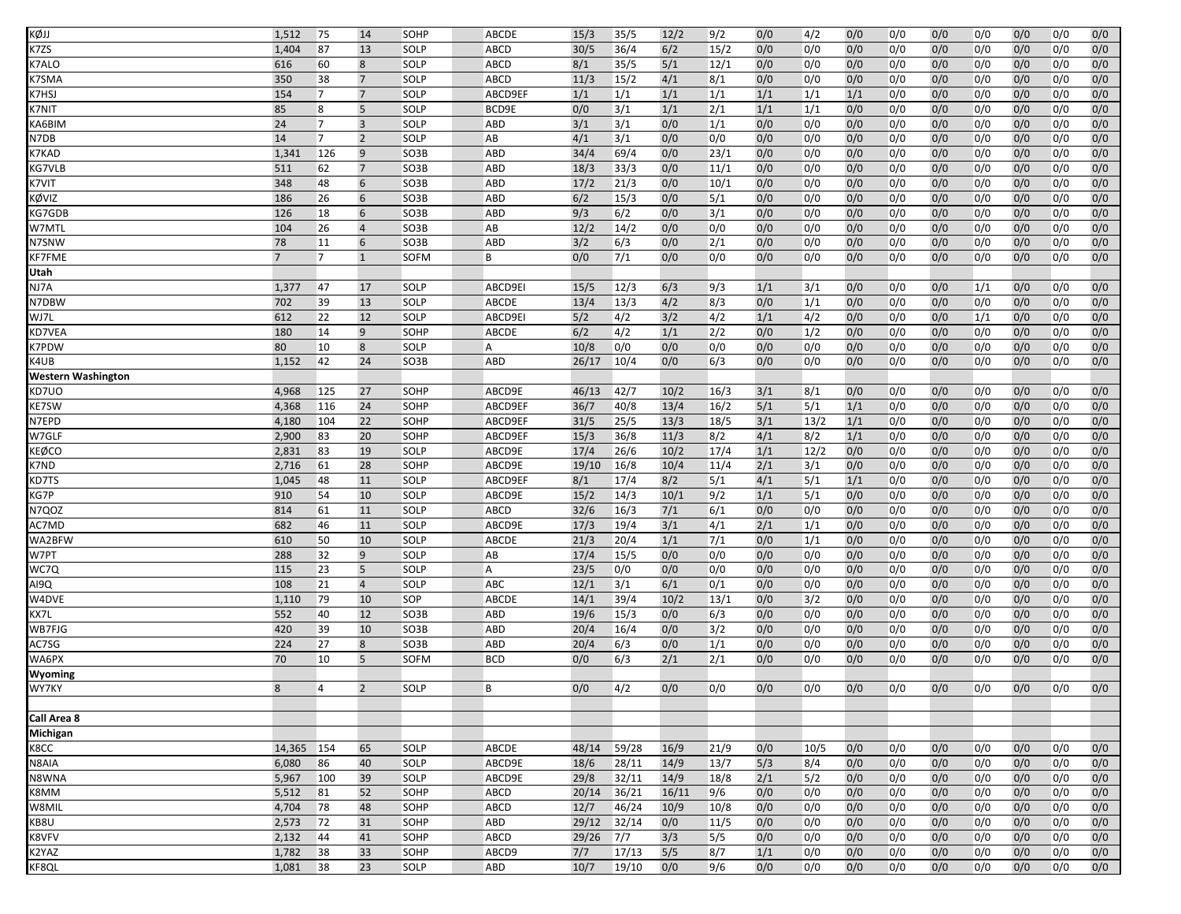| KØJJ                                                                                                                                                                                                                                              | 1,512          | 75             | 14             | SOHP        | ABCDE       | 15/3   | 35/5  | 12/2  | 9/2  | 0/0   | 4/2  | 0/0 | 0/0 | 0/0 | 0/0 | 0/0 | 0/0 | 0/0 |
|---------------------------------------------------------------------------------------------------------------------------------------------------------------------------------------------------------------------------------------------------|----------------|----------------|----------------|-------------|-------------|--------|-------|-------|------|-------|------|-----|-----|-----|-----|-----|-----|-----|
| $\langle 7ZS$                                                                                                                                                                                                                                     | 1,404          | 87             | 13             | <b>SOLP</b> | <b>ABCD</b> | 30/5   | 36/4  | 6/2   | 15/2 | 0/0   | 0/0  | 0/0 | 0/0 | 0/0 | 0/0 | 0/0 | 0/0 | 0/0 |
| <b>&lt;7ALO</b>                                                                                                                                                                                                                                   | 616            | 60             | 8              | SOLP        | ABCD        | 8/1    | 35/5  | 5/1   | 12/1 | 0/0   | 0/0  | 0/0 | 0/0 | 0/0 | 0/0 | 0/0 | 0/0 | 0/0 |
| <7SMA                                                                                                                                                                                                                                             | 350            | 38             | $\overline{7}$ | SOLP        | ABCD        | 11/3   | 15/2  | 4/1   | 8/1  | 0/0   | 0/0  | 0/0 | 0/0 | 0/0 | 0/0 | 0/0 | 0/0 | 0/0 |
| <7HSJ                                                                                                                                                                                                                                             | 154            | $\overline{7}$ | $\overline{7}$ | SOLP        | ABCD9EF     | 1/1    | 1/1   | 1/1   | 1/1  | 1/1   | 1/1  | 1/1 | 0/0 | 0/0 | 0/0 | 0/0 | 0/0 | 0/0 |
| <b>&lt;7NIT</b>                                                                                                                                                                                                                                   | 85             | 8              | 5              | SOLP        | BCD9E       | 0/0    | 3/1   | 1/1   | 2/1  | 1/1   | 1/1  | 0/0 | 0/0 | 0/0 | 0/0 | 0/0 | 0/0 | 0/0 |
| <b><i>KA6BIM</i></b>                                                                                                                                                                                                                              | 24             | $\overline{7}$ | $\overline{3}$ | <b>SOLP</b> | ABD         | 3/1    | 3/1   | 0/0   | 1/1  | 0/0   | 0/0  | 0/0 | 0/0 | 0/0 | 0/0 | 0/0 | 0/0 | 0/0 |
| N7DB                                                                                                                                                                                                                                              | 14             | $\overline{7}$ | $\overline{2}$ | SOLP        | AB          | 4/1    | 3/1   | 0/0   | 0/0  | 0/0   | 0/0  | 0/0 | 0/0 | 0/0 | 0/0 | 0/0 | 0/0 | 0/0 |
| K7KAD                                                                                                                                                                                                                                             | 1,341          | 126            | 9              | SO3B        | <b>ABD</b>  | 34/4   | 69/4  | 0/0   | 23/1 | 0/0   | 0/0  | 0/0 | 0/0 | 0/0 | 0/0 | 0/0 | 0/0 | 0/0 |
| <b><g7vlb< b=""></g7vlb<></b>                                                                                                                                                                                                                     | 511            | 62             | $\overline{7}$ | SO3B        | ABD         | 18/3   | 33/3  | 0/0   | 11/1 | 0/0   | 0/0  | 0/0 | 0/0 | 0/0 | 0/0 | 0/0 | 0/0 | 0/0 |
| K7VIT                                                                                                                                                                                                                                             | 348            | 48             | 6              | SO3B        | <b>ABD</b>  | 17/2   | 21/3  | 0/0   | 10/1 | 0/0   | 0/0  | 0/0 | 0/0 | 0/0 | 0/0 | 0/0 | 0/0 | 0/0 |
| <ØVIZ                                                                                                                                                                                                                                             | 186            | 26             | 6              | SO3B        | <b>ABD</b>  | 6/2    | 15/3  | 0/0   | 5/1  | 0/0   | 0/0  | 0/0 | 0/0 | 0/0 | 0/0 | 0/0 | 0/0 | 0/0 |
| <b><g7gdb< b=""></g7gdb<></b>                                                                                                                                                                                                                     | 126            | 18             | 6              | SO3B        | ABD         | 9/3    | 6/2   | 0/0   | 3/1  | 0/0   | 0/0  | 0/0 | 0/0 | 0/0 | 0/0 | 0/0 | 0/0 | 0/0 |
| W7MTL                                                                                                                                                                                                                                             | 104            | 26             | $\overline{4}$ | SO3B        | AB          | 12/2   | 14/2  | 0/0   | 0/0  | 0/0   | 0/0  | 0/0 | 0/0 | 0/0 | 0/0 | 0/0 | 0/0 | 0/0 |
| N7SNW                                                                                                                                                                                                                                             | 78             | 11             | 6              | SO3B        | <b>ABD</b>  | 3/2    | 6/3   | 0/0   | 2/1  | 0/0   | 0/0  | 0/0 | 0/0 | 0/0 | 0/0 | 0/0 | 0/0 | 0/0 |
| KF7FME                                                                                                                                                                                                                                            | $\overline{7}$ | $\overline{7}$ | $\mathbf{1}$   | <b>SOFM</b> | B           | 0/0    | 7/1   | 0/0   | 0/0  | 0/0   | 0/0  | 0/0 | 0/0 | 0/0 | 0/0 | 0/0 | 0/0 | 0/0 |
| Utah                                                                                                                                                                                                                                              |                |                |                |             |             |        |       |       |      |       |      |     |     |     |     |     |     |     |
| NJ7A                                                                                                                                                                                                                                              | 1,377          | 47             | 17             | SOLP        | ABCD9EI     | 15/5   | 12/3  | 6/3   | 9/3  | 1/1   | 3/1  | 0/0 | 0/0 | 0/0 | 1/1 | 0/0 | 0/0 | 0/0 |
| N7DBW                                                                                                                                                                                                                                             | 702            | 39             | 13             | <b>SOLP</b> | ABCDE       | 13/4   | 13/3  | 4/2   | 8/3  | 0/0   | 1/1  | 0/0 | 0/0 | 0/0 | 0/0 | 0/0 | 0/0 | 0/0 |
| NJ7L                                                                                                                                                                                                                                              | 612            | 22             | 12             | SOLP        | ABCD9EI     | 5/2    | 4/2   | 3/2   | 4/2  | 1/1   | 4/2  | 0/0 | 0/0 | 0/0 | 1/1 | 0/0 | 0/0 | 0/0 |
| KD7VEA                                                                                                                                                                                                                                            | 180            | 14             | 9              | SOHP        | ABCDE       | 6/2    | 4/2   | 1/1   | 2/2  | 0/0   | 1/2  | 0/0 | 0/0 | 0/0 | 0/0 | 0/0 | 0/0 | 0/0 |
| <7PDW                                                                                                                                                                                                                                             | 80             | 10             | 8              | SOLP        | Α           | 10/8   | 0/0   | 0/0   | 0/0  | 0/0   | 0/0  | 0/0 | 0/0 | 0/0 | 0/0 | 0/0 | 0/0 | 0/0 |
| <4UB                                                                                                                                                                                                                                              | 1,152          | 42             | 24             | SO3B        | ABD         | 26/17  | 10/4  | 0/0   | 6/3  | 0/0   | 0/0  | 0/0 | 0/0 | 0/0 | 0/0 | 0/0 | 0/0 | 0/0 |
| <b>Western Washington</b>                                                                                                                                                                                                                         |                |                |                |             |             |        |       |       |      |       |      |     |     |     |     |     |     |     |
| KD7UO                                                                                                                                                                                                                                             | 4,968          | 125            | 27             | SOHP        | ABCD9E      | 46/13  | 42/7  | 10/2  | 16/3 | 3/1   | 8/1  | 0/0 | 0/0 | 0/0 | 0/0 | 0/0 | 0/0 | 0/0 |
| <b>E7SW</b>                                                                                                                                                                                                                                       | 4,368          | 116            | 24             | SOHP        | ABCD9EF     | 36/7   | 40/8  | 13/4  | 16/2 | $5/1$ | 5/1  | 1/1 | 0/0 | 0/0 | 0/0 | 0/0 | 0/0 | 0/0 |
| N7EPD                                                                                                                                                                                                                                             | 4,180          | 104            | 22             | SOHP        | ABCD9EF     | 31/5   | 25/5  | 13/3  | 18/5 | 3/1   | 13/2 | 1/1 | 0/0 | 0/0 | 0/0 | 0/0 | 0/0 | 0/0 |
| W7GLF                                                                                                                                                                                                                                             | 2,900          | 83             | 20             | SOHP        | ABCD9EF     | 15/3   | 36/8  | 11/3  | 8/2  | 4/1   | 8/2  | 1/1 | 0/0 | 0/0 | 0/0 | 0/0 | 0/0 | 0/0 |
| KEØCO                                                                                                                                                                                                                                             | 2,831          | 83             | 19             | SOLP        | ABCD9E      | 17/4   | 26/6  | 10/2  | 17/4 | 1/1   | 12/2 | 0/0 | 0/0 | 0/0 | 0/0 | 0/0 | 0/0 | 0/0 |
| K7ND                                                                                                                                                                                                                                              | 2,716          | 61             | 28             | SOHP        | ABCD9E      | 19/10  | 16/8  | 10/4  | 11/4 | 2/1   | 3/1  | 0/0 | 0/0 | 0/0 | 0/0 | 0/0 | 0/0 | 0/0 |
| <b><d7ts< b=""></d7ts<></b>                                                                                                                                                                                                                       | 1,045          | 48             | 11             | SOLP        | ABCD9EF     | 8/1    | 17/4  | 8/2   | 5/1  | 4/1   | 5/1  | 1/1 | 0/0 | 0/0 | 0/0 | 0/0 | 0/0 | 0/0 |
| <g7p< td=""><td>910</td><td>54</td><td>10</td><td>SOLP</td><td>ABCD9E</td><td>15/2</td><td>14/3</td><td>10/1</td><td>9/2</td><td>1/1</td><td>5/1</td><td>0/0</td><td>0/0</td><td>0/0</td><td>0/0</td><td>0/0</td><td>0/0</td><td>0/0</td></g7p<>  | 910            | 54             | 10             | SOLP        | ABCD9E      | 15/2   | 14/3  | 10/1  | 9/2  | 1/1   | 5/1  | 0/0 | 0/0 | 0/0 | 0/0 | 0/0 | 0/0 | 0/0 |
| N7QOZ                                                                                                                                                                                                                                             | 814            | 61             | 11             | <b>SOLP</b> | ABCD        | 32/6   | 16/3  | 7/1   | 6/1  | 0/0   | 0/0  | 0/0 | 0/0 | 0/0 | 0/0 | 0/0 | 0/0 | 0/0 |
| AC7MD                                                                                                                                                                                                                                             | 682            | 46             | 11             | SOLP        | ABCD9E      | 17/3   | 19/4  | 3/1   | 4/1  | 2/1   | 1/1  | 0/0 | 0/0 | 0/0 | 0/0 | 0/0 | 0/0 | 0/0 |
| WA2BFW                                                                                                                                                                                                                                            | 610            | 50             | 10             | SOLP        | ABCDE       | 21/3   | 20/4  | 1/1   | 7/1  | 0/0   | 1/1  | 0/0 | 0/0 | 0/0 | 0/0 | 0/0 | 0/0 | 0/0 |
| W7PT                                                                                                                                                                                                                                              | 288            | 32             | 9              |             | AB          | 17/4   | 15/5  | 0/0   | 0/0  | 0/0   | 0/0  | 0/0 | 0/0 | 0/0 | 0/0 | 0/0 | 0/0 | 0/0 |
|                                                                                                                                                                                                                                                   | 115            | 23             | 5 <sup>5</sup> | SOLP        | A           | 23/5   | 0/0   | 0/0   |      | 0/0   |      | 0/0 |     |     |     |     |     | 0/0 |
| WC7Q                                                                                                                                                                                                                                              |                |                |                | SOLP        |             |        |       |       | 0/0  |       | 0/0  |     | 0/0 | 0/0 | 0/0 | 0/0 | 0/0 |     |
| AI9Q                                                                                                                                                                                                                                              | 108            | 21             | $\overline{4}$ | SOLP        | ABC         | 12/1   | 3/1   | 6/1   | 0/1  | 0/0   | 0/0  | 0/0 | 0/0 | 0/0 | 0/0 | 0/0 | 0/0 | 0/0 |
| W4DVE                                                                                                                                                                                                                                             | 1,110          | 79             | 10             | SOP         | ABCDE       | 14/1   | 39/4  | 10/2  | 13/1 | 0/0   | 3/2  | 0/0 | 0/0 | 0/0 | 0/0 | 0/0 | 0/0 | 0/0 |
| (X7L                                                                                                                                                                                                                                              | 552            | 40             | 12             | SO3B        | <b>ABD</b>  | 19/6   | 15/3  | 0/0   | 6/3  | 0/0   | 0/0  | 0/0 | 0/0 | 0/0 | 0/0 | 0/0 | 0/0 | 0/0 |
| WB7FJG                                                                                                                                                                                                                                            | 420            | 39             | 10             | SO3B        | <b>ABD</b>  | 20/4   | 16/4  | 0/0   | 3/2  | 0/0   | 0/0  | 0/0 | 0/0 | 0/0 | 0/0 | 0/0 | 0/0 | 0/0 |
| AC7SG                                                                                                                                                                                                                                             | 224            | 27             | 8              | SO3B        | ABD         | 20/4   | 6/3   | 0/0   | 1/1  | 0/0   | 0/0  | 0/0 | 0/0 | 0/0 | 0/0 | 0/0 | 0/0 | 0/0 |
| WA6PX                                                                                                                                                                                                                                             | 70             | 10             | 5              | <b>SOFM</b> | <b>BCD</b>  | 0/0    | 6/3   | 2/1   | 2/1  | 0/0   | 0/0  | 0/0 | 0/0 | 0/0 | 0/0 | 0/0 | 0/0 | 0/0 |
| Wyoming                                                                                                                                                                                                                                           |                |                |                |             |             |        |       |       |      |       |      |     |     |     |     |     |     |     |
| WY7KY                                                                                                                                                                                                                                             | 8              | 4              | $\overline{2}$ | SOLP        | B           | 0/0    | 4/2   | 0/0   | 0/0  | 0/0   | 0/0  | 0/0 | 0/0 | 0/0 | 0/0 | 0/0 | 0/0 | 0/0 |
|                                                                                                                                                                                                                                                   |                |                |                |             |             |        |       |       |      |       |      |     |     |     |     |     |     |     |
| Call Area 8                                                                                                                                                                                                                                       |                |                |                |             |             |        |       |       |      |       |      |     |     |     |     |     |     |     |
| Michigan                                                                                                                                                                                                                                          |                |                |                |             |             |        |       |       |      |       |      |     |     |     |     |     |     |     |
| <8CC                                                                                                                                                                                                                                              | 14,365         | 154            | 65             | SOLP        | ABCDE       | 48/14  | 59/28 | 16/9  | 21/9 | 0/0   | 10/5 | 0/0 | 0/0 | 0/0 | 0/0 | 0/0 | 0/0 | 0/0 |
| N8AIA                                                                                                                                                                                                                                             | 6,080          | 86             | 40             | SOLP        | ABCD9E      | 18/6   | 28/11 | 14/9  | 13/7 | 5/3   | 8/4  | 0/0 | 0/0 | 0/0 | 0/0 | 0/0 | 0/0 | 0/0 |
| N8WNA                                                                                                                                                                                                                                             | 5,967          | 100            | 39             | SOLP        | ABCD9E      | 29/8   | 32/11 | 14/9  | 18/8 | 2/1   | 5/2  | 0/0 | 0/0 | 0/0 | 0/0 | 0/0 | 0/0 | 0/0 |
| (8MM                                                                                                                                                                                                                                              | 5,512          | 81             | 52             | SOHP        | ABCD        | 20/14  | 36/21 | 16/11 | 9/6  | 0/0   | 0/0  | 0/0 | 0/0 | 0/0 | 0/0 | 0/0 | 0/0 | 0/0 |
| W8MIL                                                                                                                                                                                                                                             | 4,704          | 78             | 48             | SOHP        | ABCD        | 12/7   | 46/24 | 10/9  | 10/8 | 0/0   | 0/0  | 0/0 | 0/0 | 0/0 | 0/0 | 0/0 | 0/0 | 0/0 |
| <b8u< td=""><td>2,573</td><td>72</td><td>31</td><td>SOHP</td><td>ABD</td><td>29/12</td><td>32/14</td><td>0/0</td><td>11/5</td><td>0/0</td><td>0/0</td><td>0/0</td><td>0/0</td><td>0/0</td><td>0/0</td><td>0/0</td><td>0/0</td><td>0/0</td></b8u<> | 2,573          | 72             | 31             | SOHP        | ABD         | 29/12  | 32/14 | 0/0   | 11/5 | 0/0   | 0/0  | 0/0 | 0/0 | 0/0 | 0/0 | 0/0 | 0/0 | 0/0 |
| <b>&lt;8VFV</b>                                                                                                                                                                                                                                   | 2,132          | 44             | 41             | SOHP        | ABCD        | 29/26  | $7/7$ | 3/3   | 5/5  | 0/0   | 0/0  | 0/0 | 0/0 | 0/0 | 0/0 | 0/0 | 0/0 | 0/0 |
| <2YAZ                                                                                                                                                                                                                                             | 1,782          | 38             | 33             | SOHP        | ABCD9       | 7/7    | 17/13 | 5/5   | 8/7  | 1/1   | 0/0  | 0/0 | 0/0 | 0/0 | 0/0 | 0/0 | 0/0 | 0/0 |
| <b>CF8QL</b>                                                                                                                                                                                                                                      | 1,081          | 38             | 23             | SOLP        | ABD         | $10/7$ | 19/10 | 0/0   | 9/6  | 0/0   | 0/0  | 0/0 | 0/0 | 0/0 | 0/0 | 0/0 | 0/0 | 0/0 |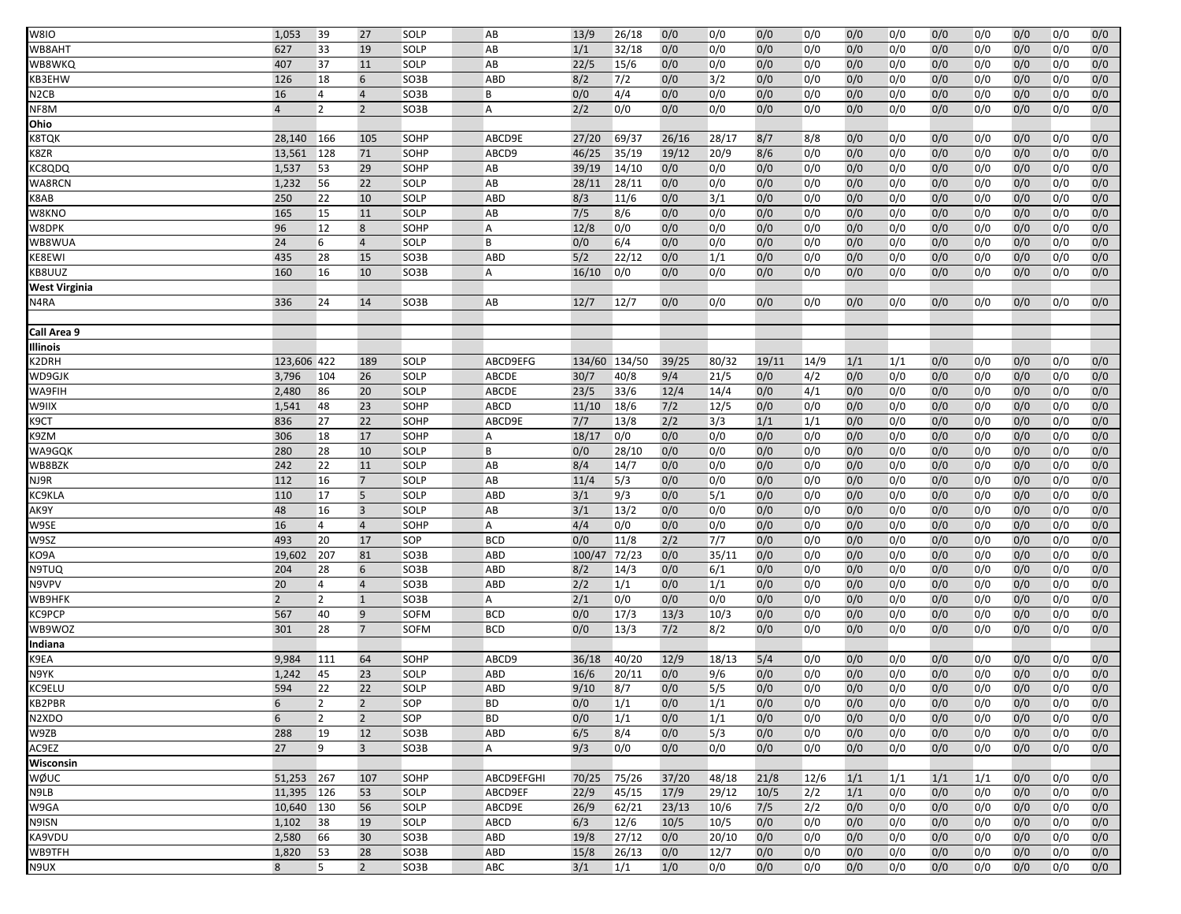| W8IO                          | 1,053          | 39             | 27             | SOLP        | AB             | 13/9   | 26/18         | 0/0   | 0/0   | 0/0   | 0/0  | 0/0 | 0/0 | 0/0 | 0/0 | 0/0 | 0/0 | 0/0 |
|-------------------------------|----------------|----------------|----------------|-------------|----------------|--------|---------------|-------|-------|-------|------|-----|-----|-----|-----|-----|-----|-----|
| WB8AHT                        | 627            | 33             | 19             | <b>SOLP</b> | AB             | 1/1    | 32/18         | 0/0   | 0/0   | 0/0   | 0/0  | 0/0 | 0/0 | 0/0 | 0/0 | 0/0 | 0/0 | 0/0 |
| WB8WKQ                        | 407            | 37             | 11             | SOLP        | AB             | 22/5   | 15/6          | 0/0   | 0/0   | 0/0   | 0/0  | 0/0 | 0/0 | 0/0 | 0/0 | 0/0 | 0/0 | 0/0 |
| KB3EHW                        | 126            | 18             | 6              | SO3B        | <b>ABD</b>     | 8/2    | 7/2           | 0/0   | 3/2   | 0/0   | 0/0  | 0/0 | 0/0 | 0/0 | 0/0 | 0/0 | 0/0 | 0/0 |
| N2CB                          | 16             | 4              | $\overline{4}$ | SO3B        | B              | 0/0    | 4/4           | 0/0   | 0/0   | 0/0   | 0/0  | 0/0 | 0/0 | 0/0 | 0/0 | 0/0 | 0/0 | 0/0 |
| NF8M                          | 4              | $\overline{2}$ | $\overline{2}$ | SO3B        | A              | 2/2    | 0/0           | 0/0   | 0/0   | 0/0   | 0/0  | 0/0 | 0/0 | 0/0 | 0/0 | 0/0 | 0/0 | 0/0 |
| Ohio                          |                |                |                |             |                |        |               |       |       |       |      |     |     |     |     |     |     |     |
| <8TQK                         | 28,140         | 166            | 105            | SOHP        | ABCD9E         | 27/20  | 69/37         | 26/16 | 28/17 | 8/7   | 8/8  | 0/0 | 0/0 | 0/0 | 0/0 | 0/0 | 0/0 | 0/0 |
| K8ZR                          | 13,561         | 128            | 71             | SOHP        | ABCD9          | 46/25  | 35/19         | 19/12 | 20/9  | 8/6   | 0/0  | 0/0 | 0/0 | 0/0 | 0/0 | 0/0 | 0/0 | 0/0 |
| KC8QDQ                        | 1,537          | 53             | 29             | SOHP        | AB             | 39/19  | 14/10         | 0/0   | 0/0   | 0/0   | 0/0  | 0/0 | 0/0 | 0/0 | 0/0 | 0/0 | 0/0 | 0/0 |
| WA8RCN                        | 1,232          | 56             | 22             | SOLP        | AB             | 28/11  | 28/11         | 0/0   | 0/0   | 0/0   | 0/0  | 0/0 | 0/0 | 0/0 | 0/0 | 0/0 | 0/0 | 0/0 |
| K8AB                          | 250            | 22             | 10             | SOLP        | <b>ABD</b>     | 8/3    | 11/6          | 0/0   | 3/1   | 0/0   | 0/0  | 0/0 | 0/0 | 0/0 | 0/0 | 0/0 | 0/0 | 0/0 |
| W8KNO                         | 165            | 15             | 11             | SOLP        | AB             | 7/5    | 8/6           | 0/0   | 0/0   | 0/0   | 0/0  | 0/0 | 0/0 | 0/0 | 0/0 | 0/0 | 0/0 | 0/0 |
| W8DPK                         | 96             | 12             | 8              | SOHP        | A              | 12/8   | 0/0           | 0/0   | 0/0   | 0/0   | 0/0  | 0/0 | 0/0 | 0/0 | 0/0 | 0/0 | 0/0 | 0/0 |
| WB8WUA                        | 24             | 6              | $\overline{4}$ | SOLP        | B              | 0/0    | 6/4           | 0/0   | 0/0   | 0/0   | 0/0  | 0/0 | 0/0 | 0/0 | 0/0 | 0/0 | 0/0 | 0/0 |
| <b>E8EWI</b>                  | 435            | 28             | 15             | SO3B        | <b>ABD</b>     | 5/2    | 22/12         | 0/0   | 1/1   | 0/0   | 0/0  | 0/0 | 0/0 | 0/0 | 0/0 | 0/0 | 0/0 | 0/0 |
| KB8UUZ                        | 160            | 16             | 10             | SO3B        | A              | 16/10  | 0/0           | 0/0   | 0/0   | 0/0   | 0/0  | 0/0 | 0/0 | 0/0 | 0/0 | 0/0 | 0/0 | 0/0 |
| West Virginia                 |                |                |                |             |                |        |               |       |       |       |      |     |     |     |     |     |     |     |
| <b>N4RA</b>                   | 336            | 24             | 14             | SO3B        | AB             | 12/7   | 12/7          | 0/0   | 0/0   | 0/0   | 0/0  | 0/0 | 0/0 | 0/0 | 0/0 | 0/0 | 0/0 | 0/0 |
|                               |                |                |                |             |                |        |               |       |       |       |      |     |     |     |     |     |     |     |
| Call Area 9                   |                |                |                |             |                |        |               |       |       |       |      |     |     |     |     |     |     |     |
| llinois                       |                |                |                |             |                |        |               |       |       |       |      |     |     |     |     |     |     |     |
| <2DRH                         | 123,606 422    |                | 189            | SOLP        | ABCD9EFG       |        | 134/60 134/50 | 39/25 | 80/32 | 19/11 | 14/9 | 1/1 | 1/1 | 0/0 | 0/0 | 0/0 | 0/0 | 0/0 |
| WD9GJK                        | 3,796          | 104            | 26             | SOLP        | <b>ABCDE</b>   | 30/7   | 40/8          | 9/4   | 21/5  | 0/0   | 4/2  | 0/0 | 0/0 | 0/0 | 0/0 | 0/0 | 0/0 | 0/0 |
| <b>NA9FIH</b>                 | 2,480          | 86             | 20             | SOLP        | <b>ABCDE</b>   | 23/5   | 33/6          | 12/4  | 14/4  | 0/0   | 4/1  | 0/0 | 0/0 | 0/0 | 0/0 | 0/0 | 0/0 | 0/0 |
| W9IIX                         | 1,541          | 48             | 23             | SOHP        | ABCD           | 11/10  | 18/6          | $7/2$ | 12/5  | 0/0   | 0/0  | 0/0 | 0/0 | 0/0 | 0/0 | 0/0 | 0/0 | 0/0 |
| <9CT                          | 836            | 27             | 22             | SOHP        | ABCD9E         | 7/7    | 13/8          | 2/2   | 3/3   | 1/1   | 1/1  | 0/0 | 0/0 | 0/0 | 0/0 | 0/0 | 0/0 | 0/0 |
| K9ZM                          | 306            | 18             | 17             | SOHP        | $\overline{A}$ | 18/17  | 0/0           | 0/0   | 0/0   | 0/0   | 0/0  | 0/0 | 0/0 | 0/0 | 0/0 | 0/0 | 0/0 | 0/0 |
| WA9GQK                        | 280            | 28             | 10             | SOLP        | B              | 0/0    | 28/10         | 0/0   | 0/0   | 0/0   | 0/0  | 0/0 | 0/0 | 0/0 | 0/0 | 0/0 | 0/0 | 0/0 |
| WB8BZK                        | 242            | 22             | 11             | SOLP        | AB             | 8/4    | 14/7          | 0/0   | 0/0   | 0/0   | 0/0  | 0/0 | 0/0 | 0/0 | 0/0 | 0/0 | 0/0 | 0/0 |
| NJ9R                          | 112            | 16             | $\overline{7}$ | SOLP        | AB             | 11/4   | 5/3           | 0/0   | 0/0   | 0/0   | 0/0  | 0/0 | 0/0 | 0/0 | 0/0 | 0/0 | 0/0 | 0/0 |
| <b>COKLA</b>                  | 110            | 17             | 5              | SOLP        | ABD            | 3/1    | 9/3           | 0/0   | 5/1   | 0/0   | 0/0  | 0/0 | 0/0 | 0/0 | 0/0 | 0/0 | 0/0 | 0/0 |
| АК9Ү                          | 48             | 16             | $\overline{3}$ | SOLP        | AB             | 3/1    | 13/2          | 0/0   | 0/0   | 0/0   | 0/0  | 0/0 | 0/0 | 0/0 | 0/0 | 0/0 | 0/0 | 0/0 |
| W9SE                          | 16             | $\overline{4}$ | $\overline{4}$ | SOHP        | A              | 4/4    | 0/0           | 0/0   | 0/0   | 0/0   | 0/0  | 0/0 | 0/0 | 0/0 | 0/0 | 0/0 | 0/0 | 0/0 |
| W9SZ                          | 493            | 20             | 17             | SOP         | <b>BCD</b>     | 0/0    | 11/8          | 2/2   | 7/7   | 0/0   | 0/0  | 0/0 | 0/0 | 0/0 | 0/0 | 0/0 | 0/0 | 0/0 |
| <b>KO9A</b>                   | 19,602         | 207            | 81             | SO3B        | <b>ABD</b>     | 100/47 | 72/23         | 0/0   | 35/11 | 0/0   | 0/0  | 0/0 | 0/0 | 0/0 | 0/0 | 0/0 | 0/0 | 0/0 |
| N9TUQ                         | 204            | 28             | 6              | SO3B        | ABD            | 8/2    | 14/3          | 0/0   | 6/1   | 0/0   | 0/0  | 0/0 | 0/0 | 0/0 | 0/0 | 0/0 | 0/0 | 0/0 |
| N9VPV                         | 20             | $\overline{4}$ | $\overline{4}$ | SO3B        | ABD            | 2/2    | 1/1           | 0/0   | 1/1   | 0/0   | 0/0  | 0/0 | 0/0 | 0/0 | 0/0 | 0/0 | 0/0 | 0/0 |
| WB9HFK                        | $\overline{2}$ | $\overline{2}$ | $\mathbf{1}$   | SO3B        | A              | 2/1    | 0/0           | 0/0   | 0/0   | 0/0   | 0/0  | 0/0 | 0/0 | 0/0 | 0/0 | 0/0 | 0/0 | 0/0 |
| <b><c9pcp< b=""></c9pcp<></b> | 567            | 40             | 9              | SOFM        | <b>BCD</b>     | 0/0    | 17/3          | 13/3  | 10/3  | 0/0   | 0/0  | 0/0 | 0/0 | 0/0 | 0/0 | 0/0 | 0/0 | 0/0 |
| WB9WOZ                        | 301            | 28             | $\overline{7}$ | <b>SOFM</b> | <b>BCD</b>     | 0/0    | 13/3          | 7/2   | 8/2   | 0/0   | 0/0  | 0/0 | 0/0 | 0/0 | 0/0 | 0/0 | 0/0 | 0/0 |
| ndiana                        |                |                |                |             |                |        |               |       |       |       |      |     |     |     |     |     |     |     |
| <9EA                          | 9,984          | 111            | 64             | SOHP        | ABCD9          | 36/18  | 40/20         | 12/9  | 18/13 | 5/4   | 0/0  | 0/0 | 0/0 | 0/0 | 0/0 | 0/0 | 0/0 | 0/0 |
| N9YK                          | 1,242          | 45             | 23             | SOLP        | ABD            | 16/6   | 20/11         | 0/0   | 9/6   | 0/0   | 0/0  | 0/0 | 0/0 | 0/0 | 0/0 | 0/0 | 0/0 | 0/0 |
| <b>C9ELU</b>                  | 594            | 22             | 22             | SOLP        | <b>ABD</b>     | 9/10   | 8/7           | 0/0   | 5/5   | 0/0   | 0/0  | 0/0 | 0/0 | 0/0 | 0/0 | 0/0 | 0/0 | 0/0 |
| KB2PBR                        | 6              | $\overline{2}$ | $\overline{2}$ | SOP         | <b>BD</b>      | 0/0    | 1/1           | 0/0   | 1/1   | 0/0   | 0/0  | 0/0 | 0/0 | 0/0 | 0/0 | 0/0 | 0/0 | 0/0 |
| N2XDO                         | 6              | $\overline{2}$ | $\overline{2}$ | SOP         | <b>BD</b>      | 0/0    | 1/1           | 0/0   | 1/1   | 0/0   | 0/0  | 0/0 | 0/0 | 0/0 | 0/0 | 0/0 | 0/0 | 0/0 |
| W9ZB                          | 288            | 19             | 12             | SO3B        | ABD            | 6/5    | 8/4           | 0/0   | 5/3   | 0/0   | 0/0  | 0/0 | 0/0 | 0/0 | 0/0 | 0/0 | 0/0 | 0/0 |
| AC9EZ                         | 27             | 9              | $\overline{3}$ | SO3B        | A              | 9/3    | 0/0           | 0/0   | 0/0   | 0/0   | 0/0  | 0/0 | 0/0 | 0/0 | 0/0 | 0/0 | 0/0 | 0/0 |
| Wisconsin                     |                |                |                |             |                |        |               |       |       |       |      |     |     |     |     |     |     |     |
| WØUC                          | 51,253 267     |                | 107            | SOHP        | ABCD9EFGHI     | 70/25  | 75/26         | 37/20 | 48/18 | 21/8  | 12/6 | 1/1 | 1/1 | 1/1 | 1/1 | 0/0 | 0/0 | 0/0 |
| N9LB                          | 11,395         | 126            | 53             | SOLP        | ABCD9EF        | 22/9   | 45/15         | 17/9  | 29/12 | 10/5  | 2/2  | 1/1 | 0/0 | 0/0 | 0/0 | 0/0 | 0/0 | 0/0 |
| W9GA                          | 10,640         | 130            | 56             | SOLP        | ABCD9E         | 26/9   | 62/21         | 23/13 | 10/6  | 7/5   | 2/2  | 0/0 | 0/0 | 0/0 | 0/0 | 0/0 | 0/0 | 0/0 |
| N9ISN                         | 1,102          | 38             | 19             | SOLP        | ABCD           | 6/3    | 12/6          | 10/5  | 10/5  | 0/0   | 0/0  | 0/0 | 0/0 | 0/0 | 0/0 | 0/0 | 0/0 | 0/0 |
| KA9VDU                        | 2,580          | 66             | 30             | SO3B        | ABD            | 19/8   | 27/12         | 0/0   | 20/10 | 0/0   | 0/0  | 0/0 | 0/0 | 0/0 | 0/0 | 0/0 | 0/0 | 0/0 |
| WB9TFH                        | 1,820          | 53             | 28             | SO3B        | ABD            | 15/8   | 26/13         | 0/0   | 12/7  | 0/0   | 0/0  | 0/0 | 0/0 | 0/0 | 0/0 | 0/0 | 0/0 | 0/0 |
| N9UX                          | 8              | 5              | $\overline{2}$ | SO3B        | ABC            | 3/1    | 1/1           | 1/0   | 0/0   | 0/0   | 0/0  | 0/0 | 0/0 | 0/0 | 0/0 | 0/0 | 0/0 | 0/0 |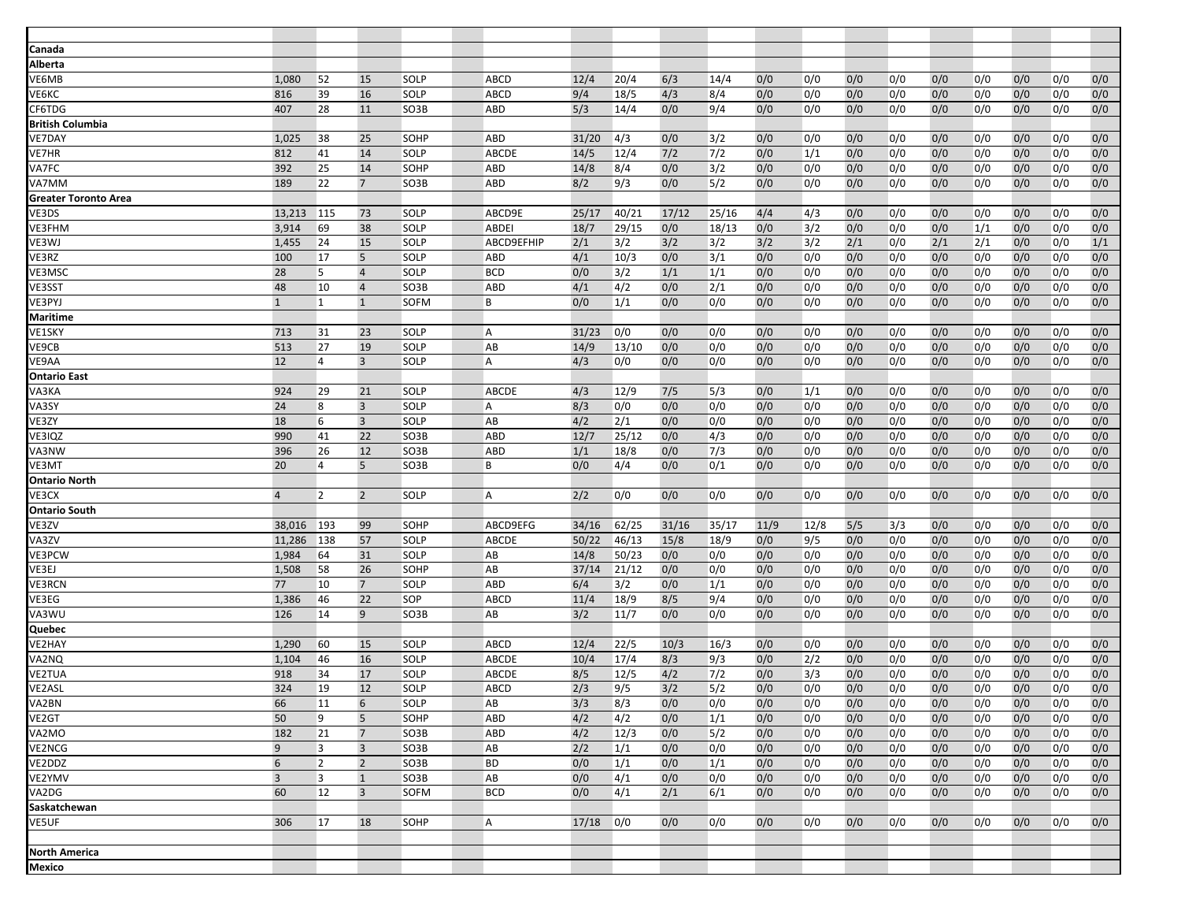| Canada                      |                |                |                         |              |              |            |            |            |            |            |            |            |            |            |            |            |            |            |
|-----------------------------|----------------|----------------|-------------------------|--------------|--------------|------------|------------|------------|------------|------------|------------|------------|------------|------------|------------|------------|------------|------------|
| Alberta                     |                |                |                         |              |              |            |            |            |            |            |            |            |            |            |            |            |            |            |
| /E6MB                       | 1,080          | 52             | 15                      | SOLP         | ABCD         | 12/4       | 20/4       | 6/3        | 14/4       | 0/0        | 0/0        | 0/0        | 0/0        | 0/0        | 0/0        | 0/0        | 0/0        | 0/0        |
| ∕Е6КС                       | 816            | 39             | 16                      | SOLP         | ABCD         | 9/4        | 18/5       | 4/3        | 8/4        | 0/0        | 0/0        | 0/0        | 0/0        | 0/0        | 0/0        | 0/0        | 0/0        | 0/0        |
| CF6TDG                      | 407            | 28             | 11                      | SO3B         | ABD          | 5/3        | 14/4       | 0/0        | 9/4        | 0/0        | 0/0        | 0/0        | 0/0        | 0/0        | 0/0        | 0/0        | 0/0        | 0/0        |
| British Columbia            |                |                |                         |              |              |            |            |            |            |            |            |            |            |            |            |            |            |            |
| /E7DAY                      | 1,025          | 38             | 25                      | SOHP         | ABD          | 31/20      | 4/3        | 0/0        | 3/2        | 0/0        | 0/0        | 0/0        | 0/0        | 0/0        | 0/0        | 0/0        | 0/0        | 0/0        |
| /E7HR                       | 812            | 41             | 14                      | SOLP         | <b>ABCDE</b> | 14/5       | 12/4       | 7/2        | 7/2        | 0/0        | 1/1        | 0/0        | 0/0        | 0/0        | 0/0        | 0/0        | 0/0        | 0/0        |
| /A7FC                       | 392            | 25             | 14                      | SOHP         | <b>ABD</b>   | 14/8       | 8/4        | 0/0        | 3/2        | 0/0        | 0/0        | 0/0        | 0/0        | 0/0        | 0/0        | 0/0        | 0/0        | 0/0        |
| /A7MM                       | 189            | 22             | $7\overline{ }$         | SO3B         | ABD          | 8/2        | 9/3        | 0/0        | 5/2        | 0/0        | 0/0        | 0/0        | 0/0        | 0/0        | 0/0        | 0/0        | 0/0        | 0/0        |
| <b>Greater Toronto Area</b> |                |                |                         |              |              |            |            |            |            |            |            |            |            |            |            |            |            |            |
| /E3DS                       | 13,213         | 115            | 73                      | SOLP         | ABCD9E       | 25/17      | 40/21      | 17/12      | 25/16      | 4/4        | 4/3        | 0/0        | 0/0        | 0/0        | 0/0        | 0/0        | 0/0        | 0/0        |
| /E3FHM                      | 3,914          | 69             | 38                      | SOLP         | <b>ABDEI</b> | 18/7       | 29/15      | 0/0        | 18/13      | 0/0        | 3/2        | 0/0        | 0/0        | 0/0        | 1/1        | 0/0        | 0/0        | 0/0        |
| /E3WJ                       | 1,455          | 24             | 15                      | SOLP         | ABCD9EFHIP   | 2/1        | 3/2        | 3/2        | 3/2        | 3/2        | 3/2        | 2/1        | 0/0        | 2/1        | 2/1        | 0/0        | 0/0        | 1/1        |
| VE3RZ                       | 100            | 17             | 5                       | SOLP         | <b>ABD</b>   | 4/1        | 10/3       | 0/0        | 3/1        | 0/0        | 0/0        | 0/0        | 0/0        | 0/0        | 0/0        | 0/0        | 0/0        | 0/0        |
| /E3MSC                      | 28             | 5              | $\overline{4}$          | SOLP         | <b>BCD</b>   | 0/0        | 3/2        | 1/1        | 1/1        | 0/0        | 0/0        | 0/0        | 0/0        | 0/0        | 0/0        | 0/0        | 0/0        | 0/0        |
| <b>/E3SST</b>               | 48             | 10             | $\overline{4}$          | SO3B         | ABD          | 4/1        | 4/2        | 0/0        | 2/1        | 0/0        | 0/0        | 0/0        | 0/0        | 0/0        | 0/0        | 0/0        | 0/0        | 0/0        |
| /E3PYJ                      | $\mathbf{1}$   | $\mathbf{1}$   | $\mathbf{1}$            | <b>SOFM</b>  | B            | 0/0        | 1/1        | 0/0        | 0/0        | 0/0        | 0/0        | 0/0        | 0/0        | 0/0        | 0/0        | 0/0        | 0/0        | 0/0        |
| Maritime                    |                |                |                         |              |              |            |            |            |            |            |            |            |            |            |            |            |            |            |
| VE1SKY                      | 713            | 31             | 23                      | SOLP         | Α            | 31/23      | 0/0        | 0/0        | 0/0        | 0/0        | 0/0        | 0/0        | 0/0        | 0/0        | 0/0        | 0/0        | 0/0        | 0/0        |
| <b>VE9CB</b>                | 513            | 27             | 19                      | <b>SOLP</b>  | AB           | 14/9       | 13/10      | 0/0        | 0/0        | 0/0        | 0/0        | 0/0        | 0/0        | 0/0        | 0/0        | 0/0        | 0/0        | 0/0        |
| <b>JE9AA</b>                | 12             | 4              | $\overline{3}$          | SOLP         | A            | 4/3        | 0/0        | 0/0        | 0/0        | 0/0        | 0/0        | 0/0        | 0/0        | 0/0        | 0/0        | 0/0        | 0/0        | 0/0        |
| <b>Ontario East</b>         |                |                |                         |              |              |            |            |            |            |            |            |            |            |            |            |            |            |            |
| <b>JA3KA</b>                | 924            | 29             | 21                      | SOLP         | ABCDE        | 4/3        | 12/9       | 7/5        | 5/3        | 0/0        | 1/1        | 0/0        | 0/0        | 0/0        | 0/0        | 0/0        | 0/0        | 0/0        |
| <b>A3SY</b>                 | 24             | 8              | $\overline{3}$          | SOLP         | A            | 8/3        | 0/0        | 0/0        | 0/0        | 0/0        | 0/0        | 0/0        | 0/0        | 0/0        | 0/0        | 0/0        | 0/0        | 0/0        |
| <b>VE3ZY</b>                | 18             | 6              | $\overline{3}$          | <b>SOLP</b>  | AB           | 4/2        | 2/1        | 0/0        | 0/0        | 0/0        | 0/0        | 0/0        | 0/0        | 0/0        | 0/0        | 0/0        | 0/0        | 0/0        |
| VE3IQZ                      | 990            | 41             | 22                      | SO3B         | <b>ABD</b>   | 12/7       | 25/12      | 0/0        | 4/3        | 0/0        | 0/0        | 0/0        | 0/0        | 0/0        | 0/0        | 0/0        | 0/0        | 0/0        |
| /A3NW                       | 396            | 26             | 12                      | SO3B         | <b>ABD</b>   | 1/1        | 18/8       | 0/0        | 7/3        | 0/0        | 0/0        | 0/0        | 0/0        | 0/0        | 0/0        | 0/0        | 0/0        | 0/0        |
| VE3MT                       | 20             | 4              | 5                       | SO3B         | B            | 0/0        | 4/4        | 0/0        | 0/1        | 0/0        | 0/0        | 0/0        | 0/0        | 0/0        | 0/0        | 0/0        | 0/0        | 0/0        |
| Ontario North               |                |                |                         |              |              |            |            |            |            |            |            |            |            |            |            |            |            |            |
| <b>JE3CX</b>                | $\overline{4}$ | $\overline{2}$ | $\overline{2}$          | SOLP         | A            | 2/2        | 0/0        | 0/0        | 0/0        | 0/0        | 0/0        | 0/0        | 0/0        | 0/0        | 0/0        | 0/0        | 0/0        | 0/0        |
| <b>Ontario South</b>        |                |                |                         |              |              |            |            |            |            |            |            |            |            |            |            |            |            |            |
| <b>VE3ZV</b>                | 38,016         | 193            | 99                      | SOHP         | ABCD9EFG     | 34/16      | 62/25      | 31/16      | 35/17      | 11/9       | 12/8       | 5/5        | 3/3        | 0/0        | 0/0        | 0/0        | 0/0        | 0/0        |
| <b>A3ZV</b>                 | 11,286         | 138            | 57                      | <b>SOLP</b>  | ABCDE        | 50/22      | 46/13      | 15/8       | 18/9       | 0/0        | 9/5        | 0/0        | 0/0        | 0/0        | 0/0        | 0/0        | 0/0        | 0/0        |
| VE3PCW                      | 1,984          | 64             | 31                      | SOLP         | AB           | 14/8       | 50/23      | 0/0        | 0/0        | 0/0        | 0/0        | 0/0        | 0/0        | 0/0        | 0/0        | 0/0        | 0/0        | 0/0        |
| /E3EJ                       | 1,508          | 58             | 26                      | SOHP         | AB           | 37/14      | 21/12      | 0/0        | 0/0        | 0/0        | 0/0        | 0/0        | 0/0        | 0/0        | 0/0        | 0/0        | 0/0        | 0/0        |
| <b>JE3RCN</b>               | 77             | 10             | $7\overline{ }$         | <b>SOLP</b>  | <b>ABD</b>   | 6/4        | 3/2        | 0/0        | 1/1        | 0/0        | 0/0        | 0/0        | 0/0        | 0/0        | 0/0        | 0/0        | 0/0        | 0/0        |
| VE3EG                       | 1,386          | 46             | 22                      | SOP          | ABCD         | 11/4       | 18/9       | 8/5        | 9/4        | 0/0        | 0/0        | 0/0        | 0/0        | 0/0        | 0/0        | 0/0        | 0/0        | 0/0        |
| /A3WU                       | 126            | 14             | 9                       | SO3B         | AB           | 3/2        | 11/7       | 0/0        | 0/0        | 0/0        | 0/0        | 0/0        | 0/0        | 0/0        | 0/0        | 0/0        | 0/0        | 0/0        |
| Quebec                      |                |                |                         |              |              |            |            |            |            |            |            |            |            |            |            |            |            |            |
| VE2HAY                      | 1,290          | 60             | 15                      | SOLP         | <b>ABCD</b>  | 12/4       | 22/5       | 10/3       | 16/3       | 0/0        | 0/0        | 0/0        | 0/0        | 0/0        | 0/0        | 0/0        | 0/0        | 0/0        |
| /A2NQ                       | 1,104          | 46             | 16                      | <b>SOLP</b>  | <b>ABCDE</b> | 10/4       | 17/4       | 8/3        | 9/3        | 0/0        | 2/2        | 0/0        | 0/0        | 0/0        | 0/0        | 0/0        | 0/0        | 0/0        |
| VE2TUA                      | 918            | 34             | 17                      | SOLP         | <b>ABCDE</b> | 8/5        | 12/5       | 4/2        | 7/2        | 0/0        | 3/3        | 0/0        | 0/0        | 0/0        | 0/0        | 0/0        | 0/0        | 0/0        |
| <b>/E2ASL</b>               | 324            | 19             | 12                      | SOLP         | ABCD         | 2/3        | 9/5        | 3/2        | 5/2        | 0/0        | 0/0        | 0/0        | 0/0        | 0/0        | 0/0        | 0/0        | 0/0        | 0/0        |
| /A2BN                       | 66             | 11             | 6                       | SOLP         | AB           | 3/3        | 8/3        | 0/0        | 0/0        | 0/0        | 0/0        | 0/0        | 0/0        | 0/0        | 0/0        | 0/0        | 0/0        | 0/0        |
| VE <sub>2</sub> GT          | 50<br>182      | 9              | 5<br>$\overline{7}$     | SOHP         | <b>ABD</b>   | 4/2        | 4/2        | 0/0        | 1/1        | 0/0        | 0/0        | 0/0        | 0/0        | 0/0        | 0/0        | 0/0        | 0/0        | 0/0        |
| VA2MO                       | 9              | 21<br>3        | $\overline{\mathbf{3}}$ | SO3B<br>SO3B | ABD<br>AB    | 4/2        | 12/3       | 0/0        | 5/2        | 0/0        | 0/0        | 0/0        | 0/0        | 0/0        | 0/0        | 0/0        | 0/0        | 0/0<br>0/0 |
| /E2NCG<br>/E2DDZ            | 6              | $\overline{2}$ | $\overline{2}$          | SO3B         | <b>BD</b>    | 2/2<br>0/0 | 1/1<br>1/1 | 0/0<br>0/0 | 0/0<br>1/1 | 0/0<br>0/0 | 0/0<br>0/0 | 0/0<br>0/0 | 0/0<br>0/0 | 0/0<br>0/0 | 0/0<br>0/0 | 0/0<br>0/0 | 0/0<br>0/0 | 0/0        |
| /E2YMV                      | $\overline{3}$ | $\overline{3}$ | $\mathbf{1}$            | SO3B         | AB           | 0/0        | 4/1        | 0/0        | 0/0        | 0/0        | 0/0        | 0/0        | 0/0        | 0/0        | 0/0        | 0/0        | 0/0        | 0/0        |
| VA2DG                       | 60             | 12             | $\overline{3}$          | SOFM         | <b>BCD</b>   | 0/0        | 4/1        | 2/1        | 6/1        | 0/0        | 0/0        | 0/0        | 0/0        | 0/0        | 0/0        | 0/0        | 0/0        | 0/0        |
| Saskatchewan                |                |                |                         |              |              |            |            |            |            |            |            |            |            |            |            |            |            |            |
| /E5UF                       | 306            | 17             | 18                      | SOHP         | A            | 17/18      | 0/0        | 0/0        | 0/0        | 0/0        | 0/0        | 0/0        | 0/0        | 0/0        | 0/0        | 0/0        | 0/0        | 0/0        |
|                             |                |                |                         |              |              |            |            |            |            |            |            |            |            |            |            |            |            |            |
| North America               |                |                |                         |              |              |            |            |            |            |            |            |            |            |            |            |            |            |            |
| Mexico                      |                |                |                         |              |              |            |            |            |            |            |            |            |            |            |            |            |            |            |
|                             |                |                |                         |              |              |            |            |            |            |            |            |            |            |            |            |            |            |            |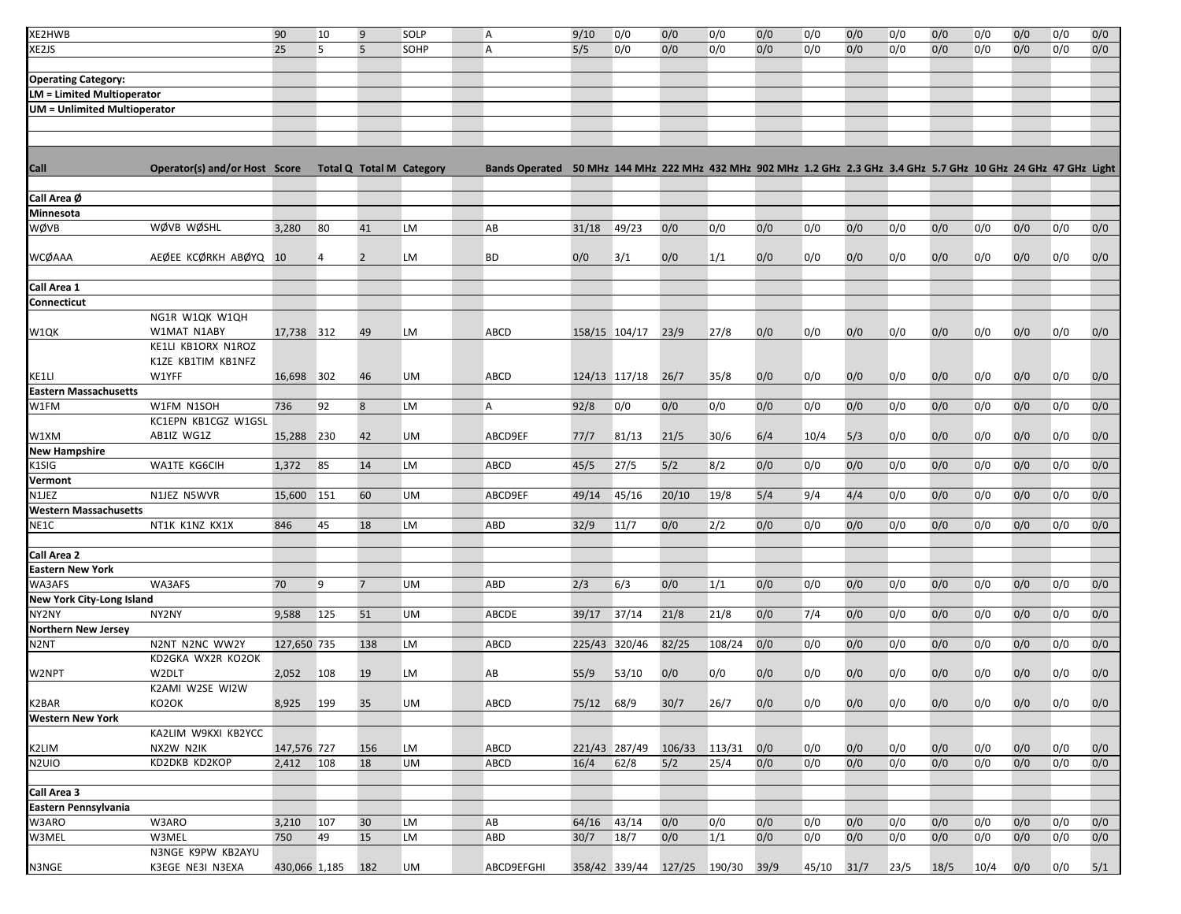| XE2HWB                              |                               | 90            | 10  | 9                               | SOLP      | Α                                                                                                                | 9/10       | 0/0                | 0/0                         | 0/0    | 0/0  | 0/0        | 0/0 | 0/0  | 0/0  | 0/0  | 0/0 | 0/0 | 0/0 |
|-------------------------------------|-------------------------------|---------------|-----|---------------------------------|-----------|------------------------------------------------------------------------------------------------------------------|------------|--------------------|-----------------------------|--------|------|------------|-----|------|------|------|-----|-----|-----|
| XE2JS                               |                               | 25            | 5   | 5                               | SOHP      | A                                                                                                                | 5/5        | 0/0                | 0/0                         | 0/0    | 0/0  | 0/0        | 0/0 | 0/0  | 0/0  | 0/0  | 0/0 | 0/0 | 0/0 |
|                                     |                               |               |     |                                 |           |                                                                                                                  |            |                    |                             |        |      |            |     |      |      |      |     |     |     |
| <b>Operating Category:</b>          |                               |               |     |                                 |           |                                                                                                                  |            |                    |                             |        |      |            |     |      |      |      |     |     |     |
| <b>LM = Limited Multioperator</b>   |                               |               |     |                                 |           |                                                                                                                  |            |                    |                             |        |      |            |     |      |      |      |     |     |     |
| <b>UM = Unlimited Multioperator</b> |                               |               |     |                                 |           |                                                                                                                  |            |                    |                             |        |      |            |     |      |      |      |     |     |     |
|                                     |                               |               |     |                                 |           |                                                                                                                  |            |                    |                             |        |      |            |     |      |      |      |     |     |     |
|                                     |                               |               |     |                                 |           |                                                                                                                  |            |                    |                             |        |      |            |     |      |      |      |     |     |     |
|                                     |                               |               |     |                                 |           |                                                                                                                  |            |                    |                             |        |      |            |     |      |      |      |     |     |     |
| Call                                | Operator(s) and/or Host Score |               |     | <b>Total Q Total M Category</b> |           | Bands Operated 50 MHz 144 MHz 222 MHz 432 MHz 902 MHz 1.2 GHz 2.3 GHz 3.4 GHz 5.7 GHz 10 GHz 24 GHz 47 GHz Light |            |                    |                             |        |      |            |     |      |      |      |     |     |     |
|                                     |                               |               |     |                                 |           |                                                                                                                  |            |                    |                             |        |      |            |     |      |      |      |     |     |     |
| Call Area Ø                         |                               |               |     |                                 |           |                                                                                                                  |            |                    |                             |        |      |            |     |      |      |      |     |     |     |
| Minnesota                           |                               |               |     |                                 |           |                                                                                                                  |            |                    |                             |        |      |            |     |      |      |      |     |     |     |
| WØVB                                | WØVB WØSHL                    | 3,280         | 80  | 41                              | <b>LM</b> | AB                                                                                                               | 31/18      | 49/23              | 0/0                         | 0/0    | 0/0  | 0/0        | 0/0 | 0/0  | 0/0  | 0/0  | 0/0 | 0/0 | 0/0 |
|                                     |                               |               |     |                                 |           |                                                                                                                  |            |                    |                             |        |      |            |     |      |      |      |     |     |     |
| WCØAAA                              | AEØEE KCØRKH ABØYQ 10         |               | 4   | $\overline{2}$                  | LM        | <b>BD</b>                                                                                                        | 0/0        | 3/1                | 0/0                         | 1/1    | 0/0  | 0/0        | 0/0 | 0/0  | 0/0  | 0/0  | 0/0 | 0/0 | 0/0 |
|                                     |                               |               |     |                                 |           |                                                                                                                  |            |                    |                             |        |      |            |     |      |      |      |     |     |     |
| Call Area 1<br>Connecticut          |                               |               |     |                                 |           |                                                                                                                  |            |                    |                             |        |      |            |     |      |      |      |     |     |     |
|                                     | NG1R W1QK W1QH                |               |     |                                 |           |                                                                                                                  |            |                    |                             |        |      |            |     |      |      |      |     |     |     |
| W1QK                                | W1MAT N1ABY                   | 17,738 312    |     | 49                              | LM        | ABCD                                                                                                             |            | 158/15 104/17      | 23/9                        | 27/8   | 0/0  | 0/0        | 0/0 | 0/0  | 0/0  | 0/0  | 0/0 | 0/0 | 0/0 |
|                                     | KE1LI KB1ORX N1ROZ            |               |     |                                 |           |                                                                                                                  |            |                    |                             |        |      |            |     |      |      |      |     |     |     |
|                                     | K1ZE KB1TIM KB1NFZ            |               |     |                                 |           |                                                                                                                  |            |                    |                             |        |      |            |     |      |      |      |     |     |     |
| KE1LI                               | W1YFF                         | 16,698 302    |     | 46                              | UM        | ABCD                                                                                                             |            | 124/13 117/18 26/7 |                             | 35/8   | 0/0  | 0/0        | 0/0 | 0/0  | 0/0  | 0/0  | 0/0 | 0/0 | 0/0 |
| <b>Eastern Massachusetts</b>        |                               |               |     |                                 |           |                                                                                                                  |            |                    |                             |        |      |            |     |      |      |      |     |     |     |
| W1FM                                | W1FM N1SOH                    | 736           | 92  | 8                               | LM        | A                                                                                                                | 92/8       | 0/0                | 0/0                         | 0/0    | 0/0  | 0/0        | 0/0 | 0/0  | 0/0  | 0/0  | 0/0 | 0/0 | 0/0 |
|                                     | KC1EPN KB1CGZ W1GSL           |               |     |                                 |           |                                                                                                                  |            |                    |                             |        |      |            |     |      |      |      |     |     |     |
| W1XM                                | AB1IZ WG1Z                    | 15,288        | 230 | 42                              | UM        | ABCD9EF                                                                                                          | 77/7       | 81/13              | 21/5                        | 30/6   | 6/4  | 10/4       | 5/3 | 0/0  | 0/0  | 0/0  | 0/0 | 0/0 | 0/0 |
| <b>New Hampshire</b>                |                               |               |     |                                 |           |                                                                                                                  |            |                    |                             |        |      |            |     |      |      |      |     |     |     |
| K1SIG                               | WA1TE KG6CIH                  | 1,372         | 85  | 14                              | LM        | ABCD                                                                                                             | 45/5       | 27/5               | 5/2                         | 8/2    | 0/0  | 0/0        | 0/0 | 0/0  | 0/0  | 0/0  | 0/0 | 0/0 | 0/0 |
| Vermont                             |                               |               |     |                                 |           |                                                                                                                  |            |                    |                             |        |      |            |     |      |      |      |     |     |     |
| N1JEZ                               | N1JEZ N5WVR                   | 15,600        | 151 | 60                              | <b>UM</b> | ABCD9EF                                                                                                          | 49/14      | 45/16              | 20/10                       | 19/8   | 5/4  | 9/4        | 4/4 | 0/0  | 0/0  | 0/0  | 0/0 | 0/0 | 0/0 |
| Western Massachusetts               |                               |               |     |                                 |           |                                                                                                                  |            |                    |                             |        |      |            |     |      |      |      |     |     |     |
| NE1C                                | NT1K K1NZ KX1X                | 846           | 45  | 18                              | LM        | ABD                                                                                                              | 32/9       | 11/7               | 0/0                         | 2/2    | 0/0  | 0/0        | 0/0 | 0/0  | 0/0  | 0/0  | 0/0 | 0/0 | 0/0 |
|                                     |                               |               |     |                                 |           |                                                                                                                  |            |                    |                             |        |      |            |     |      |      |      |     |     |     |
| Call Area 2                         |                               |               |     |                                 |           |                                                                                                                  |            |                    |                             |        |      |            |     |      |      |      |     |     |     |
| <b>Eastern New York</b>             | WA3AFS                        |               |     |                                 |           |                                                                                                                  |            |                    |                             |        |      |            |     |      |      |      |     |     |     |
| WA3AFS<br>New York City-Long Island |                               | 70            | 9   | $\overline{7}$                  | <b>UM</b> | <b>ABD</b>                                                                                                       | 2/3        | 6/3                | 0/0                         | 1/1    | 0/0  | 0/0        | 0/0 | 0/0  | 0/0  | 0/0  | 0/0 | 0/0 | 0/0 |
| NY2NY                               | NY2NY                         | 9,588         | 125 | 51                              | <b>UM</b> | ABCDE                                                                                                            | 39/17      | 37/14              | 21/8                        | 21/8   | 0/0  | 7/4        | 0/0 | 0/0  | 0/0  | 0/0  | 0/0 | 0/0 | 0/0 |
| <b>Northern New Jersey</b>          |                               |               |     |                                 |           |                                                                                                                  |            |                    |                             |        |      |            |     |      |      |      |     |     |     |
| N <sub>2</sub> NT                   | N2NT N2NC WW2Y                | 127,650 735   |     | 138                             | LM        | <b>ABCD</b>                                                                                                      |            | 225/43 320/46      | 82/25                       | 108/24 | 0/0  | 0/0        | 0/0 | 0/0  | 0/0  | 0/0  | 0/0 | 0/0 | 0/0 |
|                                     | KD2GKA WX2R KO2OK             |               |     |                                 |           |                                                                                                                  |            |                    |                             |        |      |            |     |      |      |      |     |     |     |
| W2NPT                               | W2DLT                         | 2,052         | 108 | 19                              | LM        | AB                                                                                                               | 55/9       | 53/10              | 0/0                         | 0/0    | 0/0  | 0/0        | 0/0 | 0/0  | 0/0  | 0/0  | 0/0 | 0/0 | 0/0 |
|                                     | K2AMI W2SE WI2W               |               |     |                                 |           |                                                                                                                  |            |                    |                             |        |      |            |     |      |      |      |     |     |     |
| K2BAR                               | KO2OK                         | 8,925         | 199 | 35                              | UM        | ABCD                                                                                                             | 75/12 68/9 |                    | 30/7                        | 26/7   | 0/0  | 0/0        | 0/0 | 0/0  | 0/0  | 0/0  | 0/0 | 0/0 | 0/0 |
| <b>Western New York</b>             |                               |               |     |                                 |           |                                                                                                                  |            |                    |                             |        |      |            |     |      |      |      |     |     |     |
|                                     | KA2LIM W9KXI KB2YCC           |               |     |                                 |           |                                                                                                                  |            |                    |                             |        |      |            |     |      |      |      |     |     |     |
| K2LIM                               | NX2W N2IK                     | 147,576 727   |     | 156                             | LM        | <b>ABCD</b>                                                                                                      |            | 221/43 287/49      | 106/33                      | 113/31 | 0/0  | 0/0        | 0/0 | 0/0  | 0/0  | 0/0  | 0/0 | 0/0 | 0/0 |
| N2UIO                               | KD2DKB KD2KOP                 | 2,412         | 108 | 18                              | <b>UM</b> | <b>ABCD</b>                                                                                                      | 16/4       | 62/8               | 5/2                         | 25/4   | 0/0  | 0/0        | 0/0 | 0/0  | 0/0  | 0/0  | 0/0 | 0/0 | 0/0 |
|                                     |                               |               |     |                                 |           |                                                                                                                  |            |                    |                             |        |      |            |     |      |      |      |     |     |     |
| Call Area 3                         |                               |               |     |                                 |           |                                                                                                                  |            |                    |                             |        |      |            |     |      |      |      |     |     |     |
| Eastern Pennsylvania                |                               |               |     |                                 |           |                                                                                                                  |            |                    |                             |        |      |            |     |      |      |      |     |     |     |
| W3ARO                               | W3ARO                         | 3,210         | 107 | 30                              | LM        | AB                                                                                                               | 64/16      | 43/14              | 0/0                         | 0/0    | 0/0  | 0/0        | 0/0 | 0/0  | 0/0  | 0/0  | 0/0 | 0/0 | 0/0 |
| W3MEL                               | W3MEL                         | 750           | 49  | 15                              | LM        | <b>ABD</b>                                                                                                       | 30/7       | 18/7               | 0/0                         | 1/1    | 0/0  | 0/0        | 0/0 | 0/0  | 0/0  | 0/0  | 0/0 | 0/0 | 0/0 |
|                                     | N3NGE K9PW KB2AYU             |               |     |                                 |           |                                                                                                                  |            |                    |                             |        |      |            |     |      |      |      |     |     |     |
| N3NGE                               | K3EGE NE3I N3EXA              | 430,066 1,185 |     | 182                             | UM        | ABCD9EFGHI                                                                                                       |            |                    | 358/42 339/44 127/25 190/30 |        | 39/9 | 45/10 31/7 |     | 23/5 | 18/5 | 10/4 | 0/0 | 0/0 | 5/1 |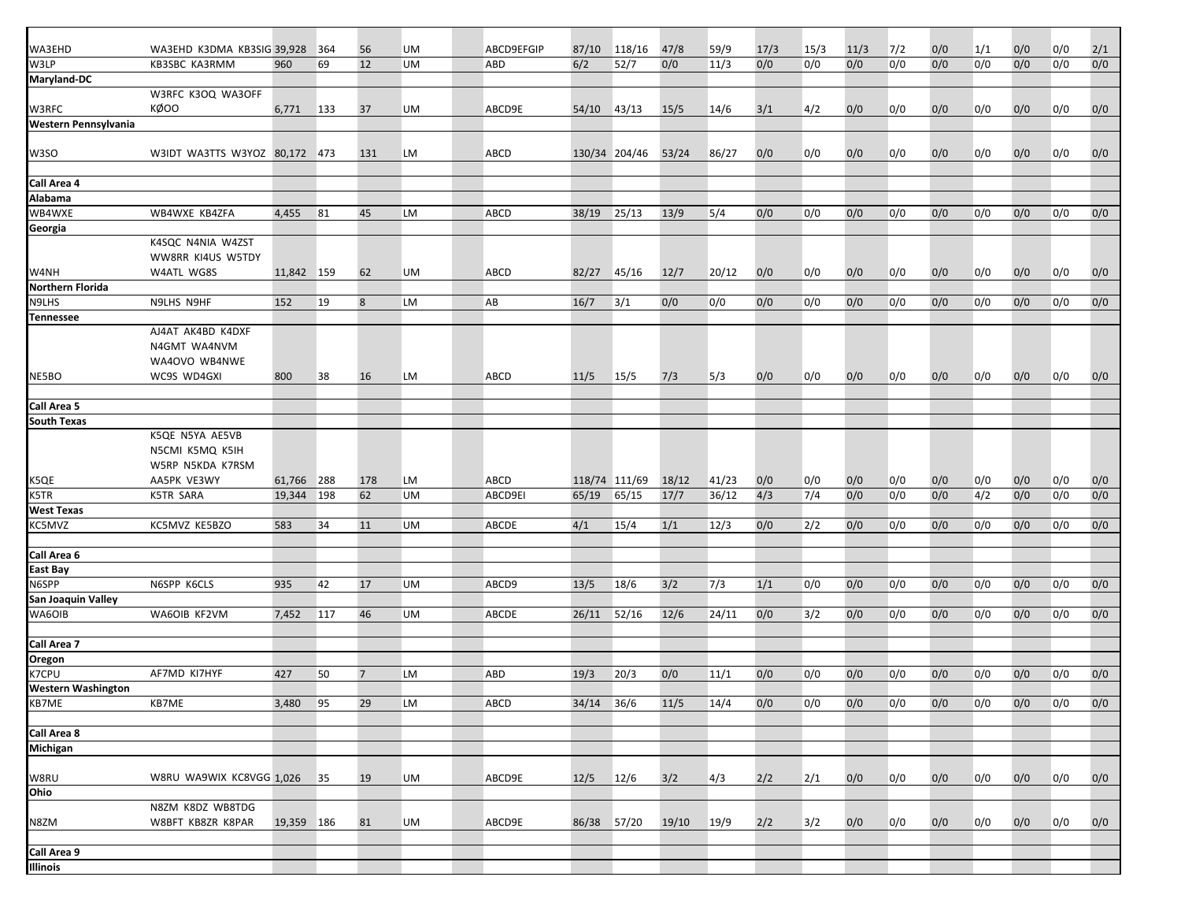| WA3EHD                    | WA3EHD K3DMA KB3SIG 39,928    |            | 364 | 56             | UM        | ABCD9EFGIP | 87/10          | 118/16        | 47/8  | 59/9  | 17/3 | 15/3 | 11/3 | 7/2 | 0/0 | 1/1 | 0/0 | 0/0 | 2/1 |
|---------------------------|-------------------------------|------------|-----|----------------|-----------|------------|----------------|---------------|-------|-------|------|------|------|-----|-----|-----|-----|-----|-----|
| W3LP                      | KB3SBC KA3RMM                 | 960        | 69  | 12             | <b>UM</b> | ABD        | 6/2            | 52/7          | 0/0   | 11/3  | 0/0  | 0/0  | 0/0  | 0/0 | 0/0 | 0/0 | 0/0 | 0/0 | 0/0 |
| Maryland-DC               |                               |            |     |                |           |            |                |               |       |       |      |      |      |     |     |     |     |     |     |
|                           | W3RFC K3OQ WA3OFF             |            |     |                |           |            |                |               |       |       |      |      |      |     |     |     |     |     |     |
| W3RFC                     | KØOO                          | 6,771      | 133 | 37             | UM        | ABCD9E     | 54/10          | 43/13         | 15/5  | 14/6  | 3/1  | 4/2  | 0/0  | 0/0 | 0/0 | 0/0 | 0/0 | 0/0 | 0/0 |
| Western Pennsylvania      |                               |            |     |                |           |            |                |               |       |       |      |      |      |     |     |     |     |     |     |
|                           |                               |            |     |                |           |            |                |               |       |       |      |      |      |     |     |     |     |     |     |
| W3SO                      | W3IDT WA3TTS W3YOZ 80,172 473 |            |     | 131            | LM        | ABCD       |                | 130/34 204/46 | 53/24 | 86/27 | 0/0  | 0/0  | 0/0  | 0/0 | 0/0 | 0/0 | 0/0 | 0/0 | 0/0 |
|                           |                               |            |     |                |           |            |                |               |       |       |      |      |      |     |     |     |     |     |     |
| Call Area 4               |                               |            |     |                |           |            |                |               |       |       |      |      |      |     |     |     |     |     |     |
| Alabama                   |                               |            |     |                |           |            |                |               |       |       |      |      |      |     |     |     |     |     |     |
| WB4WXE                    | WB4WXE KB4ZFA                 | 4,455      | 81  | 45             | LM        | ABCD       | 38/19          | 25/13         | 13/9  | 5/4   | 0/0  | 0/0  | 0/0  | 0/0 | 0/0 | 0/0 | 0/0 | 0/0 | 0/0 |
| Georgia                   |                               |            |     |                |           |            |                |               |       |       |      |      |      |     |     |     |     |     |     |
|                           | K4SQC N4NIA W4ZST             |            |     |                |           |            |                |               |       |       |      |      |      |     |     |     |     |     |     |
|                           | WW8RR KI4US W5TDY             |            |     |                |           |            |                |               |       |       |      |      |      |     |     |     |     |     |     |
| W4NH                      | W4ATL WG8S                    | 11,842 159 |     | 62             | UM        | ABCD       | 82/27          | 45/16         | 12/7  | 20/12 | 0/0  | 0/0  | 0/0  | 0/0 | 0/0 | 0/0 | 0/0 | 0/0 | 0/0 |
| Northern Florida          |                               |            |     |                |           |            |                |               |       |       |      |      |      |     |     |     |     |     |     |
| N9LHS                     | N9LHS N9HF                    | 152        | 19  | 8              | LM        | AB         | 16/7           | 3/1           | 0/0   | 0/0   | 0/0  | 0/0  | 0/0  | 0/0 | 0/0 | 0/0 | 0/0 | 0/0 | 0/0 |
| <b>Tennessee</b>          |                               |            |     |                |           |            |                |               |       |       |      |      |      |     |     |     |     |     |     |
|                           | AJ4AT AK4BD K4DXF             |            |     |                |           |            |                |               |       |       |      |      |      |     |     |     |     |     |     |
|                           | N4GMT WA4NVM                  |            |     |                |           |            |                |               |       |       |      |      |      |     |     |     |     |     |     |
|                           | WA4OVO WB4NWE                 |            |     |                |           |            |                |               |       |       |      |      |      |     |     |     |     |     |     |
| NE5BO                     | WC9S WD4GXI                   | 800        | 38  | 16             | LM        | ABCD       | 11/5           | 15/5          | 7/3   | 5/3   | 0/0  | 0/0  | 0/0  | 0/0 | 0/0 | 0/0 | 0/0 | 0/0 | 0/0 |
|                           |                               |            |     |                |           |            |                |               |       |       |      |      |      |     |     |     |     |     |     |
| Call Area 5               |                               |            |     |                |           |            |                |               |       |       |      |      |      |     |     |     |     |     |     |
| <b>South Texas</b>        |                               |            |     |                |           |            |                |               |       |       |      |      |      |     |     |     |     |     |     |
|                           | K5QE N5YA AE5VB               |            |     |                |           |            |                |               |       |       |      |      |      |     |     |     |     |     |     |
|                           | N5CMI K5MQ K5IH               |            |     |                |           |            |                |               |       |       |      |      |      |     |     |     |     |     |     |
|                           | W5RP N5KDA K7RSM              |            |     |                |           |            |                |               |       |       |      |      |      |     |     |     |     |     |     |
| K5QE                      | AA5PK VE3WY                   | 61,766     | 288 | 178            | LM        | ABCD       | 118/74 111/69  |               | 18/12 | 41/23 | 0/0  | 0/0  | 0/0  | 0/0 | 0/0 | 0/0 | 0/0 | 0/0 | 0/0 |
| K5TR                      | <b>K5TR SARA</b>              | 19,344     | 198 | 62             | <b>UM</b> | ABCD9EI    | 65/19          | 65/15         | 17/7  | 36/12 | 4/3  | 7/4  | 0/0  | 0/0 | 0/0 | 4/2 | 0/0 | 0/0 | 0/0 |
| <b>West Texas</b>         |                               |            |     |                |           |            |                |               |       |       |      |      |      |     |     |     |     |     |     |
| KC5MVZ                    | KC5MVZ KE5BZO                 | 583        | 34  | 11             | UM        | ABCDE      | 4/1            | 15/4          | 1/1   | 12/3  | 0/0  | 2/2  | 0/0  | 0/0 | 0/0 | 0/0 | 0/0 | 0/0 | 0/0 |
|                           |                               |            |     |                |           |            |                |               |       |       |      |      |      |     |     |     |     |     |     |
| Call Area 6               |                               |            |     |                |           |            |                |               |       |       |      |      |      |     |     |     |     |     |     |
| <b>East Bay</b>           |                               |            |     |                |           |            |                |               |       |       |      |      |      |     |     |     |     |     |     |
| N6SPP                     | N6SPP K6CLS                   | 935        | 42  | 17             | UM        | ABCD9      | 13/5           | 18/6          | 3/2   | 7/3   | 1/1  | 0/0  | 0/0  | 0/0 | 0/0 | 0/0 | 0/0 | 0/0 | 0/0 |
| San Joaquin Valley        |                               |            |     |                |           |            |                |               |       |       |      |      |      |     |     |     |     |     |     |
| WA6OIB                    | WA6OIB KF2VM                  |            | 117 | 46             | UM        |            |                | 52/16         | 12/6  | 24/11 | 0/0  | 3/2  | 0/0  |     | 0/0 |     |     |     | 0/0 |
|                           |                               | 7,452      |     |                |           | ABCDE      | 26/11          |               |       |       |      |      |      | 0/0 |     | 0/0 | 0/0 | 0/0 |     |
| Call Area 7               |                               |            |     |                |           |            |                |               |       |       |      |      |      |     |     |     |     |     |     |
| Oregon                    |                               |            |     |                |           |            |                |               |       |       |      |      |      |     |     |     |     |     |     |
| K7CPU                     | AF7MD KI7HYF                  | 427        | 50  | $\overline{7}$ | LM        | ABD        | 19/3           |               | 0/0   |       | 0/0  |      | 0/0  | 0/0 | 0/0 | 0/0 | 0/0 | 0/0 | 0/0 |
| <b>Western Washington</b> |                               |            |     |                |           |            |                | 20/3          |       | 11/1  |      | 0/0  |      |     |     |     |     |     |     |
|                           |                               |            |     |                |           |            |                |               |       |       |      |      |      |     |     |     |     |     |     |
| KB7ME                     | KB7ME                         | 3,480 95   |     | 29             | LM        | ABCD       | $34/14$ $36/6$ |               | 11/5  | 14/4  | 0/0  | 0/0  | 0/0  | 0/0 | 0/0 | 0/0 | 0/0 | 0/0 | 0/0 |
| Call Area 8               |                               |            |     |                |           |            |                |               |       |       |      |      |      |     |     |     |     |     |     |
|                           |                               |            |     |                |           |            |                |               |       |       |      |      |      |     |     |     |     |     |     |
| <b>Michigan</b>           |                               |            |     |                |           |            |                |               |       |       |      |      |      |     |     |     |     |     |     |
|                           |                               |            |     |                |           |            |                |               |       |       |      |      |      |     |     |     |     |     |     |
| W8RU<br>Ohio              | W8RU WA9WIX KC8VGG 1,026 35   |            |     | 19             | UM        | ABCD9E     | 12/5           | 12/6          | 3/2   | 4/3   | 2/2  | 2/1  | 0/0  | 0/0 | 0/0 | 0/0 | 0/0 | 0/0 | 0/0 |
|                           |                               |            |     |                |           |            |                |               |       |       |      |      |      |     |     |     |     |     |     |
|                           | N8ZM K8DZ WB8TDG              |            |     |                |           |            |                |               |       |       |      |      |      |     |     |     |     |     |     |
| N8ZM                      | W8BFT KB8ZR K8PAR             | 19,359 186 |     | 81             | UM        | ABCD9E     | 86/38          | $57/20$       | 19/10 | 19/9  | 2/2  | 3/2  | 0/0  | 0/0 | 0/0 | 0/0 | 0/0 | 0/0 | 0/0 |
|                           |                               |            |     |                |           |            |                |               |       |       |      |      |      |     |     |     |     |     |     |
| Call Area 9<br>Illinois   |                               |            |     |                |           |            |                |               |       |       |      |      |      |     |     |     |     |     |     |
|                           |                               |            |     |                |           |            |                |               |       |       |      |      |      |     |     |     |     |     |     |